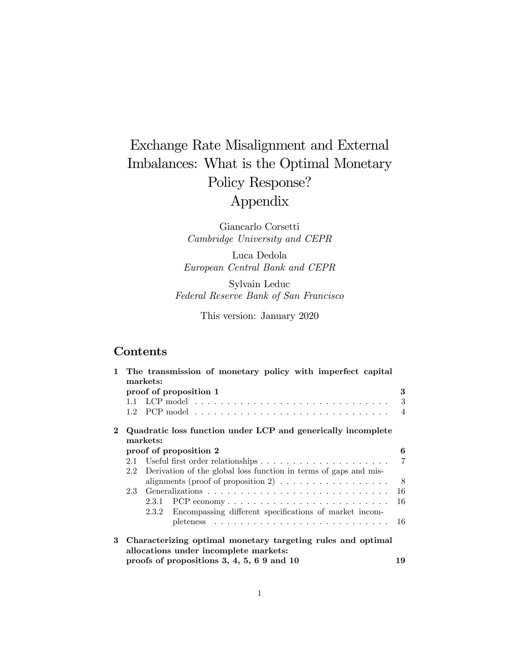# Exchange Rate Misalignment and External Imbalances: What is the Optimal Monetary Policy Response? Appendix

Giancarlo Corsetti Cambridge University and CEPR

Luca Dedola European Central Bank and CEPR

Sylvain Leduc Federal Reserve Bank of San Francisco

This version: January 2020

# Contents

|   | 1 The transmission of monetary policy with imperfect capital<br>markets:<br>3 |                        |                                                                          |                |  |  |  |  |
|---|-------------------------------------------------------------------------------|------------------------|--------------------------------------------------------------------------|----------------|--|--|--|--|
|   |                                                                               |                        |                                                                          |                |  |  |  |  |
|   |                                                                               | proof of proposition 1 |                                                                          |                |  |  |  |  |
|   |                                                                               |                        |                                                                          | 3              |  |  |  |  |
|   |                                                                               |                        |                                                                          | 4              |  |  |  |  |
|   | Quadratic loss function under LCP and generically incomplete                  |                        |                                                                          |                |  |  |  |  |
|   | markets:                                                                      |                        |                                                                          |                |  |  |  |  |
|   |                                                                               | proof of proposition 2 |                                                                          |                |  |  |  |  |
|   |                                                                               |                        |                                                                          | $\overline{7}$ |  |  |  |  |
|   |                                                                               |                        | 2.2 Derivation of the global loss function in terms of gaps and mis-     |                |  |  |  |  |
|   |                                                                               |                        | alignments (proof of proposition 2) $\ldots \ldots \ldots \ldots \ldots$ | - 8            |  |  |  |  |
|   | $2.3 -$                                                                       |                        |                                                                          | 16             |  |  |  |  |
|   |                                                                               |                        | $2.3.1$ PCP economy                                                      | 16             |  |  |  |  |
|   |                                                                               |                        | 2.3.2 Encompassing different specifications of market incom-             |                |  |  |  |  |
|   |                                                                               |                        |                                                                          | 16             |  |  |  |  |
| 3 | Characterizing optimal monetary targeting rules and optimal                   |                        |                                                                          |                |  |  |  |  |
|   | allocations under incomplete markets:                                         |                        |                                                                          |                |  |  |  |  |
|   | proofs of propositions 3, 4, 5, 6 9 and 10<br>19                              |                        |                                                                          |                |  |  |  |  |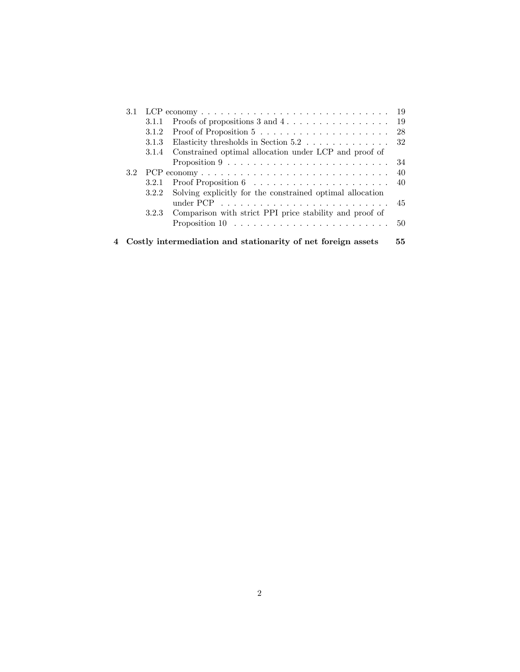| 3.1 |       | LCP economy $\ldots \ldots \ldots \ldots \ldots \ldots \ldots \ldots \ldots \ldots$ | 19 |
|-----|-------|-------------------------------------------------------------------------------------|----|
|     | 3.1.1 | Proofs of propositions $3$ and $4 \ldots \ldots \ldots \ldots \ldots$               | 19 |
|     | 3.1.2 |                                                                                     | 28 |
|     | 3.1.3 | Elasticity thresholds in Section 5.2                                                | 32 |
|     | 3.1.4 | Constrained optimal allocation under LCP and proof of                               |    |
|     |       | Proposition $9 \ldots \ldots \ldots \ldots \ldots \ldots \ldots \ldots$             | 34 |
|     |       |                                                                                     | 40 |
|     | 3.2.1 | Proof Proposition $6 \ldots \ldots \ldots \ldots \ldots \ldots$                     | 40 |
|     | 3.2.2 | Solving explicitly for the constrained optimal allocation                           | 45 |
|     | 3.2.3 | Comparison with strict PPI price stability and proof of                             |    |
|     |       |                                                                                     | 50 |
|     |       | Costly intermediation and stationarity of net foreign assets                        | 55 |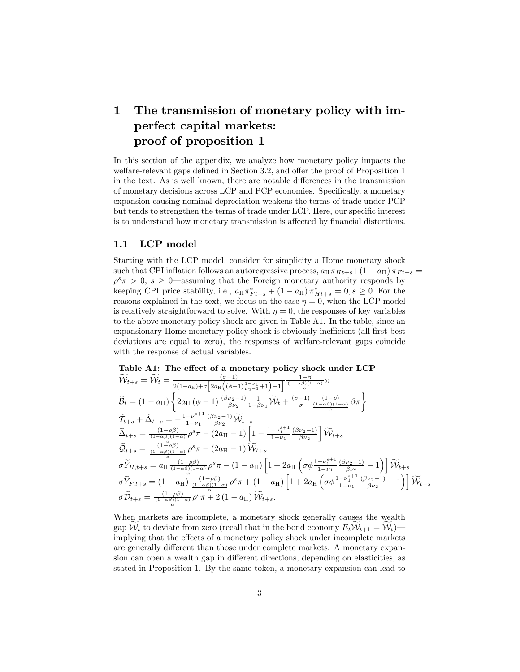# 1 The transmission of monetary policy with imperfect capital markets: proof of proposition 1

In this section of the appendix, we analyze how monetary policy impacts the welfare-relevant gaps defined in Section 3.2, and offer the proof of Proposition 1 in the text. As is well known, there are notable differences in the transmission of monetary decisions across LCP and PCP economies. Specifically, a monetary expansion causing nominal depreciation weakens the terms of trade under PCP but tends to strengthen the terms of trade under LCP. Here, our specific interest is to understand how monetary transmission is affected by financial distortions.

# 1.1 LCP model

Starting with the LCP model, consider for simplicity a Home monetary shock such that CPI inflation follows an autoregressive process,  $a_H \pi_{H+s} + (1 - a_H) \pi_{F+s} =$  $\rho^s \pi > 0$ ,  $s \geq 0$  assuming that the Foreign monetary authority responds by keeping CPI price stability, i.e.,  $a_{\text{H}} \pi^*_{Ft+s} + (1 - a_{\text{H}}) \pi^*_{Ht+s} = 0, s \geq 0$ . For the reasons explained in the text, we focus on the case  $\eta = 0$ , when the LCP model is relatively straightforward to solve. With  $\eta = 0$ , the responses of key variables to the above monetary policy shock are given in Table A1. In the table, since an expansionary Home monetary policy shock is obviously inefficient (all first-best deviations are equal to zero), the responses of welfare-relevant gaps coincide with the response of actual variables.

Table A1: The effect of a monetary policy shock under LCP  
\n
$$
\widetilde{\mathcal{W}}_{t+s} = \widetilde{\mathcal{W}}_t = \frac{(\sigma - 1)}{2(1 - a_H) + \sigma \left[2a_H\left((\phi - 1)\frac{1 - \nu_1}{\nu_2 - 1} + 1\right) - 1\right]} \frac{1 - \beta}{\frac{(1 - \alpha \beta)(1 - \alpha)}{\alpha}} \pi
$$
\n
$$
\widetilde{B}_t = (1 - a_H) \left\{ 2a_H\left((\phi - 1)\frac{(\beta \nu_2 - 1)}{\beta \nu_2} \frac{1}{1 - \beta \nu_1} \widetilde{\mathcal{W}}_t + \frac{(\sigma - 1)}{\sigma} \frac{(1 - \rho)}{\frac{(1 - \alpha \beta)(1 - \alpha)}{\alpha}} \beta \pi \right\}
$$
\n
$$
\widetilde{T}_{t+s} + \widetilde{\Delta}_{t+s} = -\frac{1 - \nu_1^{s+1}}{1 - \nu_1} \frac{(\beta \nu_2 - 1)}{\beta \nu_2} \widetilde{\mathcal{W}}_{t+s}
$$
\n
$$
\widetilde{\Delta}_{t+s} = \frac{(1 - \rho \beta)}{(1 - \alpha \beta)(1 - \alpha)} \rho^s \pi - (2a_H - 1) \left[ 1 - \frac{1 - \nu_1^{s+1}}{1 - \nu_1} \frac{(\beta \nu_2 - 1)}{\beta \nu_2} \right] \widetilde{\mathcal{W}}_{t+s}
$$
\n
$$
\widetilde{B}_{t+s} = \frac{(1 - \rho \beta)}{(1 - \alpha \beta)(1 - \alpha)} \rho^s \pi - (2a_H - 1) \widetilde{\mathcal{W}}_{t+s}
$$
\n
$$
\sigma \widetilde{Y}_{H, t+s} = a_H \frac{(1 - \rho \beta)}{\frac{\alpha}{\alpha}} \rho^s \pi - (1 - a_H) \left[ 1 + 2a_H \left( \sigma \phi \frac{1 - \nu_1^{s+1}}{1 - \nu_1} \frac{(\beta \nu_2 - 1)}{\beta \nu_2} - 1 \right) \right] \widetilde{\mathcal{W}}_{t+s}
$$
\n
$$
\sigma \widetilde{Y}_{F, t+s} = (1 - a_H) \frac{(1 - \rho \beta)}{\frac{(1 - \alpha \beta)(1 - \alpha)}{\alpha}} \rho^s \pi + (1 - a_H) \left[
$$

When markets are incomplete, a monetary shock generally causes the wealth gap  $\mathcal{W}_t$  to deviate from zero (recall that in the bond economy  $E_t\mathcal{W}_{t+1} = \mathcal{W}_t$ ) implying that the effects of a monetary policy shock under incomplete markets are generally different than those under complete markets. A monetary expansion can open a wealth gap in different directions, depending on elasticities, as stated in Proposition 1. By the same token, a monetary expansion can lead to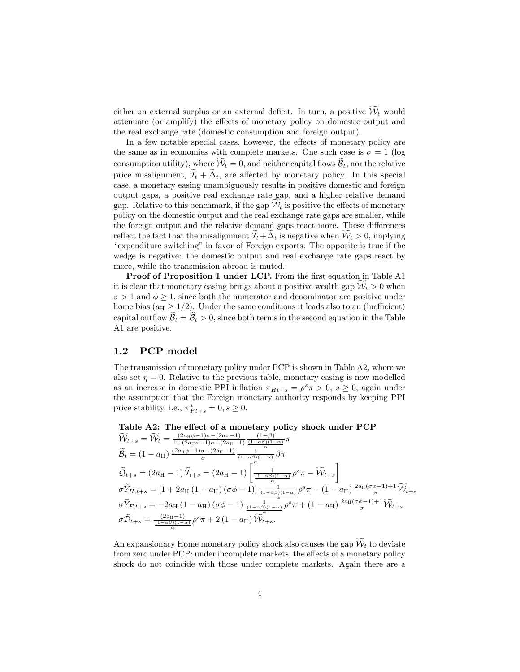either an external surplus or an external deficit. In turn, a positive  $\widetilde{\mathcal{W}}_t$  would attenuate (or amplify) the effects of monetary policy on domestic output and the real exchange rate (domestic consumption and foreign output).

In a few notable special cases, however, the effects of monetary policy are the same as in economies with complete markets. One such case is  $\sigma = 1$  (log consumption utility), where  $\mathcal{W}_t = 0$ , and neither capital flows  $\mathcal{B}_t$ , nor the relative price misalignment,  $\mathcal{T}_t + \Delta_t$ , are affected by monetary policy. In this special case, a monetary easing unambiguously results in positive domestic and foreign output gaps, a positive real exchange rate gap, and a higher relative demand gap. Relative to this benchmark, if the gap  $\mathcal{W}_t$  is positive the effects of monetary policy on the domestic output and the real exchange rate gaps are smaller, while the foreign output and the relative demand gaps react more. These differences reflect the fact that the misalignment  $\tilde{\mathcal{T}}_t+\tilde{\Delta}_t$  is negative when  $\tilde{\mathcal{W}}_t > 0$ , implying "expenditure switching" in favor of Foreign exports. The opposite is true if the wedge is negative: the domestic output and real exchange rate gaps react by more, while the transmission abroad is muted.

Proof of Proposition 1 under LCP. From the first equation in Table A1 it is clear that monetary easing brings about a positive wealth gap  $W_t > 0$  when  $\sigma > 1$  and  $\phi \geq 1$ , since both the numerator and denominator are positive under home bias ( $a_H \geq 1/2$ ). Under the same conditions it leads also to an (inefficient) capital outflow  $\widetilde{\mathcal{B}}_t = \widehat{\mathcal{B}}_t > 0$ , since both terms in the second equation in the Table A1 are positive.

# 1.2 PCP model

The transmission of monetary policy under PCP is shown in Table A2, where we also set  $\eta = 0$ . Relative to the previous table, monetary easing is now modelled as an increase in domestic PPI inflation  $\pi_{Ht+s} = \rho^s \pi > 0$ ,  $s \ge 0$ , again under the assumption that the Foreign monetary authority responds by keeping PPI price stability, i.e.,  $\pi^*_{Ft+s} = 0, s \geq 0$ .

Table A2: The effect of a monetary policy shock under PCP  
\n
$$
\widetilde{\mathcal{W}}_{t+s} = \widetilde{\mathcal{W}}_t = \frac{(2a_{\mathrm{H}}\phi - 1)\sigma - (2a_{\mathrm{H}} - 1)}{1 + (2a_{\mathrm{H}}\phi - 1)\sigma - (2a_{\mathrm{H}} - 1)} \frac{(1 - \beta)}{(1 - \alpha\beta)(1 - \alpha)}\pi
$$
\n
$$
\widetilde{\mathcal{B}}_t = (1 - a_{\mathrm{H}}) \frac{(2a_{\mathrm{H}}\phi - 1)\sigma - (2a_{\mathrm{H}} - 1)}{\sigma} \frac{1}{\sigma} \frac{1}{(1 - \alpha\beta)(1 - \alpha)}\beta\pi
$$
\n
$$
\widetilde{\mathcal{Q}}_{t+s} = (2a_{\mathrm{H}} - 1) \widetilde{T}_{t+s} = (2a_{\mathrm{H}} - 1) \left[ \frac{1}{(1 - \alpha\beta)(1 - \alpha)} \rho^s \pi - \widetilde{\mathcal{W}}_{t+s} \right]
$$
\n
$$
\sigma \widetilde{Y}_{H,t+s} = [1 + 2a_{\mathrm{H}} (1 - a_{\mathrm{H}}) (\sigma\phi - 1)] \frac{1}{(1 - \alpha\beta)(1 - \alpha)} \rho^s \pi - (1 - a_{\mathrm{H}}) \frac{2a_{\mathrm{H}} (\sigma\phi - 1) + 1}{\sigma} \widetilde{\mathcal{W}}_{t+s}
$$
\n
$$
\sigma \widetilde{Y}_{F,t+s} = -2a_{\mathrm{H}} (1 - a_{\mathrm{H}}) (\sigma\phi - 1) \frac{1}{(1 - \alpha\beta)(1 - \alpha)} \rho^s \pi + (1 - a_{\mathrm{H}}) \frac{2a_{\mathrm{H}} (\sigma\phi - 1) + 1}{\sigma} \widetilde{\mathcal{W}}_{t+s}
$$
\n
$$
\sigma \widetilde{\mathcal{D}}_{t+s} = \frac{(2a_{\mathrm{H}} - 1)}{(1 - \alpha\beta)(1 - \alpha)} \rho^s \pi + 2 (1 - a_{\mathrm{H}}) \widetilde{\mathcal{W}}_{t+s}^{\alpha}.
$$

An expansionary Home monetary policy shock also causes the gap  $\widetilde{\mathcal{W}}_t$  to deviate from zero under PCP: under incomplete markets, the effects of a monetary policy shock do not coincide with those under complete markets. Again there are a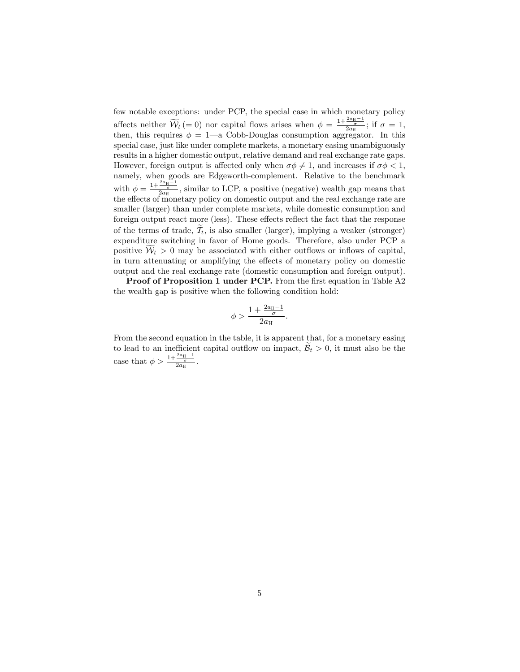few notable exceptions: under PCP, the special case in which monetary policy affects neither  $\widetilde{\mathcal{W}}_t (= 0)$  nor capital flows arises when  $\phi = \frac{1+\frac{2a_H-1}{\sigma}}{2a_H}$ ; if  $\sigma = 1$ , then, this requires  $\phi = 1$ —a Cobb-Douglas consumption aggregator. In this special case, just like under complete markets, a monetary easing unambiguously results in a higher domestic output, relative demand and real exchange rate gaps. However, foreign output is affected only when  $\sigma \phi \neq 1$ , and increases if  $\sigma \phi < 1$ . namely, when goods are Edgeworth-complement. Relative to the benchmark with  $\phi = \frac{1+\frac{2a_{\text{H}}-1}{2a_{\text{H}}}}{2a_{\text{H}}}}$ , similar to LCP, a positive (negative) wealth gap means that the effects of monetary policy on domestic output and the real exchange rate are smaller (larger) than under complete markets, while domestic consumption and foreign output react more (less). These effects reflect the fact that the response of the terms of trade,  $\mathcal{T}_t$ , is also smaller (larger), implying a weaker (stronger) expenditure switching in favor of Home goods. Therefore, also under PCP a positive  $W_t > 0$  may be associated with either outflows or inflows of capital, in turn attenuating or amplifying the effects of monetary policy on domestic output and the real exchange rate (domestic consumption and foreign output).

Proof of Proposition 1 under PCP. From the first equation in Table A2 the wealth gap is positive when the following condition hold:

$$
\phi > \frac{1 + \frac{2a_{\mathrm{H}} - 1}{\sigma}}{2a_{\mathrm{H}}}.
$$

From the second equation in the table, it is apparent that, for a monetary easing to lead to an inefficient capital outflow on impact,  $B_t > 0$ , it must also be the case that  $\phi > \frac{1+\frac{2a_H-1}{\sigma}}{2a_H}$ .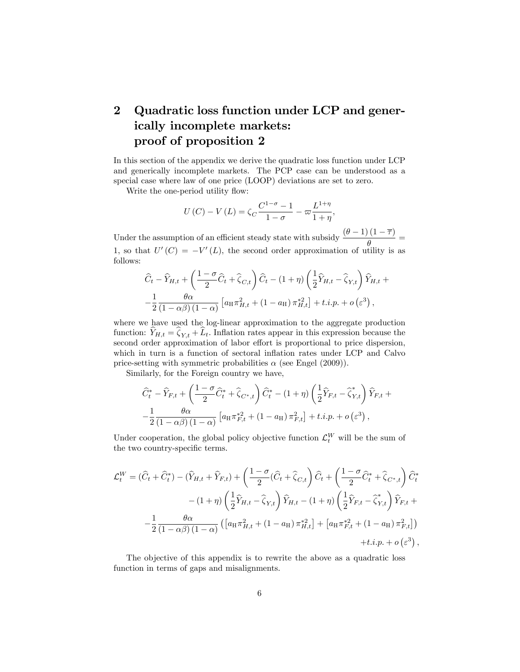# 2 Quadratic loss function under LCP and generically incomplete markets: proof of proposition 2

In this section of the appendix we derive the quadratic loss function under LCP and generically incomplete markets. The PCP case can be understood as a special case where law of one price (LOOP) deviations are set to zero.

Write the one-period utility flow:

$$
U(C) - V(L) = \zeta_C \frac{C^{1-\sigma} - 1}{1 - \sigma} - \varpi \frac{L^{1+\eta}}{1 + \eta},
$$

Under the assumption of an efficient steady state with subsidy  $\frac{(\theta-1)(1-\overline{\tau})}{\theta}$ 1, so that  $U'(C) = -V'(L)$ , the second order approximation of utility is as follows:

$$
\widehat{C}_t - \widehat{Y}_{H,t} + \left(\frac{1-\sigma}{2}\widehat{C}_t + \widehat{\zeta}_{C,t}\right)\widehat{C}_t - (1+\eta)\left(\frac{1}{2}\widehat{Y}_{H,t} - \widehat{\zeta}_{Y,t}\right)\widehat{Y}_{H,t} + \n-\frac{1}{2}\frac{\theta\alpha}{(1-\alpha\beta)(1-\alpha)}\left[a_H\pi_{H,t}^2 + (1-a_H)\pi_{H,t}^{*2}\right] + t.i.p. + o\left(\varepsilon^3\right),
$$

where we have used the log-linear approximation to the aggregate production function:  $\widehat{Y}_{H,t} = \widehat{\zeta}_{Y,t} + \widehat{L}_t$ . Inflation rates appear in this expression because the second order approximation of labor effort is proportional to price dispersion, which in turn is a function of sectoral inflation rates under LCP and Calvo price-setting with symmetric probabilities  $\alpha$  (see Engel (2009)).

Similarly, for the Foreign country we have,

$$
\widehat{C}_t^* - \widehat{Y}_{F,t} + \left(\frac{1-\sigma}{2}\widehat{C}_t^* + \widehat{\zeta}_{C^*,t}\right)\widehat{C}_t^* - (1+\eta)\left(\frac{1}{2}\widehat{Y}_{F,t} - \widehat{\zeta}_{Y,t}^*\right)\widehat{Y}_{F,t} + \n-\frac{1}{2}\frac{\theta\alpha}{(1-\alpha\beta)(1-\alpha)}\left[a_H\pi_{F,t}^{*2} + (1-a_H)\pi_{F,t}^2\right] + t.i.p. + o\left(\varepsilon^3\right),
$$

Under cooperation, the global policy objective function  $\mathcal{L}_t^W$  will be the sum of the two country-specific terms.

$$
\mathcal{L}_t^W = (\hat{C}_t + \hat{C}_t^*) - (\hat{Y}_{H,t} + \hat{Y}_{F,t}) + \left(\frac{1-\sigma}{2}(\hat{C}_t + \hat{\zeta}_{C,t})\right)\hat{C}_t + \left(\frac{1-\sigma}{2}\hat{C}_t^* + \hat{\zeta}_{C^*,t}\right)\hat{C}_t^* \n- (1+\eta)\left(\frac{1}{2}\hat{Y}_{H,t} - \hat{\zeta}_{Y,t}\right)\hat{Y}_{H,t} - (1+\eta)\left(\frac{1}{2}\hat{Y}_{F,t} - \hat{\zeta}_{Y,t}^*\right)\hat{Y}_{F,t} + \n- \frac{1}{2}\frac{\theta\alpha}{(1-\alpha\beta)(1-\alpha)}\left(\left[a_H\pi_{H,t}^2 + (1-a_H)\pi_{H,t}^2\right] + \left[a_H\pi_{F,t}^{*2} + (1-a_H)\pi_{F,t}^2\right]\right) \n+ t.i.p. + o\left(\varepsilon^3\right),
$$

The objective of this appendix is to rewrite the above as a quadratic loss function in terms of gaps and misalignments.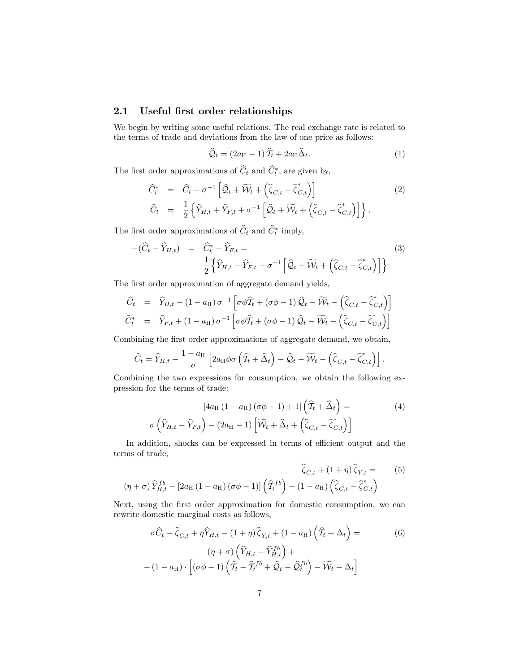# 2.1 Useful first order relationships

We begin by writing some useful relations. The real exchange rate is related to the terms of trade and deviations from the law of one price as follows:

$$
\widehat{Q}_t = (2a_H - 1)\widehat{T}_t + 2a_H\widehat{\Delta}_t. \tag{1}
$$

The first order approximations of  $C_t$  and  $C_t^*$ , are given by,

$$
\begin{aligned}\n\widehat{C}_t^* &= \widehat{C}_t - \sigma^{-1} \left[ \widehat{\mathcal{Q}}_t + \widetilde{W}_t + \left( \widehat{\zeta}_{C,t} - \widehat{\zeta}_{C,t}^* \right) \right] \\
\widehat{C}_t &= \frac{1}{2} \left\{ \widehat{Y}_{H,t} + \widehat{Y}_{F,t} + \sigma^{-1} \left[ \widehat{\mathcal{Q}}_t + \widetilde{W}_t + \left( \widehat{\zeta}_{C,t} - \widehat{\zeta}_{C,t}^* \right) \right] \right\},\n\end{aligned}
$$
\n(2)

The first order approximations of  $C_t$  and  $C_t^*$  imply,

$$
-(\widehat{C}_t - \widehat{Y}_{H,t}) = \widehat{C}_t^* - \widehat{Y}_{F,t} =
$$
\n
$$
\frac{1}{2} \left\{ \widehat{Y}_{H,t} - \widehat{Y}_{F,t} - \sigma^{-1} \left[ \widehat{\mathcal{Q}}_t + \widetilde{\mathcal{W}}_t + \left( \widehat{\zeta}_{C,t} - \widehat{\zeta}_{C,t}^* \right) \right] \right\}
$$
\n(3)

The first order approximation of aggregate demand yields,

$$
\begin{aligned}\n\widehat{C}_t &= \widehat{Y}_{H,t} - (1 - a_H) \,\sigma^{-1} \left[ \sigma \phi \widehat{T}_t + (\sigma \phi - 1) \,\widehat{\mathcal{Q}}_t - \widetilde{\mathcal{W}}_t - \left( \widehat{\zeta}_{C,t} - \widehat{\zeta}_{C,t}^* \right) \right] \\
\widehat{C}_t^* &= \widehat{Y}_{F,t} + (1 - a_H) \,\sigma^{-1} \left[ \sigma \phi \widehat{T}_t + (\sigma \phi - 1) \,\widehat{\mathcal{Q}}_t - \widetilde{\mathcal{W}}_t - \left( \widehat{\zeta}_{C,t} - \widehat{\zeta}_{C,t}^* \right) \right]\n\end{aligned}
$$

Combining the first order approximations of aggregate demand, we obtain,

$$
\widehat{C}_t = \widehat{Y}_{H,t} - \frac{1 - a_H}{\sigma} \left[ 2a_H \phi \sigma \left( \widehat{T}_t + \widehat{\Delta}_t \right) - \widehat{\mathcal{Q}}_t - \widetilde{\mathcal{W}}_t - \left( \widehat{\zeta}_{C,t} - \widehat{\zeta}_{C,t}^* \right) \right].
$$

Combining the two expressions for consumption, we obtain the following expression for the terms of trade:

$$
[4a_H (1 - a_H) (\sigma \phi - 1) + 1] \left( \widehat{T}_t + \widehat{\Delta}_t \right) =
$$
  

$$
\sigma \left( \widehat{Y}_{H,t} - \widehat{Y}_{F,t} \right) - (2a_H - 1) \left[ \widetilde{W}_t + \widehat{\Delta}_t + \left( \widehat{\zeta}_{C,t} - \widehat{\zeta}_{C,t}^* \right) \right]
$$
 (4)

In addition, shocks can be expressed in terms of efficient output and the terms of trade,

$$
\widehat{\zeta}_{C,t} + (1+\eta)\widehat{\zeta}_{Y,t} = (5)
$$

$$
(\eta + \sigma)\widehat{Y}_{H,t}^{fb} - [2a_H(1 - a_H)(\sigma\phi - 1)]\left(\widehat{\mathcal{I}}_t^{fb}\right) + (1 - a_H)\left(\widehat{\zeta}_{C,t} - \widehat{\zeta}_{C,t}^*\right)
$$

Next, using the first order approximation for domestic consumption, we can rewrite domestic marginal costs as follows,

$$
\sigma \widehat{C}_t - \widehat{\zeta}_{C,t} + \eta \widehat{Y}_{H,t} - (1 + \eta) \widehat{\zeta}_{Y,t} + (1 - a_H) \left( \widehat{T}_t + \Delta_t \right) =
$$
\n
$$
(\eta + \sigma) \left( \widehat{Y}_{H,t} - \widehat{Y}_{H,t}^{fb} \right) +
$$
\n
$$
-(1 - a_H) \cdot \left[ (\sigma \phi - 1) \left( \widehat{T}_t - \widehat{T}_t^{fb} + \widehat{Q}_t - \widehat{Q}_t^{fb} \right) - \widetilde{W}_t - \Delta_t \right]
$$
\n(6)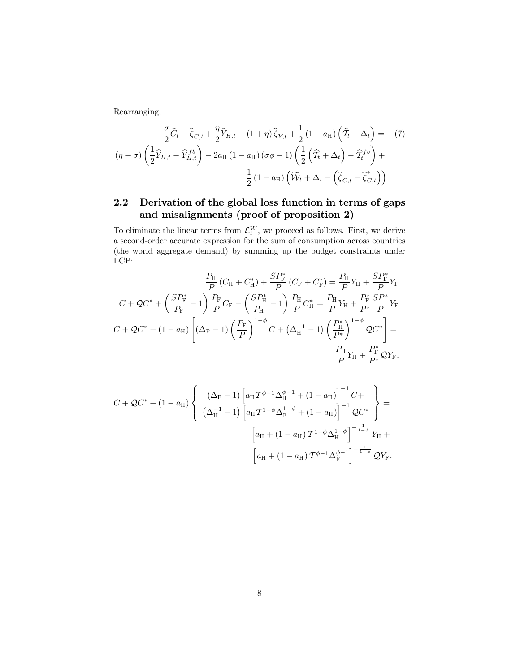Rearranging,

$$
\frac{\sigma}{2}\widehat{C}_t - \widehat{\zeta}_{C,t} + \frac{\eta}{2}\widehat{Y}_{H,t} - (1+\eta)\widehat{\zeta}_{Y,t} + \frac{1}{2}(1-a_H)\left(\widehat{T}_t + \Delta_t\right) = (7)
$$

$$
(\eta + \sigma)\left(\frac{1}{2}\widehat{Y}_{H,t} - \widehat{Y}_{H,t}^{fb}\right) - 2a_H(1-a_H)(\sigma\phi - 1)\left(\frac{1}{2}\left(\widehat{T}_t + \Delta_t\right) - \widehat{T}_t^{fb}\right) + \frac{1}{2}(1-a_H)\left(\widetilde{W}_t + \Delta_t - \left(\widehat{\zeta}_{C,t} - \widehat{\zeta}_{C,t}^*\right)\right)
$$

# 2.2 Derivation of the global loss function in terms of gaps and misalignments (proof of proposition 2)

To eliminate the linear terms from  $\mathcal{L}_t^W$ , we proceed as follows. First, we derive a second-order accurate expression for the sum of consumption across countries (the world aggregate demand) by summing up the budget constraints under LCP:

$$
\frac{P_{\rm H}}{P}(C_{\rm H} + C_{\rm H}^*) + \frac{SP_{\rm F}^*}{P}(C_{\rm F} + C_{\rm F}^*) = \frac{P_{\rm H}}{P}Y_{\rm H} + \frac{SP_{\rm F}^*}{P}Y_{\rm F}
$$
\n
$$
C + \mathcal{Q}C^* + \left(\frac{SP_{\rm F}^*}{P_{\rm F}} - 1\right)\frac{P_{\rm F}}{P}C_{\rm F} - \left(\frac{SP_{\rm H}^*}{P_{\rm H}} - 1\right)\frac{P_{\rm H}}{P}C_{\rm H}^* = \frac{P_{\rm H}}{P}Y_{\rm H} + \frac{P_{\rm F}^*}{P^*}\frac{SP^*}{P}Y_{\rm F}
$$
\n
$$
C + \mathcal{Q}C^* + (1 - a_{\rm H})\left[(\Delta_{\rm F} - 1)\left(\frac{P_{\rm F}}{P}\right)^{1-\phi}C + (\Delta_{\rm H}^{-1} - 1)\left(\frac{P_{\rm H}^*}{P^*}\right)^{1-\phi}\mathcal{Q}C^*\right] = \frac{P_{\rm H}}{P}Y_{\rm H} + \frac{P_{\rm F}^*}{P^*}\mathcal{Q}Y_{\rm F}.
$$

$$
C + \mathcal{Q}C^* + (1 - a_H) \left\{ \begin{array}{c} (\Delta_F - 1) \left[ a_H \mathcal{T}^{\phi - 1} \Delta_H^{\phi - 1} + (1 - a_H) \right]^{-1} C + \\ (\Delta_H^{-1} - 1) \left[ a_H \mathcal{T}^{1 - \phi} \Delta_F^{1 - \phi} + (1 - a_H) \right]^{-1} \mathcal{Q}C^* \end{array} \right\} =
$$

$$
\left[ a_H + (1 - a_H) \mathcal{T}^{1 - \phi} \Delta_H^{1 - \phi} \right]^{-\frac{1}{1 - \phi}} Y_H +
$$

$$
\left[ a_H + (1 - a_H) \mathcal{T}^{\phi - 1} \Delta_F^{\phi - 1} \right]^{-\frac{1}{1 - \phi}} \mathcal{Q}Y_F.
$$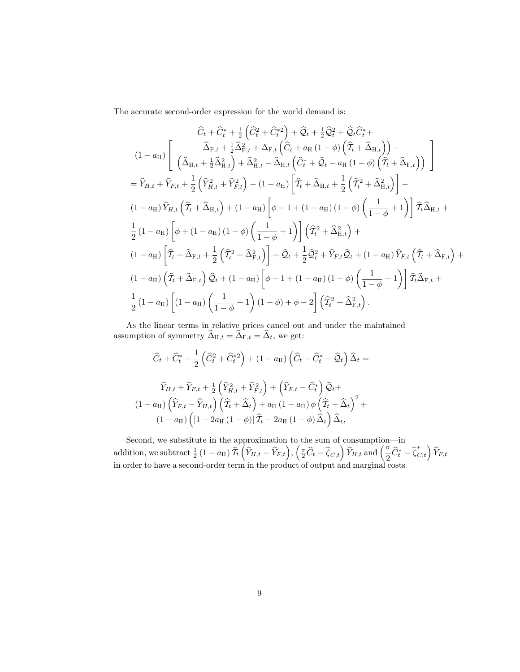The accurate second-order expression for the world demand is:

$$
\hat{C}_t + \hat{C}_t^* + \frac{1}{2} \left( \hat{C}_t^2 + \hat{C}_t^{*2} \right) + \hat{Q}_t + \frac{1}{2} \hat{Q}_t^2 + \hat{Q}_t \hat{C}_t^* +
$$
\n
$$
(1 - a_H) \left[ \begin{array}{c} \hat{\Delta}_{F,t} + \frac{1}{2} \hat{\Delta}_{F,t}^2 + \Delta_{F,t} \left( \hat{C}_t + a_H \left( 1 - \phi \right) \left( \hat{T}_t + \hat{\Delta}_{H,t} \right) \right) - \\ \left( \hat{\Delta}_{H,t} + \frac{1}{2} \hat{\Delta}_{H,t}^2 \right) + \hat{\Delta}_{H,t}^2 - \hat{\Delta}_{H,t} \left( \hat{C}_t^* + \hat{Q}_t - a_H \left( 1 - \phi \right) \left( \hat{T}_t + \hat{\Delta}_{F,t} \right) \right) \end{array} \right]
$$
\n
$$
= \hat{Y}_{H,t} + \hat{Y}_{F,t} + \frac{1}{2} \left( \hat{Y}_{H,t}^2 + \hat{Y}_{F,t}^2 \right) - (1 - a_H) \left[ \hat{T}_t + \hat{\Delta}_{H,t} + \frac{1}{2} \left( \hat{T}_t^2 + \hat{\Delta}_{H,t}^2 \right) \right] -
$$
\n
$$
(1 - a_H) \hat{Y}_{H,t} \left( \hat{T}_t + \hat{\Delta}_{H,t} \right) + (1 - a_H) \left[ \phi - 1 + (1 - a_H) \left( 1 - \phi \right) \left( \frac{1}{1 - \phi} + 1 \right) \right] \hat{T}_t \hat{\Delta}_{H,t} +
$$
\n
$$
\frac{1}{2} (1 - a_H) \left[ \phi + (1 - a_H) \left( 1 - \phi \right) \left( \frac{1}{1 - \phi} + 1 \right) \right] \left( \hat{T}_t^2 + \hat{\Delta}_{H,t}^2 \right) +
$$
\n
$$
(1 - a_H) \left[ \hat{T}_t + \hat{\Delta}_{F,t} + \frac{1}{2} \left( \hat{T}_t^2 + \hat{\Delta}_{F,t}^2 \right) \right] + \hat{Q}_t + \frac{1}{2} \hat{Q}_t^2 + \hat{Y}_{F,t} \hat{Q}_t + (1 - a_H) \hat{Y}_{F,t} \left( \hat{T
$$

As the linear terms in relative prices cancel out and under the maintained assumption of symmetry  $\widehat{\Delta}_{H,t} = \widehat{\Delta}_{F,t} = \widehat{\Delta}_t$ , we get:

$$
\widehat{C}_t + \widehat{C}_t^* + \frac{1}{2} \left( \widehat{C}_t^2 + \widehat{C}_t^{*2} \right) + (1 - a_H) \left( \widehat{C}_t - \widehat{C}_t^* - \widehat{Q}_t \right) \widehat{\Delta}_t =
$$
\n
$$
\widehat{Y}_{H,t} + \widehat{Y}_{F,t} + \frac{1}{2} \left( \widehat{Y}_{H,t}^2 + \widehat{Y}_{F,t}^2 \right) + \left( \widehat{Y}_{F,t} - \widehat{C}_t^* \right) \widehat{Q}_t +
$$
\n
$$
(1 - a_H) \left( \widehat{Y}_{F,t} - \widehat{Y}_{H,t} \right) \left( \widehat{T}_t + \widehat{\Delta}_t \right) + a_H \left( 1 - a_H \right) \phi \left( \widehat{T}_t + \widehat{\Delta}_t \right)^2 +
$$
\n
$$
(1 - a_H) \left( [1 - 2a_H \left( 1 - \phi \right)] \widehat{T}_t - 2a_H \left( 1 - \phi \right) \widehat{\Delta}_t \right) \widehat{\Delta}_t,
$$

Second, we substitute in the approximation to the sum of consumption—in addition, we subtract  $\frac{1}{2}(1-a_H)\,\hat{T}_t\left(\hat{Y}_{H,t}-\hat{Y}_{F,t}\right),\,\left(\frac{\sigma}{2}\hat{C}_t-\hat{\zeta}_{C,t}\right)\hat{Y}_{H,t}$  and  $\left(\frac{\sigma}{2}\hat{C}_t^*-\hat{\zeta}_{C,t}\right)\hat{Y}_{F,t}$ in order to have a second-order term in the product of output and marginal costs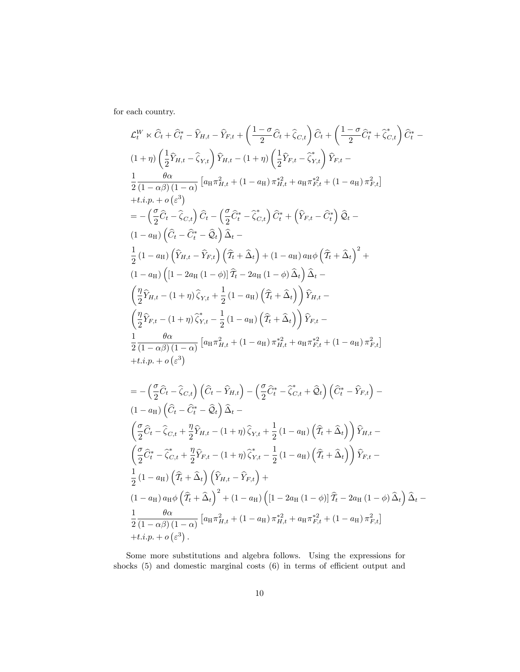for each country.

$$
\mathcal{L}_t^W \times \hat{C}_t + \hat{C}_t^* - \hat{Y}_{H,t} - \hat{Y}_{F,t} + \left(\frac{1-\sigma}{2}\hat{C}_t + \hat{\zeta}_{C,t}\right)\hat{C}_t + \left(\frac{1-\sigma}{2}\hat{C}_t^* + \hat{\zeta}_{C,t}^*\right)\hat{C}_t^* - \frac{(1+\eta)\left(\frac{1}{2}\hat{Y}_{H,t} - \hat{\zeta}_{Y,t}\right)\hat{Y}_{H,t} - (1+\eta)\left(\frac{1}{2}\hat{Y}_{F,t} - \hat{\zeta}_{Y,t}\right)\hat{Y}_{F,t} - \frac{1}{2}\frac{\theta\alpha}{(1-\alpha\beta)(1-\alpha)}\left[\alpha_H\pi_{H,t}^2 + (1-\alpha_H)\pi_{H,t}^{*2} + \alpha_H\pi_{F,t}^{*2} + (1-\alpha_H)\pi_{F,t}^2\right] + t.i.p. + o\left(\varepsilon^3\right) = -\left(\frac{\sigma}{2}\hat{C}_t - \hat{\zeta}_{C,t}\right)\hat{C}_t - \left(\frac{\sigma}{2}\hat{C}_t^* - \hat{\zeta}_{C,t}\right)\hat{C}_t^* + \left(\hat{Y}_{F,t} - \hat{C}_t^*\right)\hat{Q}_t - \frac{1}{2}\left(1-\alpha_H\right)\left(\hat{C}_t - \hat{C}_t^* - \hat{Q}_t\right)\hat{\Delta}_t - \frac{1}{2}\left(1-\alpha_H\right)\left(\hat{Y}_{H,t} - \hat{Y}_{F,t}\right)\left(\hat{T}_t + \hat{\Delta}_t\right) + (1-\alpha_H)\alpha_H\phi\left(\hat{T}_t + \hat{\Delta}_t\right)^2 + \frac{1}{2}\left(1-\alpha_H\right)\left(\left[1-2\alpha_H(1-\phi)\right)\hat{T}_t - 2\alpha_H(1-\phi)\hat{\Delta}_t\right)\hat{\Delta}_t - \frac{1}{2}\left(1-\alpha_H\right)\left(\left[1-2\alpha_H(1-\phi)\right)\hat{T}_t - 2\alpha_H(1-\phi)\hat{\Delta}_t\right)\hat{Y}_{H,t} - \frac{1}{2}\left(\hat{Y}_{F,t} - (1+\eta)\hat{\zeta}_{Y,t} + \frac{1}{2}\left(1-\alpha_H\right)\left(\hat{T}_t + \hat{\Delta}_t\right)\right)\hat{Y}_{H,t} - \frac{1}{2}\left(\frac{\theta\alpha}{1-\alpha\beta}\right)(1-\alpha)\left[\alpha_H
$$

$$
\frac{1}{2}(1-a_H)\left(T_t + \Delta_t\right)\left(Y_{H,t} - Y_{F,t}\right) +
$$
\n
$$
(1-a_H)a_H\phi\left(\widehat{T}_t + \widehat{\Delta}_t\right)^2 + (1-a_H)\left([1-2a_H(1-\phi)]\widehat{T}_t - 2a_H(1-\phi)\widehat{\Delta}_t\right)\widehat{\Delta}_t -
$$
\n
$$
\frac{1}{2}\frac{\theta\alpha}{(1-\alpha\beta)(1-\alpha)}\left[a_H\pi_{H,t}^2 + (1-a_H)\pi_{H,t}^{*2} + a_H\pi_{F,t}^{*2} + (1-a_H)\pi_{F,t}^2\right]
$$
\n
$$
+ t.i.p. + o\left(\varepsilon^3\right).
$$

Some more substitutions and algebra follows. Using the expressions for shocks  $(5)$  and domestic marginal costs  $(6)$  in terms of efficient output and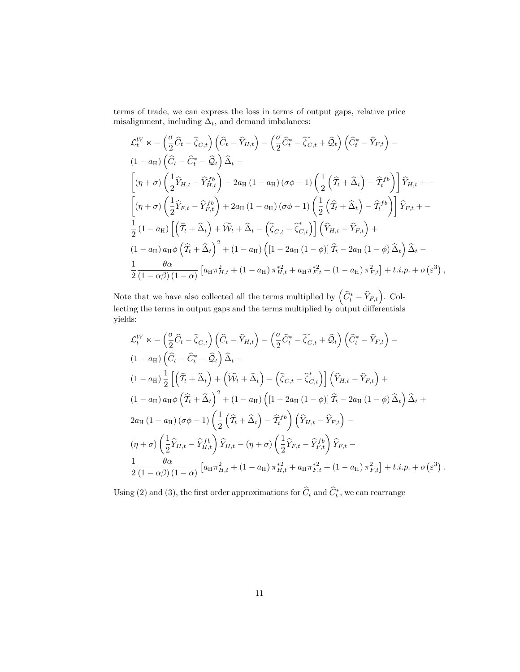terms of trade, we can express the loss in terms of output gaps, relative price misalignment, including  $\Delta_t$ , and demand imbalances:

$$
\mathcal{L}_t^W \propto -\left(\frac{\sigma}{2}\hat{C}_t - \hat{\zeta}_{C,t}\right)\left(\hat{C}_t - \hat{Y}_{H,t}\right) - \left(\frac{\sigma}{2}\hat{C}_t^* - \hat{\zeta}_{C,t}^* + \hat{Q}_t\right)\left(\hat{C}_t^* - \hat{Y}_{F,t}\right) -
$$
\n
$$
(1 - a_H) \left(\hat{C}_t - \hat{C}_t^* - \hat{Q}_t\right)\hat{\Delta}_t -
$$
\n
$$
\left[(\eta + \sigma)\left(\frac{1}{2}\hat{Y}_{H,t} - \hat{Y}_{H,t}^{fb}\right) - 2a_H\left(1 - a_H\right)(\sigma\phi - 1)\left(\frac{1}{2}\left(\hat{T}_t + \hat{\Delta}_t\right) - \hat{T}_t^{fb}\right)\right]\hat{Y}_{H,t} + -
$$
\n
$$
\left[(\eta + \sigma)\left(\frac{1}{2}\hat{Y}_{F,t} - \hat{Y}_{F,t}^{fb}\right) + 2a_H\left(1 - a_H\right)(\sigma\phi - 1)\left(\frac{1}{2}\left(\hat{T}_t + \hat{\Delta}_t\right) - \hat{T}_t^{fb}\right)\right]\hat{Y}_{F,t} + -
$$
\n
$$
\frac{1}{2}\left(1 - a_H\right)\left[\left(\hat{T}_t + \hat{\Delta}_t\right) + \widetilde{W}_t + \hat{\Delta}_t - \left(\hat{\zeta}_{C,t} - \hat{\zeta}_{C,t}^*\right)\right]\left(\hat{Y}_{H,t} - \hat{Y}_{F,t}\right) +
$$
\n
$$
(1 - a_H) a_H \phi \left(\hat{T}_t + \hat{\Delta}_t\right)^2 + (1 - a_H) \left([1 - 2a_H\left(1 - \phi\right)]\hat{T}_t - 2a_H\left(1 - \phi\right)\hat{\Delta}_t\right)\hat{\Delta}_t -
$$
\n
$$
\frac{1}{2}\frac{\theta\alpha}{(1 - \alpha\beta)(1 - \alpha)}\left[a_H \pi_{H,t}^2 + (1 - a_H) \pi_{H,t}^* + a_H \pi_{F,t}^* + (1 - a_H) \pi_{F,t}^2\right] + t.i.p. + o\left(\varepsilon^3\right),
$$

Note that we have also collected all the terms multiplied by  $(\widehat{C}_t^* - \widehat{Y}_{F,t})$ . Collecting the terms in output gaps and the terms multiplied by output differentials yields:

$$
\mathcal{L}_{t}^{W} \times -\left(\frac{\sigma}{2}\hat{C}_{t} - \hat{\zeta}_{C,t}\right)\left(\hat{C}_{t} - \hat{Y}_{H,t}\right) - \left(\frac{\sigma}{2}\hat{C}_{t}^{*} - \hat{\zeta}_{C,t}^{*} + \hat{Q}_{t}\right)\left(\hat{C}_{t}^{*} - \hat{Y}_{F,t}\right) -
$$
\n
$$
(1 - a_{H})\left(\hat{C}_{t} - \hat{C}_{t}^{*} - \hat{Q}_{t}\right)\hat{\Delta}_{t} -
$$
\n
$$
(1 - a_{H})\frac{1}{2}\left[\left(\hat{T}_{t} + \hat{\Delta}_{t}\right) + \left(\widetilde{W}_{t} + \hat{\Delta}_{t}\right) - \left(\hat{\zeta}_{C,t} - \hat{\zeta}_{C,t}^{*}\right)\right]\left(\hat{Y}_{H,t} - \hat{Y}_{F,t}\right) +
$$
\n
$$
(1 - a_{H})a_{H}\phi\left(\hat{T}_{t} + \hat{\Delta}_{t}\right)^{2} + (1 - a_{H})\left([1 - 2a_{H}(1 - \phi)]\hat{T}_{t} - 2a_{H}(1 - \phi)\hat{\Delta}_{t}\right)\hat{\Delta}_{t} +
$$
\n
$$
2a_{H}(1 - a_{H})(\sigma\phi - 1)\left(\frac{1}{2}\left(\hat{T}_{t} + \hat{\Delta}_{t}\right) - \hat{T}_{t}^{fb}\right)\left(\hat{Y}_{H,t} - \hat{Y}_{F,t}\right) -
$$
\n
$$
(\eta + \sigma)\left(\frac{1}{2}\hat{Y}_{H,t} - \hat{Y}_{H,t}^{fb}\right)\hat{Y}_{H,t} - (\eta + \sigma)\left(\frac{1}{2}\hat{Y}_{F,t} - \hat{Y}_{F,t}^{fb}\right)\hat{Y}_{F,t} -
$$
\n
$$
\frac{1}{2}\frac{\theta\alpha}{(1 - \alpha\beta)(1 - \alpha)}\left[a_{H}\pi_{H,t}^{2} + (1 - a_{H})\pi_{H,t}^{*2} + a_{H}\pi_{F,t}^{*2} + (1 - a_{H})\pi_{F,t}^{2}\right] + t.i.p. + o\left(\varepsilon^{3}\right).
$$

Using (2) and (3), the first order approximations for  $C_t$  and  $C_t^*$ , we can rearrange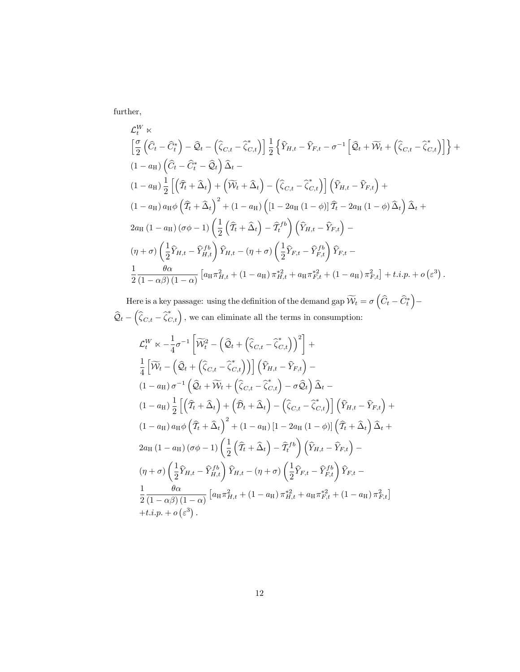further,

$$
\mathcal{L}_{t}^{W} \times \left[ \frac{\sigma}{2} \left( \hat{C}_{t} - \hat{C}_{t}^{*} \right) - \hat{Q}_{t} - \left( \hat{\zeta}_{C,t} - \hat{\zeta}_{C,t}^{*} \right) \right] \frac{1}{2} \left\{ \hat{Y}_{H,t} - \hat{Y}_{F,t} - \sigma^{-1} \left[ \hat{Q}_{t} + \widetilde{W}_{t} + \left( \hat{\zeta}_{C,t} - \hat{\zeta}_{C,t}^{*} \right) \right] \right\} + (1 - a_{H}) \left( \hat{C}_{t} - \hat{C}_{t}^{*} - \hat{Q}_{t} \right) \hat{\Delta}_{t} - (1 - a_{H}) \frac{1}{2} \left[ \left( \hat{T}_{t} + \hat{\Delta}_{t} \right) + \left( \widetilde{W}_{t} + \hat{\Delta}_{t} \right) - \left( \hat{\zeta}_{C,t} - \hat{\zeta}_{C,t}^{*} \right) \right] \left( \hat{Y}_{H,t} - \hat{Y}_{F,t} \right) + (1 - a_{H}) a_{H} \phi \left( \hat{T}_{t} + \hat{\Delta}_{t} \right)^{2} + (1 - a_{H}) \left( \left[ 1 - 2a_{H} \left( 1 - \phi \right) \right] \hat{T}_{t} - 2a_{H} \left( 1 - \phi \right) \hat{\Delta}_{t} \right) \hat{\Delta}_{t} + 2a_{H} \left( 1 - a_{H} \right) \left( \sigma \phi - 1 \right) \left( \frac{1}{2} \left( \hat{T}_{t} + \hat{\Delta}_{t} \right) - \hat{T}_{t}^{t b} \right) \left( \hat{Y}_{H,t} - \hat{Y}_{F,t} \right) - (1 + \sigma) \left( \frac{1}{2} \hat{Y}_{H,t} - \hat{Y}_{H,t}^{t b} \right) \hat{Y}_{H,t} - (1 + \sigma) \left( \frac{1}{2} \hat{Y}_{F,t} - \hat{Y}_{F,t}^{t b} \right) \hat{Y}_{F,t} - \frac{1}{2} \frac{\theta \alpha}{(1 - \alpha \beta) \left( 1 - \alpha \right)} \left[ a_{H} \pi_{H,t}^{2} + \left( 1 - a_{H} \right) \pi_{H,t}^{* 2} + a_{H} \pi_{F,t}^{* 2} + \left( 1 - a_{H} \right) \
$$

Here is a key passage: using the definition of the demand gap  $\widetilde{\mathcal{W}}_t = \sigma\left(\widehat{C}_t - \widehat{C}_t^*\right)$ Ξ  $\mathcal{Q}_t$  –  $\left(\widehat{\zeta}_{C,t} - \widehat{\zeta}_{C,t}^*\right),$  we can eliminate all the terms in consumption:

$$
\mathcal{L}_t^W \propto -\frac{1}{4}\sigma^{-1} \left[ \widetilde{\mathcal{W}}_t^2 - \left( \widehat{\mathcal{Q}}_t + \left( \widehat{\zeta}_{C,t} - \widehat{\zeta}_{C,t}^* \right) \right)^2 \right] + \n\frac{1}{4} \left[ \widetilde{\mathcal{W}}_t - \left( \widehat{\mathcal{Q}}_t + \left( \widehat{\zeta}_{C,t} - \widehat{\zeta}_{C,t}^* \right) \right) \right] \left( \widehat{Y}_{H,t} - \widehat{Y}_{F,t} \right) - \n(1 - a_H) \sigma^{-1} \left( \widehat{\mathcal{Q}}_t + \widetilde{\mathcal{W}}_t + \left( \widehat{\zeta}_{C,t} - \widehat{\zeta}_{C,t}^* \right) - \sigma \widehat{\mathcal{Q}}_t \right) \widehat{\Delta}_t - \n(1 - a_H) \frac{1}{2} \left[ \left( \widehat{T}_t + \widehat{\Delta}_t \right) + \left( \widehat{\mathcal{D}}_t + \widehat{\Delta}_t \right) - \left( \widehat{\zeta}_{C,t} - \widehat{\zeta}_{C,t}^* \right) \right] \left( \widehat{Y}_{H,t} - \widehat{Y}_{F,t} \right) + \n(1 - a_H) a_H \phi \left( \widehat{T}_t + \widehat{\Delta}_t \right)^2 + (1 - a_H) \left[ 1 - 2a_H \left( 1 - \phi \right) \right] \left( \widehat{T}_t + \widehat{\Delta}_t \right) \widehat{\Delta}_t + \n2a_H \left( 1 - a_H \right) \left( \sigma \phi - 1 \right) \left( \frac{1}{2} \left( \widehat{T}_t + \widehat{\Delta}_t \right) - \widehat{T}_t^{\{fb}} \right) \left( \widehat{Y}_{H,t} - \widehat{Y}_{F,t} \right) - \n(\eta + \sigma) \left( \frac{1}{2} \widehat{Y}_{H,t} - \widehat{Y}_{H,t}^{\{fb} } \right) \widehat{Y}_{H,t} - (\eta + \sigma) \left( \frac{1}{2} \widehat{Y}_{F,t} - \widehat{Y}_{F,t}^{\{fb} } \right) \widehat{Y}_{F,t} - \n\frac{1}{2} \frac{\theta \alpha}{(1 - \alpha \beta) \left( 1 - \
$$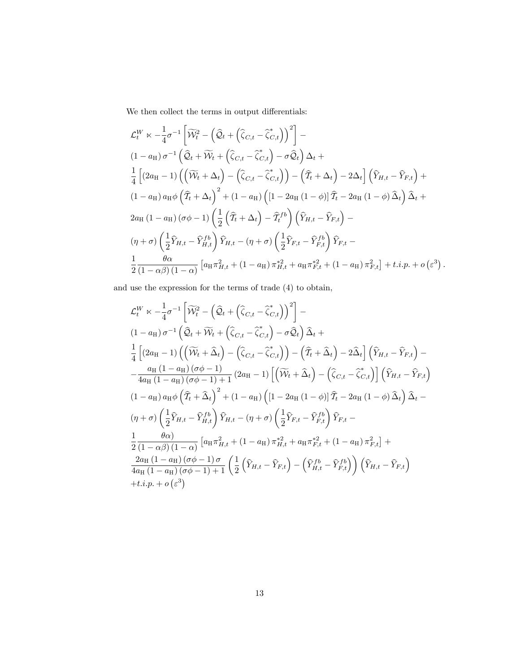We then collect the terms in output differentials:  $% \alpha$ 

$$
\mathcal{L}_t^W \times -\frac{1}{4}\sigma^{-1} \left[ \widetilde{\mathcal{W}}_t^2 - \left( \widehat{\mathcal{Q}}_t + \left( \widehat{\zeta}_{C,t} - \widehat{\zeta}_{C,t}^* \right) \right)^2 \right] -
$$
\n
$$
(1 - a_H) \sigma^{-1} \left( \widehat{\mathcal{Q}}_t + \widetilde{\mathcal{W}}_t + \left( \widehat{\zeta}_{C,t} - \widehat{\zeta}_{C,t}^* \right) - \sigma \widehat{\mathcal{Q}}_t \right) \Delta_t +
$$
\n
$$
\frac{1}{4} \left[ (2a_H - 1) \left( \left( \widetilde{\mathcal{W}}_t + \Delta_t \right) - \left( \widehat{\zeta}_{C,t} - \widehat{\zeta}_{C,t}^* \right) \right) - \left( \widehat{T}_t + \Delta_t \right) - 2\Delta_t \right] \left( \widehat{Y}_{H,t} - \widehat{Y}_{F,t} \right) +
$$
\n
$$
(1 - a_H) a_H \phi \left( \widehat{T}_t + \Delta_t \right)^2 + (1 - a_H) \left( [1 - 2a_H (1 - \phi)] \widehat{T}_t - 2a_H (1 - \phi) \widehat{\Delta}_t \right) \widehat{\Delta}_t +
$$
\n
$$
2a_H (1 - a_H) (\sigma \phi - 1) \left( \frac{1}{2} \left( \widehat{T}_t + \Delta_t \right) - \widehat{T}_t^{\{b\}} \right) \left( \widehat{Y}_{H,t} - \widehat{Y}_{F,t} \right) -
$$
\n
$$
(\eta + \sigma) \left( \frac{1}{2} \widehat{Y}_{H,t} - \widehat{Y}_{H,t}^{\{b\}} \right) \widehat{Y}_{H,t} - (\eta + \sigma) \left( \frac{1}{2} \widehat{Y}_{F,t} - \widehat{Y}_{F,t}^{\{b\}} \right) \widehat{Y}_{F,t} -
$$
\n
$$
\frac{1}{2} \frac{\theta \alpha}{(1 - \alpha \beta)(1 - \alpha)} \left[ a_H \pi_{H,t}^2 + (1 - a_H) \pi_{H,t}^* + a_H \pi_{F,t}^* + (1 - a_H) \pi_{F,t}^2 \right] + t.i.p. + o \left( \varepsilon^3 \right).
$$

and use the expression for the terms of trade (4) to obtain,

$$
\mathcal{L}_t^W \propto -\frac{1}{4}\sigma^{-1} \left[ \widetilde{\mathcal{W}}_t^2 - \left( \widehat{\mathcal{Q}}_t + \left( \widehat{\zeta}_{C,t} - \widehat{\zeta}_{C,t}^* \right) \right)^2 \right] -
$$
\n
$$
(1 - a_H) \sigma^{-1} \left( \widehat{\mathcal{Q}}_t + \widetilde{\mathcal{W}}_t + \left( \widehat{\zeta}_{C,t} - \widehat{\zeta}_{C,t}^* \right) - \sigma \widehat{\mathcal{Q}}_t \right) \widehat{\Delta}_t +
$$
\n
$$
\frac{1}{4} \left[ (2a_H - 1) \left( \left( \widetilde{\mathcal{W}}_t + \widehat{\Delta}_t \right) - \left( \widehat{\zeta}_{C,t} - \widehat{\zeta}_{C,t}^* \right) \right) - \left( \widehat{T}_t + \widehat{\Delta}_t \right) - 2\widehat{\Delta}_t \right] \left( \widehat{Y}_{H,t} - \widehat{Y}_{F,t} \right) -
$$
\n
$$
- \frac{a_H (1 - a_H) (\sigma \phi - 1)}{4a_H (1 - a_H) (\sigma \phi - 1) + 1} (2a_H - 1) \left[ \left( \widetilde{\mathcal{W}}_t + \widehat{\Delta}_t \right) - \left( \widehat{\zeta}_{C,t} - \widehat{\zeta}_{C,t}^* \right) \right] \left( \widehat{Y}_{H,t} - \widehat{Y}_{F,t} \right)
$$
\n
$$
(1 - a_H) a_H \phi \left( \widehat{T}_t + \widehat{\Delta}_t \right)^2 + (1 - a_H) \left( [1 - 2a_H (1 - \phi)] \widehat{T}_t - 2a_H (1 - \phi) \widehat{\Delta}_t \right) \widehat{\Delta}_t -
$$
\n
$$
(\eta + \sigma) \left( \frac{1}{2} \widehat{Y}_{H,t} - \widehat{Y}_{H,t}^B \right) \widehat{Y}_{H,t} - (\eta + \sigma) \left( \frac{1}{2} \widehat{Y}_{F,t} - \widehat{Y}_{F,t}^B \right) \widehat{Y}_{F,t} -
$$
\n
$$
- \frac{1}{2} \frac{\theta \alpha}{(1 - \alpha \beta)(1 - \alpha)} \left[ a_H \pi_{H,t}^2 + (1 - a_H) \pi_{
$$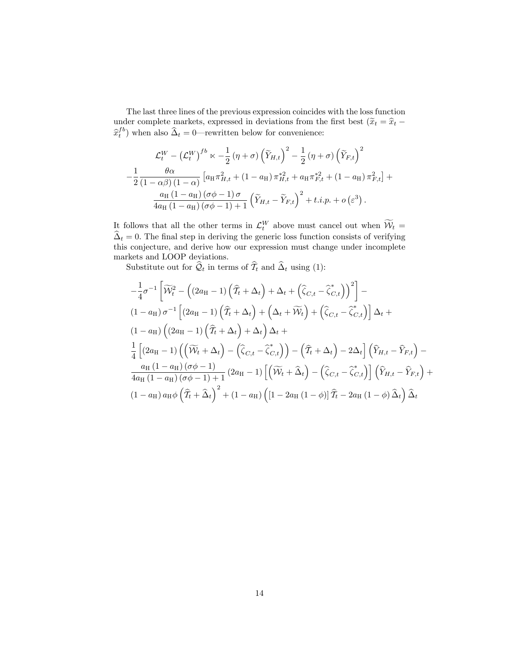The last three lines of the previous expression coincides with the loss function under complete markets, expressed in deviations from the first best ( $\widetilde{x}_t = \widehat{x}_t$  –  $\hat{x}_t^{fb}$ ) when also  $\hat{\Delta}_t = 0$ —rewritten below for convenience:

$$
\mathcal{L}_t^W - \left(\mathcal{L}_t^W\right)^{fb} \ltimes -\frac{1}{2} \left(\eta + \sigma\right) \left(\widetilde{Y}_{H,t}\right)^2 - \frac{1}{2} \left(\eta + \sigma\right) \left(\widetilde{Y}_{F,t}\right)^2
$$

$$
-\frac{1}{2} \frac{\theta \alpha}{\left(1 - \alpha \beta\right) \left(1 - \alpha\right)} \left[a_H \pi_{H,t}^2 + \left(1 - a_H\right) \pi_{H,t}^{*2} + a_H \pi_{F,t}^{*2} + \left(1 - a_H\right) \pi_{F,t}^2\right] + \frac{a_H \left(1 - a_H\right) \left(\sigma \phi - 1\right) \sigma}{4a_H \left(1 - a_H\right) \left(\sigma \phi - 1\right) + 1} \left(\widetilde{Y}_{H,t} - \widetilde{Y}_{F,t}\right)^2 + t.i.p. + o\left(\varepsilon^3\right).
$$

It follows that all the other terms in  $\mathcal{L}_t^W$  above must cancel out when  $\mathcal{W}_t = \hat{S}$  $\Delta_t = 0$ . The final step in deriving the generic loss function consists of verifying this conjecture, and derive how our expression must change under incomplete markets and LOOP deviations.

Substitute out for  $\widehat{Q}_t$  in terms of  $\widehat{T}_t$  and  $\widehat{\Delta}_t$  using (1):

$$
-\frac{1}{4}\sigma^{-1}\left[\widetilde{\mathcal{W}}_t^2 - \left((2a_{\mathrm{H}}-1)\left(\widehat{T}_t + \Delta_t\right) + \Delta_t + \left(\widehat{\zeta}_{C,t} - \widehat{\zeta}_{C,t}^*\right)\right)^2\right] -
$$
  
\n
$$
(1-a_{\mathrm{H}})\sigma^{-1}\left[(2a_{\mathrm{H}}-1)\left(\widehat{T}_t + \Delta_t\right) + \left(\Delta_t + \widetilde{\mathcal{W}}_t\right) + \left(\widehat{\zeta}_{C,t} - \widehat{\zeta}_{C,t}^*\right)\right]\Delta_t +
$$
  
\n
$$
(1-a_{\mathrm{H}})\left((2a_{\mathrm{H}}-1)\left(\widehat{T}_t + \Delta_t\right) + \Delta_t\right)\Delta_t +
$$
  
\n
$$
\frac{1}{4}\left[(2a_{\mathrm{H}}-1)\left(\left(\widetilde{\mathcal{W}}_t + \Delta_t\right) - \left(\widehat{\zeta}_{C,t} - \widehat{\zeta}_{C,t}^*\right)\right) - \left(\widehat{T}_t + \Delta_t\right) - 2\Delta_t\right]\left(\widehat{Y}_{H,t} - \widehat{Y}_{F,t}\right) -
$$
  
\n
$$
\frac{a_{\mathrm{H}}\left(1-a_{\mathrm{H}}\right)(\sigma\phi-1)}{4a_{\mathrm{H}}\left(1-a_{\mathrm{H}}\right)(\sigma\phi-1) + 1}\left(2a_{\mathrm{H}} - 1\right)\left[\left(\widetilde{\mathcal{W}}_t + \widehat{\Delta}_t\right) - \left(\widehat{\zeta}_{C,t} - \widehat{\zeta}_{C,t}^*\right)\right]\left(\widehat{Y}_{H,t} - \widehat{Y}_{F,t}\right) +
$$
  
\n
$$
(1-a_{\mathrm{H}})a_{\mathrm{H}}\phi\left(\widehat{T}_t + \widehat{\Delta}_t\right)^2 + (1-a_{\mathrm{H}})\left([1-2a_{\mathrm{H}}\left(1-\phi\right)]\widehat{T}_t - 2a_{\mathrm{H}}\left(1-\phi\right)\widehat{\Delta}_t\right)\widehat{\Delta}_t
$$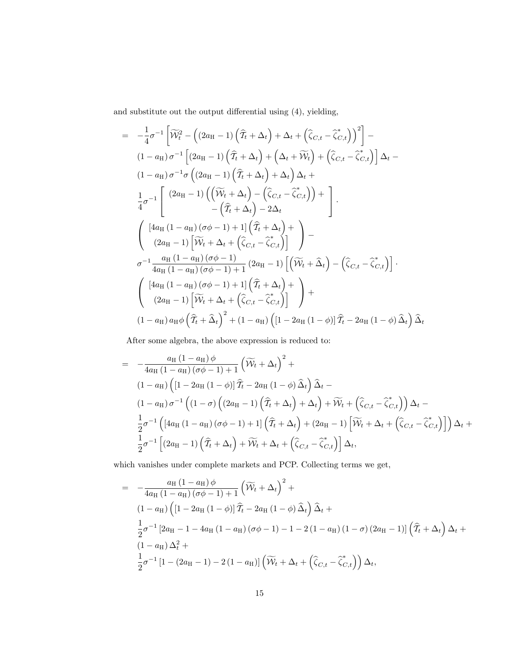and substitute out the output differential using  $(4)$ , yielding,

$$
= -\frac{1}{4}\sigma^{-1}\left[\widetilde{\mathcal{W}}_t^2 - \left((2a_{\mathrm{H}}-1)\left(\widehat{T}_t + \Delta_t\right) + \Delta_t + \left(\widehat{\zeta}_{C,t} - \widehat{\zeta}_{C,t}^*\right)\right)^2\right] -
$$
\n
$$
(1 - a_{\mathrm{H}})\sigma^{-1}\left[(2a_{\mathrm{H}}-1)\left(\widehat{T}_t + \Delta_t\right) + \left(\Delta_t + \widetilde{\mathcal{W}}_t\right) + \left(\widehat{\zeta}_{C,t} - \widehat{\zeta}_{C,t}^*\right)\right]\Delta_t -
$$
\n
$$
(1 - a_{\mathrm{H}})\sigma^{-1}\sigma\left((2a_{\mathrm{H}}-1)\left(\widehat{T}_t + \Delta_t\right) + \Delta_t\right)\Delta_t +
$$
\n
$$
\frac{1}{4}\sigma^{-1}\left[\frac{(2a_{\mathrm{H}}-1)\left(\left(\widetilde{\mathcal{W}}_t + \Delta_t\right) - \left(\widehat{\zeta}_{C,t} - \widehat{\zeta}_{C,t}\right)\right) + \right]}{-\left(\widehat{T}_t + \Delta_t\right) - 2\Delta_t}\right].
$$
\n
$$
\left(\frac{[4a_{\mathrm{H}}(1 - a_{\mathrm{H}})(\sigma\phi - 1) + 1]\left(\widehat{T}_t + \Delta_t\right) + \right) -
$$
\n
$$
\sigma^{-1}\frac{a_{\mathrm{H}}(1 - a_{\mathrm{H}})(\sigma\phi - 1)}{4a_{\mathrm{H}}(1 - a_{\mathrm{H}})(\sigma\phi - 1) + 1}\left(2a_{\mathrm{H}} - 1\right)\left[\widetilde{\mathcal{W}}_t + \widehat{\Delta}_t\right) - \left(\widehat{\zeta}_{C,t} - \widehat{\zeta}_{C,t}\right]\right].
$$
\n
$$
\left(\frac{[4a_{\mathrm{H}}(1 - a_{\mathrm{H}})(\sigma\phi - 1) + 1]\left(\widehat{T}_t + \Delta_t\right) + \left(2a_{\mathrm{H}} - 1\right)\left[\widetilde{\mathcal{W}}_t + \Delta_t + \left(\widehat{\zeta}_{C,t} - \widehat{\zeta}_{C,t}\right)\right]}{2a_{\mathrm{H}} - 1}\right) +
$$
\n
$$
(1 - a_{\mathrm{H}}) a_{\mathrm{H}}\phi\left(\widehat
$$

After some algebra, the above expression is reduced to:

$$
= -\frac{a_{\mathrm{H}}(1-a_{\mathrm{H}})\phi}{4a_{\mathrm{H}}(1-a_{\mathrm{H}})(\sigma\phi-1)+1} \left(\widetilde{\mathcal{W}}_{t} + \Delta_{t}\right)^{2} +
$$
\n
$$
(1-a_{\mathrm{H}})\left(\left[1-2a_{\mathrm{H}}(1-\phi)\right]\widehat{T}_{t} - 2a_{\mathrm{H}}(1-\phi)\widehat{\Delta}_{t}\right)\widehat{\Delta}_{t} -
$$
\n
$$
(1-a_{\mathrm{H}})\sigma^{-1}\left((1-\sigma)\left((2a_{\mathrm{H}}-1)\left(\widehat{T}_{t} + \Delta_{t}\right) + \Delta_{t}\right) + \widetilde{\mathcal{W}}_{t} + \left(\widehat{\zeta}_{C,t} - \widehat{\zeta}_{C,t}^{*}\right)\right)\Delta_{t} -
$$
\n
$$
\frac{1}{2}\sigma^{-1}\left(\left[4a_{\mathrm{H}}(1-a_{\mathrm{H}})(\sigma\phi-1)+1\right]\left(\widehat{T}_{t} + \Delta_{t}\right) + \left(2a_{\mathrm{H}}-1\right)\left[\widetilde{\mathcal{W}}_{t} + \Delta_{t} + \left(\widehat{\zeta}_{C,t} - \widehat{\zeta}_{C,t}^{*}\right)\right]\right)\Delta_{t} +
$$
\n
$$
\frac{1}{2}\sigma^{-1}\left[\left(2a_{\mathrm{H}}-1\right)\left(\widehat{T}_{t} + \Delta_{t}\right) + \widetilde{\mathcal{W}}_{t} + \Delta_{t} + \left(\widehat{\zeta}_{C,t} - \widehat{\zeta}_{C,t}^{*}\right)\right]\Delta_{t},
$$

which vanishes under complete markets and PCP. Collecting terms we get,

$$
= -\frac{a_{\mathrm{H}}(1-a_{\mathrm{H}})\phi}{4a_{\mathrm{H}}(1-a_{\mathrm{H}})(\sigma\phi-1)+1} \left(\widetilde{\mathcal{W}}_{t} + \Delta_{t}\right)^{2} +
$$
  
\n
$$
(1-a_{\mathrm{H}})\left(\left[1-2a_{\mathrm{H}}(1-\phi)\right]\widehat{T}_{t} - 2a_{\mathrm{H}}(1-\phi)\widehat{\Delta}_{t}\right)\widehat{\Delta}_{t} +
$$
  
\n
$$
\frac{1}{2}\sigma^{-1}\left[2a_{\mathrm{H}}-1-4a_{\mathrm{H}}(1-a_{\mathrm{H}})(\sigma\phi-1)-1-2(1-a_{\mathrm{H}})(1-\sigma)(2a_{\mathrm{H}}-1)\right]\left(\widehat{T}_{t} + \Delta_{t}\right)\Delta_{t} +
$$
  
\n
$$
(1-a_{\mathrm{H}})\Delta_{t}^{2} +
$$
  
\n
$$
\frac{1}{2}\sigma^{-1}\left[1-(2a_{\mathrm{H}}-1)-2(1-a_{\mathrm{H}})\right]\left(\widetilde{\mathcal{W}}_{t} + \Delta_{t} + \left(\widehat{\zeta}_{C,t} - \widehat{\zeta}_{C,t}^{*}\right)\right)\Delta_{t},
$$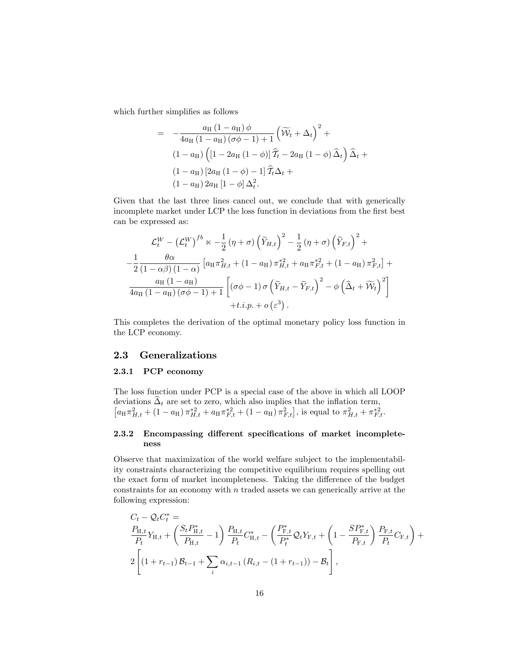which further simplifies as follows

$$
= -\frac{a_{\mathrm{H}}(1-a_{\mathrm{H}})\phi}{4a_{\mathrm{H}}(1-a_{\mathrm{H}})(\sigma\phi-1)+1} \left(\widetilde{\mathcal{W}}_{t} + \Delta_{t}\right)^{2} +
$$

$$
(1-a_{\mathrm{H}})\left([1-2a_{\mathrm{H}}(1-\phi)]\widehat{T}_{t} - 2a_{\mathrm{H}}(1-\phi)\widehat{\Delta}_{t}\right)\widehat{\Delta}_{t} +
$$

$$
(1-a_{\mathrm{H}})\left[2a_{\mathrm{H}}(1-\phi)-1\right]\widehat{T}_{t}\Delta_{t} +
$$

$$
(1-a_{\mathrm{H}})2a_{\mathrm{H}}\left[1-\phi\right]\Delta_{t}^{2}.
$$

Given that the last three lines cancel out, we conclude that with generically incomplete market under LCP the loss function in deviations from the first best can be expressed as:

$$
\mathcal{L}_t^W - \left(\mathcal{L}_t^W\right)^{fb} \propto -\frac{1}{2} \left(\eta + \sigma\right) \left(\widetilde{Y}_{H,t}\right)^2 - \frac{1}{2} \left(\eta + \sigma\right) \left(\widetilde{Y}_{F,t}\right)^2 +
$$
  

$$
-\frac{1}{2} \frac{\theta \alpha}{\left(1 - \alpha \beta\right) \left(1 - \alpha\right)} \left[a_H \pi_{H,t}^2 + \left(1 - a_H\right) \pi_{H,t}^{*2} + a_H \pi_{F,t}^{*2} + \left(1 - a_H\right) \pi_{F,t}^2\right] +
$$
  

$$
\frac{a_H \left(1 - a_H\right)}{4a_H \left(1 - a_H\right) \left(\sigma \phi - 1\right) + 1} \left[\left(\sigma \phi - 1\right) \sigma \left(\widetilde{Y}_{H,t} - \widetilde{Y}_{F,t}\right)^2 - \phi \left(\widehat{\Delta}_t + \widetilde{\mathcal{W}}_t\right)^2\right] + t.i.p. + o\left(\varepsilon^3\right).
$$

This completes the derivation of the optimal monetary policy loss function in the LCP economy.

#### 2.3 Generalizations

#### 2.3.1 PCP economy

The loss function under PCP is a special case of the above in which all LOOP deviations  $\Delta_t$  are set to zero, which also implies that the inflation term,<br> $[a_H \pi_{H,t}^2 + (1 - a_H) \pi_{H,t}^{*2} + a_H \pi_{F,t}^{*2} + (1 - a_H) \pi_{F,t}^2]$ , is equal to  $\pi_{H,t}^2 + \pi_{F,t}^{*2}$ .

### 2.3.2 Encompassing different specifications of market incompleteness

Observe that maximization of the world welfare subject to the implementability constraints characterizing the competitive equilibrium requires spelling out the exact form of market incompleteness. Taking the difference of the budget constraints for an economy with  $n$  traded assets we can generically arrive at the following expression:

$$
C_{t} - Q_{t}C_{t}^{*} =
$$
  
\n
$$
\frac{P_{H,t}}{P_{t}}Y_{H,t} + \left(\frac{S_{t}P_{H,t}^{*}}{P_{H,t}} - 1\right) \frac{P_{H,t}}{P_{t}}C_{H,t}^{*} - \left(\frac{P_{F,t}^{*}}{P_{t}^{*}}Q_{t}Y_{F,t} + \left(1 - \frac{SP_{F,t}^{*}}{P_{F,t}}\right) \frac{P_{F,t}}{P_{t}}C_{F,t}\right) +
$$
  
\n
$$
2\left[\left(1 + r_{t-1}\right)B_{t-1} + \sum_{i}\alpha_{i,t-1}\left(R_{i,t} - \left(1 + r_{t-1}\right)\right) - B_{t}\right],
$$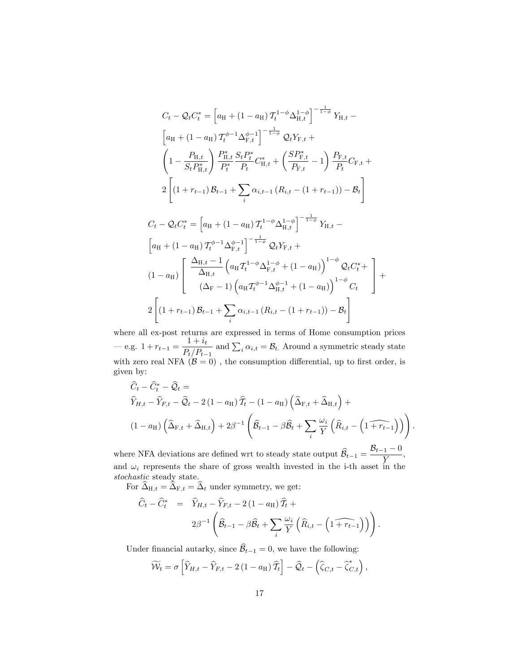$$
C_{t} - Q_{t}C_{t}^{*} = \left[a_{H} + (1 - a_{H})\mathcal{T}_{t}^{1-\phi}\Delta_{H,t}^{1-\phi}\right]^{-\frac{1}{1-\phi}}Y_{H,t} -
$$
\n
$$
\left[a_{H} + (1 - a_{H})\mathcal{T}_{t}^{\phi-1}\Delta_{F,t}^{\phi-1}\right]^{-\frac{1}{1-\phi}}Q_{t}Y_{F,t} +
$$
\n
$$
\left(1 - \frac{P_{H,t}}{S_{t}P_{H,t}^{*}}\right)\frac{P_{H,t}^{*}}{P_{t}^{*}}\frac{S_{t}P_{t}^{*}}{P_{t}}C_{H,t}^{*} + \left(\frac{SP_{F,t}^{*}}{P_{F,t}} - 1\right)\frac{P_{F,t}}{P_{t}}C_{F,t} +
$$
\n
$$
2\left[(1 + r_{t-1})B_{t-1} + \sum_{i}\alpha_{i,t-1}\left(R_{i,t} - (1 + r_{t-1})\right) - B_{t}\right]
$$
\n
$$
C_{t} - Q_{t}C_{t}^{*} = \left[a_{H} + (1 - a_{H})\mathcal{T}_{t}^{1-\phi}\Delta_{H,t}^{1-\phi}\right]^{-\frac{1}{1-\phi}}Y_{H,t} -
$$
\n
$$
\left[a_{H} + (1 - a_{H})\mathcal{T}_{t}^{\phi-1}\Delta_{F,t}^{\phi-1}\right]^{-\frac{1}{1-\phi}}Q_{t}Y_{F,t} +
$$

$$
\begin{bmatrix}\n(a_{\rm H} + (1 - a_{\rm H}) \, I_t & \Delta_{\rm F,t} \\
(1 - a_{\rm H}) \left[ \frac{\Delta_{\rm H,t} - 1}{\Delta_{\rm H,t}} \left( a_{\rm H} T_t^{1 - \phi} \Delta_{\rm F,t}^{1 - \phi} + (1 - a_{\rm H}) \right)^{1 - \phi} \mathcal{Q}_t C_t^* + \frac{\Delta_{\rm H,t}}{\Delta_{\rm H,t}} \left( \Delta_{\rm F} - 1 \right) \left( a_{\rm H} T_t^{\phi - 1} \Delta_{\rm H,t}^{\phi - 1} + (1 - a_{\rm H}) \right)^{1 - \phi} C_t\n\end{bmatrix} + 2 \left[ (1 + r_{t-1}) \mathcal{B}_{t-1} + \sum_i \alpha_{i,t-1} \left( R_{i,t} - (1 + r_{t-1}) \right) - \mathcal{B}_t \right]
$$

where all ex-post returns are expressed in terms of Home consumption prices  $-e.g. 1 + r_{t-1} = \frac{1 + i_t}{P_t/P_t}$  $P_t/P_{t-1}$ and  $\sum_i \alpha_{i,t} = \mathcal{B}_{t.}$  Around a symmetric steady state with zero real NFA  $(B = 0)$ , the consumption differential, up to first order, is given by:

$$
\widehat{C}_{t} - \widehat{C}_{t}^{*} - \widehat{Q}_{t} =
$$
\n
$$
\widehat{Y}_{H,t} - \widehat{Y}_{F,t} - \widehat{Q}_{t} - 2(1 - a_{H})\widehat{T}_{t} - (1 - a_{H})\left(\widehat{\Delta}_{F,t} + \widehat{\Delta}_{H,t}\right) +
$$
\n
$$
(1 - a_{H})\left(\widehat{\Delta}_{F,t} + \widehat{\Delta}_{H,t}\right) + 2\beta^{-1}\left(\widehat{\mathcal{B}}_{t-1} - \beta\widehat{\mathcal{B}}_{t} + \sum_{i} \frac{\omega_{i}}{Y}\left(\widehat{R}_{i,t} - \left(1 + \widehat{r}_{t-1}\right)\right)\right)
$$

:

where NFA deviations are defined wrt to steady state output  $\widehat{B}_{t-1} = \frac{\mathcal{B}_{t-1} - 0}{Y}$  $\frac{1}{Y}$ , and  $\omega_i$  represents the share of gross wealth invested in the i-th asset in the stochastic steady state.

For  $\widehat{\Delta}_{H,t} = \widehat{\Delta}_{F,t} = \widehat{\Delta}_t$  under symmetry, we get:

$$
\widehat{C}_t - \widehat{C}_t^* = \widehat{Y}_{H,t} - \widehat{Y}_{F,t} - 2(1 - a_H) \widehat{T}_t + 2\beta^{-1} \left( \widehat{B}_{t-1} - \beta \widehat{B}_t + \sum_i \frac{\omega_i}{Y} \left( \widehat{R}_{i,t} - \left( 1 + \widehat{r}_{t-1} \right) \right) \right).
$$

Under financial autarky, since  $\widehat{\mathcal{B}}_{t-1} = 0$ , we have the following:

$$
\widetilde{\mathcal{W}}_t = \sigma \left[ \widehat{Y}_{H,t} - \widehat{Y}_{F,t} - 2\left(1 - a_H\right) \widehat{\mathcal{I}}_t \right] - \widehat{\mathcal{Q}}_t - \left( \widehat{\zeta}_{C,t} - \widehat{\zeta}_{C,t}^* \right),
$$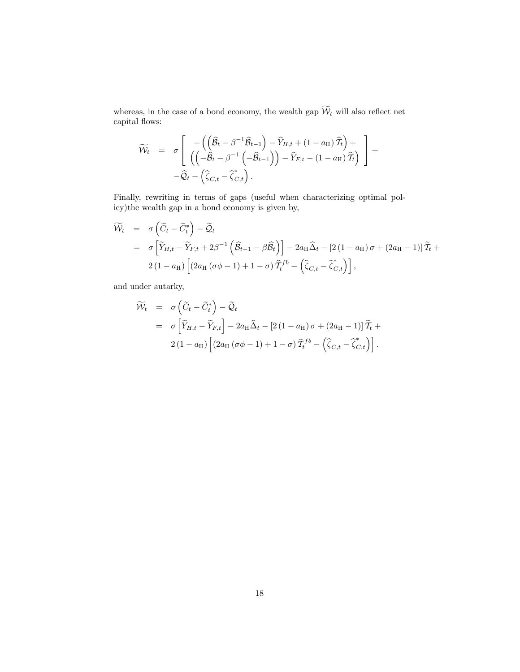whereas, in the case of a bond economy, the wealth gap  $\widetilde{\mathcal{W}}_t$  will also reflect net capital flows:

$$
\widetilde{\mathcal{W}}_t = \sigma \left[ \begin{array}{cc} -\left( \left( \widehat{\mathcal{B}}_t - \beta^{-1} \widehat{\mathcal{B}}_{t-1} \right) - \widehat{Y}_{H,t} + \left( 1 - a_H \right) \widehat{T}_t \right) + \\ \left( \left( -\widehat{\mathcal{B}}_t - \beta^{-1} \left( -\widehat{\mathcal{B}}_{t-1} \right) \right) - \widehat{Y}_{F,t} - \left( 1 - a_H \right) \widehat{T}_t \right) \end{array} \right] + \\ - \widehat{\mathcal{Q}}_t - \left( \widehat{\zeta}_{C,t} - \widehat{\zeta}_{C,t}^* \right).
$$

Finally, rewriting in terms of gaps (useful when characterizing optimal policy)the wealth gap in a bond economy is given by,

$$
\widetilde{\mathcal{W}}_t = \sigma \left( \widetilde{C}_t - \widetilde{C}_t^* \right) - \widetilde{\mathcal{Q}}_t \n= \sigma \left[ \widetilde{Y}_{H,t} - \widetilde{Y}_{F,t} + 2\beta^{-1} \left( \widehat{\mathcal{B}}_{t-1} - \beta \widehat{\mathcal{B}}_t \right) \right] - 2a_H \widehat{\Delta}_t - \left[ 2\left( 1 - a_H \right) \sigma + \left( 2a_H - 1 \right) \right] \widetilde{T}_t + \n2 \left( 1 - a_H \right) \left[ \left( 2a_H \left( \sigma \phi - 1 \right) + 1 - \sigma \right) \widehat{T}_t^{fb} - \left( \widehat{\zeta}_{C,t} - \widehat{\zeta}_{C,t}^* \right) \right],
$$

and under autarky,

$$
\widetilde{\mathcal{W}}_t = \sigma \left( \widetilde{C}_t - \widetilde{C}_t^* \right) - \widetilde{\mathcal{Q}}_t \n= \sigma \left[ \widetilde{Y}_{H,t} - \widetilde{Y}_{F,t} \right] - 2a_H \widehat{\Delta}_t - \left[ 2\left(1 - a_H\right) \sigma + \left(2a_H - 1\right) \right] \widetilde{\mathcal{I}}_t + \n2\left(1 - a_H\right) \left[ \left(2a_H\left(\sigma\phi - 1\right) + 1 - \sigma\right) \widehat{\mathcal{I}}_t^{fb} - \left( \widehat{\zeta}_{C,t} - \widehat{\zeta}_{C,t}^* \right) \right].
$$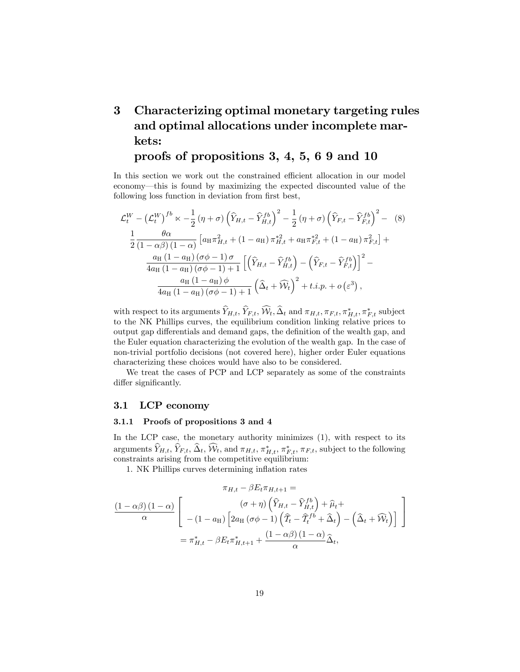# 3 Characterizing optimal monetary targeting rules and optimal allocations under incomplete markets:

# proofs of propositions 3, 4, 5, 6 9 and 10

In this section we work out the constrained efficient allocation in our model economy—this is found by maximizing the expected discounted value of the following loss function in deviation from first best,

$$
\mathcal{L}_{t}^{W} - \left(\mathcal{L}_{t}^{W}\right)^{fb} \propto -\frac{1}{2} \left(\eta + \sigma\right) \left(\widehat{Y}_{H,t} - \widehat{Y}_{H,t}^{fb}\right)^{2} - \frac{1}{2} \left(\eta + \sigma\right) \left(\widehat{Y}_{F,t} - \widehat{Y}_{F,t}^{fb}\right)^{2} - (8)
$$
  

$$
\frac{1}{2} \frac{\theta \alpha}{(1 - \alpha \beta)(1 - \alpha)} \left[a_{H} \pi_{H,t}^{2} + (1 - a_{H}) \pi_{H,t}^{*2} + a_{H} \pi_{F,t}^{*2} + (1 - a_{H}) \pi_{F,t}^{2}\right] + \frac{a_{H} (1 - a_{H}) \left(\sigma \phi - 1\right) \sigma}{4a_{H} (1 - a_{H}) \left(\sigma \phi - 1\right) + 1} \left[\left(\widehat{Y}_{H,t} - \widehat{Y}_{H,t}^{fb}\right) - \left(\widehat{Y}_{F,t} - \widehat{Y}_{F,t}^{fb}\right)\right]^{2} - \frac{a_{H} (1 - a_{H}) \phi}{4a_{H} (1 - a_{H}) \left(\sigma \phi - 1\right) + 1} \left(\widehat{\Delta}_{t} + \widehat{W}_{t}\right)^{2} + t.i.p. + o\left(\varepsilon^{3}\right),
$$

with respect to its arguments  $Y_{H,t}, Y_{F,t}, \mathcal{W}_t, \Delta_t$  and  $\pi_{H,t}, \pi_{F,t}, \pi_{H,t}^*, \pi_{F,t}^*$  subject to the NK Phillips curves, the equilibrium condition linking relative prices to output gap differentials and demand gaps, the definition of the wealth gap, and the Euler equation characterizing the evolution of the wealth gap. In the case of non-trivial portfolio decisions (not covered here), higher order Euler equations characterizing these choices would have also to be considered.

We treat the cases of PCP and LCP separately as some of the constraints differ significantly.

# 3.1 LCP economy

#### 3.1.1 Proofs of propositions 3 and 4

In the LCP case, the monetary authority minimizes  $(1)$ , with respect to its arguments  $Y_{H,t}, Y_{F,t}, \Delta_t, \mathcal{W}_t$ , and  $\pi_{H,t}, \pi^*_{H,t}, \pi^*_{F,t}, \pi_{F,t}$ , subject to the following constraints arising from the competitive equilibrium:

1. NK Phillips curves determining inflation rates

$$
\pi_{H,t} - \beta E_t \pi_{H,t+1} =
$$
\n
$$
\frac{(1 - \alpha \beta)(1 - \alpha)}{\alpha} \left[ \begin{array}{c} (\sigma + \eta) \left( \widehat{Y}_{H,t} - \widehat{Y}_{H,t}^{fb} \right) + \widehat{\mu}_t + \\ - (1 - a_H) \left[ 2a_H (\sigma \phi - 1) \left( \widehat{T}_t - \widehat{T}_t^{fb} + \widehat{\Delta}_t \right) - \left( \widehat{\Delta}_t + \widehat{W}_t \right) \right] \end{array} \right]
$$
\n
$$
= \pi_{H,t}^* - \beta E_t \pi_{H,t+1}^* + \frac{(1 - \alpha \beta)(1 - \alpha)}{\alpha} \widehat{\Delta}_t,
$$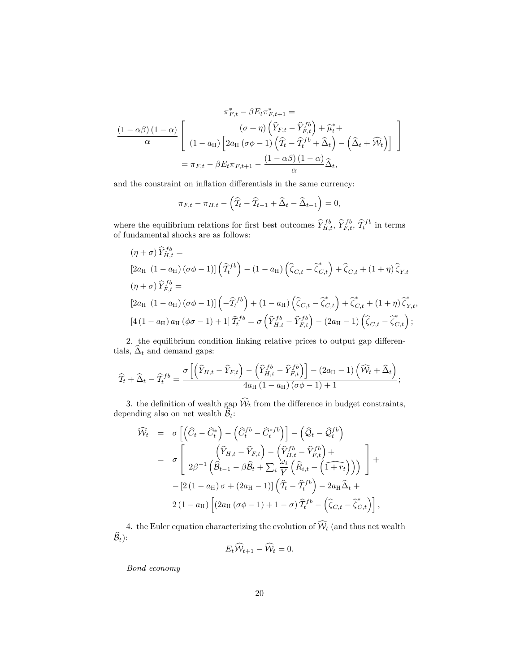$$
\pi_{F,t}^{*} - \beta E_{t} \pi_{F,t+1}^{*} =
$$
\n
$$
\frac{(1 - \alpha \beta)(1 - \alpha)}{\alpha} \left[ \begin{array}{c} (\sigma + \eta) \left( \widehat{Y}_{F,t} - \widehat{Y}_{F,t}^{fb} \right) + \widehat{\mu}_{t}^{*} + \\ (1 - a_{H}) \left[ 2a_{H} \left( \sigma \phi - 1 \right) \left( \widehat{T}_{t} - \widehat{T}_{t}^{fb} + \widehat{\Delta}_{t} \right) - \left( \widehat{\Delta}_{t} + \widehat{W}_{t} \right) \right] \end{array} \right]
$$
\n
$$
= \pi_{F,t} - \beta E_{t} \pi_{F,t+1} - \frac{(1 - \alpha \beta)(1 - \alpha)}{\alpha} \widehat{\Delta}_{t},
$$

and the constraint on inflation differentials in the same currency:

$$
\pi_{F,t} - \pi_{H,t} - \left(\widehat{\mathcal{T}}_t - \widehat{\mathcal{T}}_{t-1} + \widehat{\Delta}_t - \widehat{\Delta}_{t-1}\right) = 0,
$$

where the equilibrium relations for first best outcomes  $\hat{Y}_{H,t}^{fb}, \hat{Y}_{F,t}^{fb}, \hat{\mathcal{T}}_t^{fb}$  in terms of fundamental shocks are as follows:

$$
(\eta + \sigma) \widehat{Y}_{H,t}^{fb} =
$$
\n
$$
[2a_H (1 - a_H) (\sigma \phi - 1)] (\widehat{T}_t^{fb}) - (1 - a_H) (\widehat{\zeta}_{C,t} - \widehat{\zeta}_{C,t}^*) + \widehat{\zeta}_{C,t} + (1 + \eta) \widehat{\zeta}_{Y,t}
$$
\n
$$
(\eta + \sigma) \widehat{Y}_{F,t}^{fb} =
$$
\n
$$
[2a_H (1 - a_H) (\sigma \phi - 1)] (-\widehat{T}_t^{fb}) + (1 - a_H) (\widehat{\zeta}_{C,t} - \widehat{\zeta}_{C,t}^*) + \widehat{\zeta}_{C,t}^* + (1 + \eta) \widehat{\zeta}_{Y,t}^*,
$$
\n
$$
[4(1 - a_H) a_H (\phi \sigma - 1) + 1] \widehat{T}_t^{fb} = \sigma \left( \widehat{Y}_{H,t}^{fb} - \widehat{Y}_{F,t}^{fb} \right) - (2a_H - 1) (\widehat{\zeta}_{C,t} - \widehat{\zeta}_{C,t}^*) ;
$$

2. the equilibrium condition linking relative prices to output gap differentials,  $\widehat{\Delta}_t$  and demand gaps:

$$
\widehat{T}_t + \widehat{\Delta}_t - \widehat{T}_t^{fb} = \frac{\sigma \left[ \left( \widehat{Y}_{H,t} - \widehat{Y}_{F,t} \right) - \left( \widehat{Y}_{H,t}^{fb} - \widehat{Y}_{F,t}^{fb} \right) \right] - (2a_H - 1) \left( \widehat{W}_t + \widehat{\Delta}_t \right)}{4a_H \left( 1 - a_H \right) \left( \sigma \phi - 1 \right) + 1};
$$

3. the definition of wealth gap  $\mathcal{W}_t$  from the difference in budget constraints, depending also on net wealth  $B_t$ :

$$
\widehat{\mathcal{W}}_t = \sigma \left[ \left( \widehat{C}_t - \widehat{C}_t^* \right) - \left( \widehat{C}_t^{fb} - \widehat{C}_t^{*fb} \right) \right] - \left( \widehat{\mathcal{Q}}_t - \widehat{\mathcal{Q}}_t^{fb} \right) \n= \sigma \left[ \frac{\left( \widehat{Y}_{H,t} - \widehat{Y}_{F,t} \right) - \left( \widehat{Y}_{H,t}^{fb} - \widehat{Y}_{F,t}^{fb} \right) +}{2\beta^{-1} \left( \widehat{B}_{t-1} - \beta \widehat{B}_t + \sum_i \frac{\omega_i}{Y} \left( \widehat{R}_{i,t} - \left( \widehat{1 + r_t} \right) \right) \right) \right] + \n- \left[ 2 \left( 1 - a_H \right) \sigma + \left( 2a_H - 1 \right) \right] \left( \widehat{T}_t - \widehat{T}_t^{fb} \right) - 2a_H \widehat{\Delta}_t + \n2 \left( 1 - a_H \right) \left[ \left( 2a_H \left( \sigma \phi - 1 \right) + 1 - \sigma \right) \widehat{T}_t^{fb} - \left( \widehat{\zeta}_{C,t} - \widehat{\zeta}_{C,t}^* \right) \right],
$$

4. the Euler equation characterizing the evolution of  $\widehat{\mathcal{W}}_t$  (and thus net wealth  $\widehat{\mathcal{B}}_t$ :

$$
E_t \widehat{\mathcal{W}}_{t+1} - \widehat{\mathcal{W}}_t = 0.
$$

Bond economy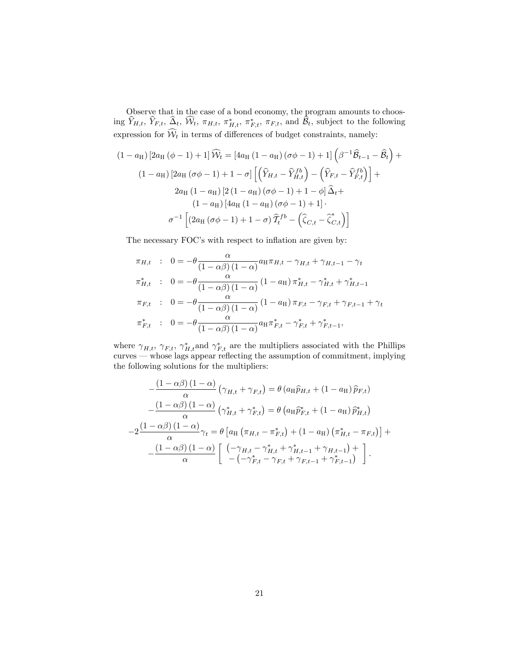Observe that in the case of a bond economy, the program amounts to choosing  $Y_{H,t}$ ,  $Y_{F,t}$ ,  $\Delta_t$ ,  $\mathcal{W}_t$ ,  $\pi_{H,t}$ ,  $\pi_{H,t}^*$ ,  $\pi_{F,t}$ ,  $\pi_{F,t}$ , and  $\mathcal{B}_t$ , subject to the following expression for  $W_t$  in terms of differences of budget constraints, namely:

$$
(1 - a_{\mathrm{H}}) \left[2a_{\mathrm{H}}(\phi - 1) + 1\right] \widehat{\mathcal{W}}_t = \left[4a_{\mathrm{H}}\left(1 - a_{\mathrm{H}}\right)(\sigma\phi - 1) + 1\right] \left(\beta^{-1}\widehat{\mathcal{B}}_{t-1} - \widehat{\mathcal{B}}_t\right) +
$$

$$
(1 - a_{\mathrm{H}}) \left[2a_{\mathrm{H}}(\sigma\phi - 1) + 1 - \sigma\right] \left[\left(\widehat{Y}_{H,t} - \widehat{Y}_{H,t}^{fb}\right) - \left(\widehat{Y}_{F,t} - \widehat{Y}_{F,t}^{fb}\right)\right] +
$$

$$
2a_{\mathrm{H}}\left(1 - a_{\mathrm{H}}\right)\left[2\left(1 - a_{\mathrm{H}}\right)(\sigma\phi - 1) + 1 - \phi\right]\widehat{\Delta}_t +
$$

$$
(1 - a_{\mathrm{H}}) \left[4a_{\mathrm{H}}\left(1 - a_{\mathrm{H}}\right)(\sigma\phi - 1) + 1\right].
$$

$$
\sigma^{-1} \left[\left(2a_{\mathrm{H}}\left(\sigma\phi - 1\right) + 1 - \sigma\right)\widehat{T}_t^{fb} - \left(\widehat{\zeta}_{C,t} - \widehat{\zeta}_{C,t}^*\right)\right]
$$

The necessary FOC's with respect to inflation are given by:

$$
\pi_{H,t} : 0 = -\theta \frac{\alpha}{(1 - \alpha \beta) (1 - \alpha)} a_H \pi_{H,t} - \gamma_{H,t} + \gamma_{H,t-1} - \gamma_t
$$
\n
$$
\pi_{H,t}^* : 0 = -\theta \frac{\alpha}{(1 - \alpha \beta) (1 - \alpha)} (1 - a_H) \pi_{H,t}^* - \gamma_{H,t}^* + \gamma_{H,t-1}^*
$$
\n
$$
\pi_{F,t} : 0 = -\theta \frac{\alpha}{(1 - \alpha \beta) (1 - \alpha)} (1 - a_H) \pi_{F,t} - \gamma_{F,t} + \gamma_{F,t-1} + \gamma_t
$$
\n
$$
\pi_{F,t}^* : 0 = -\theta \frac{\alpha}{(1 - \alpha \beta) (1 - \alpha)} a_H \pi_{F,t}^* - \gamma_{F,t}^* + \gamma_{F,t-1}^*,
$$

where  $\gamma_{H,t}$ ,  $\gamma_{F,t}$ ,  $\gamma_{H,t}^*$  and  $\gamma_{F,t}^*$  are the multipliers associated with the Phillips  $curves$   $-$  whose lags appear reflecting the assumption of commitment, implying the following solutions for the multipliers:

$$
-\frac{(1-\alpha\beta)(1-\alpha)}{\alpha}(\gamma_{H,t}+\gamma_{F,t}) = \theta(a_H\widehat{p}_{H,t} + (1-a_H)\widehat{p}_{F,t})
$$

$$
-\frac{(1-\alpha\beta)(1-\alpha)}{\alpha}(\gamma_{H,t}^*+\gamma_{F,t}^*) = \theta(a_H\widehat{p}_{F,t}^* + (1-a_H)\widehat{p}_{H,t}^*)
$$

$$
-2\frac{(1-\alpha\beta)(1-\alpha)}{\alpha}\gamma_t = \theta[a_H(\pi_{H,t}-\pi_{F,t}^*) + (1-a_H)(\pi_{H,t}^*-\pi_{F,t})] +
$$

$$
-\frac{(1-\alpha\beta)(1-\alpha)}{\alpha}\left[\begin{array}{cc}(-\gamma_{H,t}-\gamma_{H,t}^*+\gamma_{H,t-1}^*+\gamma_{H,t-1})+\\-(-\gamma_{F,t}^*-\gamma_{F,t}+\gamma_{F,t-1}+\gamma_{F,t-1}^*)\end{array}\right].
$$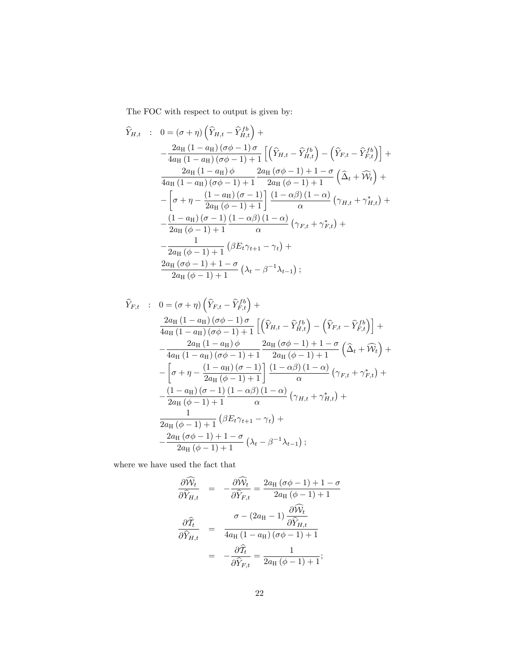The FOC with respect to output is given by:

$$
\hat{Y}_{H,t} : 0 = (\sigma + \eta) \left( \hat{Y}_{H,t} - \hat{Y}_{H,t}^{fb} \right) +
$$
\n
$$
- \frac{2a_H (1 - a_H)(\sigma \phi - 1) \sigma}{4a_H (1 - a_H)(\sigma \phi - 1) + 1} \left[ \left( \hat{Y}_{H,t} - \hat{Y}_{H,t}^{fb} \right) - \left( \hat{Y}_{F,t} - \hat{Y}_{F,t}^{fb} \right) \right] +
$$
\n
$$
\frac{2a_H (1 - a_H) \phi}{4a_H (1 - a_H)(\sigma \phi - 1) + 1} \frac{2a_H (\sigma \phi - 1) + 1 - \sigma}{2a_H (\phi - 1) + 1} \left( \hat{\Delta}_t + \hat{W}_t \right) +
$$
\n
$$
- \left[ \sigma + \eta - \frac{(1 - a_H)(\sigma - 1)}{2a_H (\phi - 1) + 1} \right] \frac{(1 - \alpha \beta)(1 - \alpha)}{\alpha} \left( \gamma_{H,t} + \gamma_{H,t}^* \right) +
$$
\n
$$
- \frac{(1 - a_H)(\sigma - 1)(1 - \alpha \beta)(1 - \alpha)}{2a_H (\phi - 1) + 1} \left( \beta E_t \gamma_{t+1} - \gamma_t \right) +
$$
\n
$$
\frac{2a_H (\sigma \phi - 1) + 1 - \sigma}{2a_H (\sigma - 1) + 1} \left( \lambda_t - \beta^{-1} \lambda_{t-1} \right);
$$

$$
\hat{Y}_{F,t} : 0 = (\sigma + \eta) \left( \hat{Y}_{F,t} - \hat{Y}_{F,t}^{fb} \right) + \n\frac{2a_H (1 - a_H) (\sigma \phi - 1) \sigma}{4a_H (1 - a_H) (\sigma \phi - 1) + 1} \left[ \left( \hat{Y}_{H,t} - \hat{Y}_{H,t}^{fb} \right) - \left( \hat{Y}_{F,t} - \hat{Y}_{F,t}^{fb} \right) \right] + \n- \frac{2a_H (1 - a_H) \phi}{4a_H (1 - a_H) (\sigma \phi - 1) + 1} \frac{2a_H (\sigma \phi - 1) + 1 - \sigma}{2a_H (\phi - 1) + 1} \left( \hat{\Delta}_t + \hat{W}_t \right) + \n- \left[ \sigma + \eta - \frac{(1 - a_H) (\sigma - 1)}{2a_H (\phi - 1) + 1} \right] \frac{(1 - \alpha \beta) (1 - \alpha)}{\alpha} \left( \gamma_{F,t} + \gamma_{F,t}^* \right) + \n- \frac{(1 - a_H) (\sigma - 1) (1 - \alpha \beta) (1 - \alpha)}{2a_H (\phi - 1) + 1} \left( \beta E_t \gamma_{t+1} - \gamma_t \right) + \n\frac{1}{2a_H (\sigma \phi - 1) + 1} \left( \beta E_t \gamma_{t+1} - \gamma_t \right) + \n- \frac{2a_H (\sigma \phi - 1) + 1 - \sigma}{2a_H (\phi - 1) + 1} \left( \lambda_t - \beta^{-1} \lambda_{t-1} \right);
$$

where we have used the fact that

$$
\frac{\partial \widehat{W}_t}{\partial \widehat{Y}_{H,t}} = -\frac{\partial \widehat{W}_t}{\partial \widehat{Y}_{F,t}} = \frac{2a_H(\sigma\phi - 1) + 1 - \sigma}{2a_H(\phi - 1) + 1}
$$

$$
\frac{\partial \widehat{T}_t}{\partial \widehat{Y}_{H,t}} = \frac{\sigma - (2a_H - 1) \frac{\partial \widehat{W}_t}{\partial \widehat{Y}_{H,t}}}{4a_H(1 - a_H)(\sigma\phi - 1) + 1}
$$

$$
= -\frac{\partial \widehat{T}_t}{\partial \widehat{Y}_{F,t}} = \frac{1}{2a_H(\phi - 1) + 1};
$$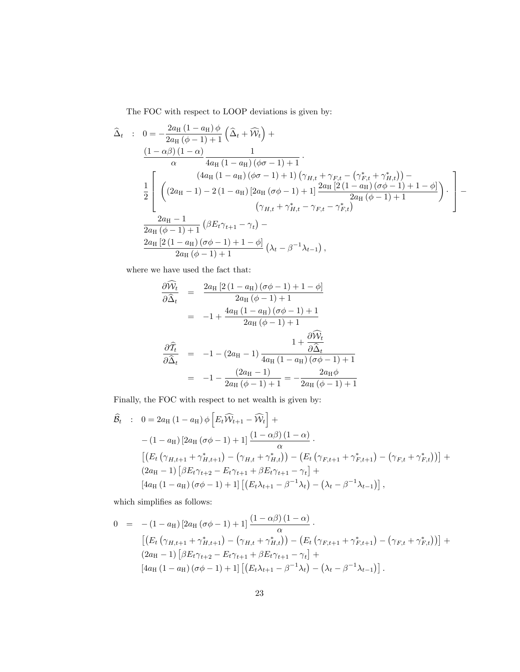The FOC with respect to LOOP deviations is given by:

$$
\begin{split}\n\widehat{\Delta}_{t} &\;: \quad 0 = -\frac{2a_{\text{H}}\left(1-a_{\text{H}}\right)\phi}{2a_{\text{H}}\left(\phi-1\right)+1}\left(\widehat{\Delta}_{t}+\widehat{\mathcal{W}}_{t}\right)+ \\
&\frac{\left(1-\alpha\beta\right)\left(1-\alpha\right)}{\alpha}\frac{1}{4a_{\text{H}}\left(1-a_{\text{H}}\right)\left(\phi\sigma-1\right)+1} \\
&\frac{1}{2}\left[\begin{array}{c} \left(4a_{\text{H}}\left(1-a_{\text{H}}\right)\left(\phi\sigma-1\right)+1\right)\left(\gamma_{H,t}+\gamma_{F,t}-\left(\gamma_{F,t}^{*}+\gamma_{H,t}^{*}\right)\right)- \\
\left(2a_{\text{H}}\left(1-1\right)-2\left(1-a_{\text{H}}\right)\left[2a_{\text{H}}\left(\sigma\phi-1\right)+1\right]\frac{2a_{\text{H}}\left[2\left(1-a_{\text{H}}\right)\left(\sigma\phi-1\right)+1-\phi\right]}{2a_{\text{H}}\left(\phi-1\right)+1}\right.\n\end{array}\right]\n\cdot\n\begin{split}\n&\frac{2a_{\text{H}}-1}{2a_{\text{H}}\left(\phi-1\right)+1}\left(\beta E_{t}\gamma_{t+1}-\gamma_{t}\right)- \\
&\frac{2a_{\text{H}}\left[2\left(1-a_{\text{H}}\right)\left(\sigma\phi-1\right)+1-\phi\right]}{2a_{\text{H}}\left(\phi-1\right)+1}\left(\lambda_{t}-\beta^{-1}\lambda_{t-1}\right),\n\end{split}
$$

where we have used the fact that:

$$
\frac{\partial \mathcal{W}_t}{\partial \hat{\Delta}_t} = \frac{2a_H [2(1 - a_H)(\sigma \phi - 1) + 1 - \phi]}{2a_H (\phi - 1) + 1}
$$
  
\n
$$
= -1 + \frac{4a_H (1 - a_H)(\sigma \phi - 1) + 1}{2a_H (\phi - 1) + 1}
$$
  
\n
$$
\frac{\partial \hat{T}_t}{\partial \hat{\Delta}_t} = -1 - (2a_H - 1) \frac{1 + \frac{\partial \hat{W}_t}{\partial \hat{\Delta}_t}}{4a_H (1 - a_H)(\sigma \phi - 1) + 1}
$$
  
\n
$$
= -1 - \frac{(2a_H - 1)}{2a_H (\phi - 1) + 1} = -\frac{2a_H \phi}{2a_H (\phi - 1) + 1}
$$

Finally, the FOC with respect to net wealth is given by:

$$
\hat{B}_{t} : 0 = 2a_{H} (1 - a_{H}) \phi \left[ E_{t} \widehat{W}_{t+1} - \widehat{W}_{t} \right] +
$$
\n
$$
- (1 - a_{H}) \left[ 2a_{H} (\sigma \phi - 1) + 1 \right] \frac{(1 - \alpha \beta)(1 - \alpha)}{\alpha}.
$$
\n
$$
\left[ \left( E_{t} (\gamma_{H,t+1} + \gamma_{H,t+1}^{*}) - (\gamma_{H,t} + \gamma_{H,t}^{*}) \right) - \left( E_{t} (\gamma_{F,t+1} + \gamma_{F,t+1}^{*}) - (\gamma_{F,t} + \gamma_{F,t}^{*}) \right) \right] +
$$
\n
$$
(2a_{H} - 1) \left[ \beta E_{t} \gamma_{t+2} - E_{t} \gamma_{t+1} + \beta E_{t} \gamma_{t+1} - \gamma_{t} \right] +
$$
\n
$$
\left[ 4a_{H} (1 - a_{H}) (\sigma \phi - 1) + 1 \right] \left[ \left( E_{t} \lambda_{t+1} - \beta^{-1} \lambda_{t} \right) - \left( \lambda_{t} - \beta^{-1} \lambda_{t-1} \right) \right],
$$

which simplifies as follows:  $\,$ 

$$
0 = -(1 - a_{\mathrm{H}}) [2a_{\mathrm{H}} (\sigma \phi - 1) + 1] \frac{(1 - \alpha \beta) (1 - \alpha)}{\alpha}.
$$
  
\n
$$
[(E_t (\gamma_{H, t+1} + \gamma_{H, t+1}^*) - (\gamma_{H, t} + \gamma_{H, t}^*)) - (E_t (\gamma_{F, t+1} + \gamma_{F, t+1}^*) - (\gamma_{F, t} + \gamma_{F, t}^*))] +
$$
  
\n
$$
(2a_{\mathrm{H}} - 1) [\beta E_t \gamma_{t+2} - E_t \gamma_{t+1} + \beta E_t \gamma_{t+1} - \gamma_t] +
$$
  
\n
$$
[4a_{\mathrm{H}} (1 - a_{\mathrm{H}}) (\sigma \phi - 1) + 1] [(E_t \lambda_{t+1} - \beta^{-1} \lambda_t) - (\lambda_t - \beta^{-1} \lambda_{t-1})].
$$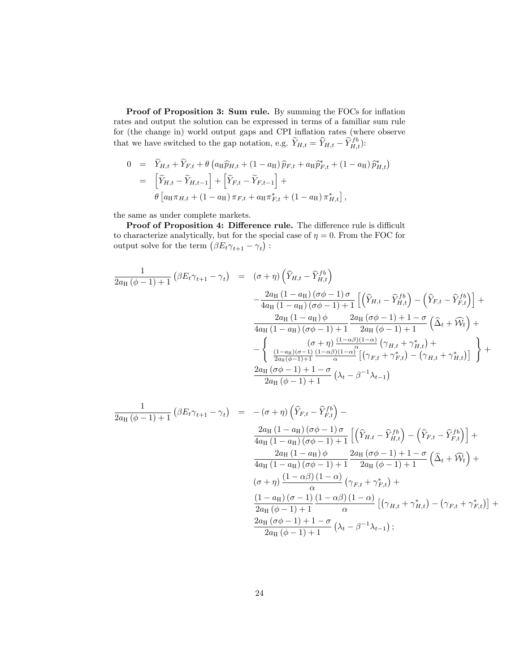Proof of Proposition 3: Sum rule. By summing the FOCs for inflation rates and output the solution can be expressed in terms of a familiar sum rule for (the change in) world output gaps and CPI inflation rates (where observe that we have switched to the gap notation, e.g.  $\widetilde{Y}_{H,t} = \widehat{Y}_{H,t} - \widehat{Y}_{H,t}^{fb}$ :

$$
0 = \widetilde{Y}_{H,t} + \widetilde{Y}_{F,t} + \theta \left( a_H \widehat{p}_{H,t} + (1 - a_H) \widehat{p}_{F,t} + a_H \widehat{p}_{F,t}^* + (1 - a_H) \widehat{p}_{H,t}^* \right)
$$
  
\n
$$
= \left[ \widetilde{Y}_{H,t} - \widetilde{Y}_{H,t-1} \right] + \left[ \widetilde{Y}_{F,t} - \widetilde{Y}_{F,t-1} \right] +
$$
  
\n
$$
\theta \left[ a_H \pi_{H,t} + (1 - a_H) \pi_{F,t} + a_H \pi_{F,t}^* + (1 - a_H) \pi_{H,t}^* \right],
$$

the same as under complete markets.

Proof of Proposition 4: Difference rule. The difference rule is difficult to characterize analytically, but for the special case of  $\eta = 0$ . From the FOC for output solve for the term  $(\beta E_t \gamma_{t+1} - \gamma_t)$ :

$$
\frac{1}{2a_{\text{H}}(\phi-1)+1} \left(\beta E_t \gamma_{t+1} - \gamma_t\right) = (\sigma + \eta) \left(\widehat{Y}_{H,t} - \widehat{Y}_{H,t}^{fb}\right)
$$

$$
-\frac{2a_{\text{H}}(1-a_{\text{H}})(\sigma\phi-1)\sigma}{4a_{\text{H}}(1-a_{\text{H}})(\sigma\phi-1)+1} \left[\left(\widehat{Y}_{H,t} - \widehat{Y}_{H,t}^{fb}\right) - \left(\widehat{Y}_{F,t} - \widehat{Y}_{F,t}^{fb}\right)\right] + \frac{2a_{\text{H}}(1-a_{\text{H}})(\sigma\phi-1)+1}{4a_{\text{H}}(1-a_{\text{H}})(\sigma\phi-1)+1} \frac{2a_{\text{H}}(\sigma\phi-1)+1-\sigma}{2a_{\text{H}}(\phi-1)+1} \left(\widehat{\Delta}_t + \widehat{W}_t\right) + \frac{\left((1-a_{\text{H}})(\sigma-1)\right)\left(1-a_{\text{H}}\right)\left(1-a_{\text{H}}\right)}{2a_{\text{H}}(\phi-1)+1} \frac{\left((1-a_{\text{H}})(\sigma-1)\right)\left(1-a_{\text{H}}\right)\left(1-a_{\text{H}}\right)}{2a_{\text{H}}(\phi-1)+1} \left[\left(\gamma_{F,t} + \gamma_{F,t}^*\right) - \left(\gamma_{H,t} + \gamma_{H,t}^*\right)\right]\right} + \frac{2a_{\text{H}}(\sigma\phi-1)+1-\sigma}{2a_{\text{H}}(\phi-1)+1} \left(\lambda_t - \beta^{-1}\lambda_{t-1}\right)
$$

$$
\frac{1}{2a_{\text{H}}(\phi-1)+1}(\beta E_{t}\gamma_{t+1}-\gamma_{t}) = -(\sigma+\eta)\left(\hat{Y}_{F,t}-\hat{Y}_{F,t}^{fb}\right)-\frac{2a_{\text{H}}(1-a_{\text{H}})(\sigma\phi-1)\sigma}{4a_{\text{H}}(1-a_{\text{H}})(\sigma\phi-1)+1}\left[\left(\hat{Y}_{H,t}-\hat{Y}_{H,t}^{fb}\right)-\left(\hat{Y}_{F,t}-\hat{Y}_{F,t}^{fb}\right)\right]+\frac{2a_{\text{H}}(1-a_{\text{H}})(\sigma\phi-1)+1}{4a_{\text{H}}(1-a_{\text{H}})(\sigma\phi-1)+1}\frac{2a_{\text{H}}(\sigma\phi-1)+1-\sigma}{2a_{\text{H}}(\phi-1)+1}\left(\hat{\Delta}_{t}+\hat{W}_{t}\right)+\frac{(\sigma+\eta)\left(1-\alpha\beta\right)(1-\alpha)}{\alpha}\left(\gamma_{F,t}+\gamma_{F,t}^{*}\right)+\frac{(\sigma+\eta)\left(1-\alpha\beta\right)(1-\alpha)}{2a_{\text{H}}(\phi-1)+1}\left[(\gamma_{H,t}+\gamma_{H,t}^{*})-(\gamma_{F,t}+\gamma_{F,t}^{*})\right]+\frac{2a_{\text{H}}(\sigma\phi-1)+1-\sigma}{2a_{\text{H}}(\sigma\phi-1)+1}\left(\lambda_{t}-\beta^{-1}\lambda_{t-1}\right);
$$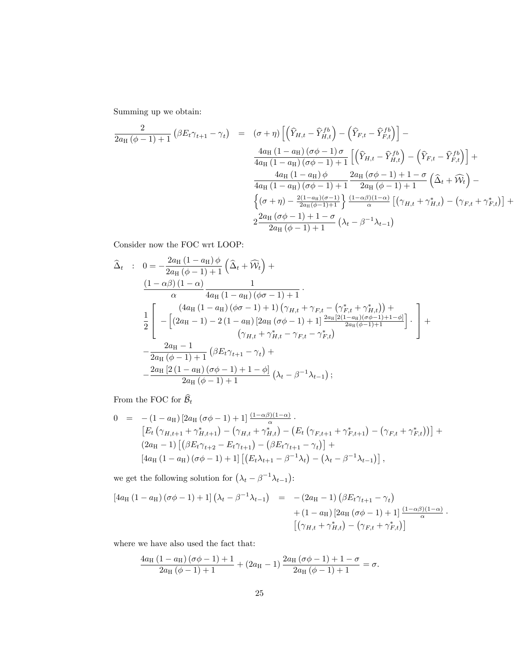Summing up we obtain:

$$
\frac{2}{2a_{\text{H}}(\phi-1)+1} \left(\beta E_t \gamma_{t+1} - \gamma_t\right) = \left(\sigma + \eta\right) \left[ \left(\hat{Y}_{H,t} - \hat{Y}_{H,t}^{fb}\right) - \left(\hat{Y}_{F,t} - \hat{Y}_{F,t}^{fb}\right) \right] -
$$
\n
$$
\frac{4a_{\text{H}}\left(1 - a_{\text{H}}\right)\left(\sigma\phi - 1\right)\sigma}{4a_{\text{H}}\left(1 - a_{\text{H}}\right)\left(\sigma\phi - 1\right) + 1} \left[ \left(\hat{Y}_{H,t} - \hat{Y}_{H,t}^{fb}\right) - \left(\hat{Y}_{F,t} - \hat{Y}_{F,t}^{fb}\right) \right] +
$$
\n
$$
\frac{4a_{\text{H}}\left(1 - a_{\text{H}}\right)\phi}{4a_{\text{H}}\left(1 - a_{\text{H}}\right)\left(\sigma\phi - 1\right) + 1} \frac{2a_{\text{H}}\left(\sigma\phi - 1\right) + 1 - \sigma}{2a_{\text{H}}\left(\phi - 1\right) + 1} \left(\hat{\Delta}_t + \hat{\mathcal{W}}_t\right) -
$$
\n
$$
\left\{ \left(\sigma + \eta\right) - \frac{2(1 - a_{\text{H}})\left(\sigma - 1\right)}{2a_{\text{H}}\left(\phi - 1\right) + 1} \right\} \frac{\left(1 - \alpha\beta\right)\left(1 - \alpha\right)}{\alpha} \left[ \left(\gamma_{H,t} + \gamma_{H,t}^*\right) - \left(\gamma_{F,t} + \gamma_{F,t}^*\right) \right] +
$$
\n
$$
2\frac{2a_{\text{H}}\left(\sigma\phi - 1\right) + 1 - \sigma}{2a_{\text{H}}\left(\phi - 1\right) + 1} \left(\lambda_t - \beta^{-1}\lambda_{t-1}\right)
$$

Consider now the FOC wrt LOOP:

$$
\begin{split}\n\widehat{\Delta}_{t} &\;: \quad 0 = -\frac{2a_{\text{H}}\left(1-a_{\text{H}}\right)\phi}{2a_{\text{H}}\left(\phi-1\right)+1}\left(\widehat{\Delta}_{t}+\widehat{\mathcal{W}}_{t}\right)+ \\
&\frac{\left(1-\alpha\beta\right)\left(1-\alpha\right)}{\alpha}\frac{1}{4a_{\text{H}}\left(1-a_{\text{H}}\right)\left(\phi\sigma-1\right)+1} \\
&\frac{1}{2}\left[-\left[\left(2a_{\text{H}}-1\right)-2\left(1-a_{\text{H}}\right)\left[2a_{\text{H}}\left(\sigma\phi-1\right)+1\right)\frac{2a_{\text{H}}\left[2\left(1-a_{\text{H}}\right)\left(\sigma\phi-1\right)+1}{2a_{\text{H}}\left(\phi\phi-1\right)+1}\right]\frac{2a_{\text{H}}\left[2\left(1-a_{\text{H}}\right)\left(\sigma\phi-1\right)+1-\phi\right]}{\left(\gamma_{H,t}+\gamma_{H,t}^*-\gamma_{F,t}-\gamma_{F,t}^*\right)}\right]\n\end{split}
$$
\n
$$
-\frac{2a_{\text{H}}-1}{2a_{\text{H}}\left(\phi-1\right)+1}\left(\beta E_{t}\gamma_{t+1}-\gamma_{t}\right)+ \\
&\frac{2a_{\text{H}}\left[2\left(1-a_{\text{H}}\right)\left(\sigma\phi-1\right)+1-\phi\right]}{2a_{\text{H}}\left(\phi-1\right)+1}\left(\lambda_{t}-\beta^{-1}\lambda_{t-1}\right);
$$

From the FOC for  $\widehat{\mathcal{B}}_t$ 

$$
0 = -(1 - a_{\mathrm{H}}) [2a_{\mathrm{H}} (\sigma \phi - 1) + 1] \frac{(1 - \alpha \beta)(1 - \alpha)}{\alpha}.
$$
  
\n
$$
[E_t (\gamma_{H,t+1} + \gamma_{H,t+1}^*) - (\gamma_{H,t} + \gamma_{H,t}^*) - (E_t (\gamma_{F,t+1} + \gamma_{F,t+1}^*) - (\gamma_{F,t} + \gamma_{F,t}^*))] +
$$
  
\n
$$
(2a_{\mathrm{H}} - 1) [(\beta E_t \gamma_{t+2} - E_t \gamma_{t+1}) - (\beta E_t \gamma_{t+1} - \gamma_t)] +
$$
  
\n
$$
[4a_{\mathrm{H}} (1 - a_{\mathrm{H}}) (\sigma \phi - 1) + 1] [(E_t \lambda_{t+1} - \beta^{-1} \lambda_t) - (\lambda_t - \beta^{-1} \lambda_{t-1})],
$$

we get the following solution for  $(\lambda_t - \beta^{-1}\lambda_{t-1})$ :

$$
[4a_{\rm H} (1 - a_{\rm H}) (\sigma \phi - 1) + 1] (\lambda_t - \beta^{-1} \lambda_{t-1}) = -(2a_{\rm H} - 1) (\beta E_t \gamma_{t+1} - \gamma_t) + (1 - a_{\rm H}) [2a_{\rm H} (\sigma \phi - 1) + 1] \frac{(1 - \alpha \beta)(1 - \alpha)}{\alpha} \cdot [(\gamma_{H,t} + \gamma_{H,t}^*) - (\gamma_{F,t} + \gamma_{F,t}^*)]
$$

where we have also used the fact that:

$$
\frac{4a_{\text{H}}\left(1-a_{\text{H}}\right)\left(\sigma\phi-1\right)+1}{2a_{\text{H}}\left(\phi-1\right)+1}+\left(2a_{\text{H}}-1\right)\frac{2a_{\text{H}}\left(\sigma\phi-1\right)+1-\sigma}{2a_{\text{H}}\left(\phi-1\right)+1}=\sigma.
$$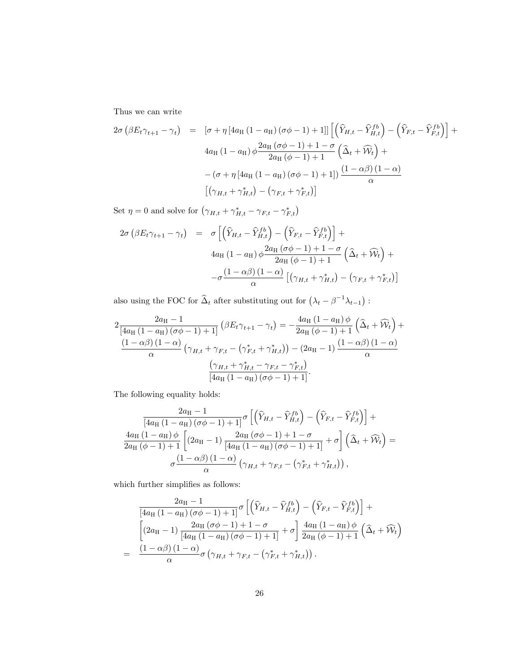Thus we can write

$$
2\sigma \left(\beta E_t \gamma_{t+1} - \gamma_t\right) = \left[\sigma + \eta \left[4a_H \left(1 - a_H\right) \left(\sigma \phi - 1\right) + 1\right]\right] \left[\left(\widehat{Y}_{H,t} - \widehat{Y}_{H,t}^{fb}\right) - \left(\widehat{Y}_{F,t} - \widehat{Y}_{F,t}^{fb}\right)\right] +
$$
  

$$
4a_H \left(1 - a_H\right) \phi \frac{2a_H \left(\sigma \phi - 1\right) + 1 - \sigma}{2a_H \left(\phi - 1\right) + 1} \left(\widehat{\Delta}_t + \widehat{\mathcal{W}}_t\right) +
$$
  

$$
-\left(\sigma + \eta \left[4a_H \left(1 - a_H\right) \left(\sigma \phi - 1\right) + 1\right]\right) \frac{\left(1 - \alpha \beta\right) \left(1 - \alpha\right)}{\alpha}
$$
  

$$
\left[\left(\gamma_{H,t} + \gamma_{H,t}^*\right) - \left(\gamma_{F,t} + \gamma_{F,t}^*\right)\right]
$$

Set  $\eta = 0$  and solve for  $(\gamma_{H,t} + \gamma_{H,t}^* - \gamma_{F,t} - \gamma_{F,t}^*)$ 

$$
2\sigma \left(\beta E_t \gamma_{t+1} - \gamma_t\right) = \sigma \left[ \left(\widehat{Y}_{H,t} - \widehat{Y}_{H,t}^{fb}\right) - \left(\widehat{Y}_{F,t} - \widehat{Y}_{F,t}^{fb}\right) \right] +
$$
  

$$
4a_H \left(1 - a_H\right) \phi \frac{2a_H \left(\sigma \phi - 1\right) + 1 - \sigma}{2a_H \left(\phi - 1\right) + 1} \left(\widehat{\Delta}_t + \widehat{\mathcal{W}}_t\right) +
$$
  

$$
-\sigma \frac{\left(1 - \alpha \beta\right)\left(1 - \alpha\right)}{\alpha} \left[ \left(\gamma_{H,t} + \gamma_{H,t}^*\right) - \left(\gamma_{F,t} + \gamma_{F,t}^*\right) \right]
$$

also using the FOC for  $\widehat{\Delta}_t$  after substituting out for  $(\lambda_t - \beta^{-1}\lambda_{t-1})$ :

$$
2\frac{2a_{\mathrm{H}}-1}{[4a_{\mathrm{H}}(1-a_{\mathrm{H}})(\sigma\phi-1)+1]} \left(\beta E_t \gamma_{t+1} - \gamma_t\right) = -\frac{4a_{\mathrm{H}}(1-a_{\mathrm{H}})\phi}{2a_{\mathrm{H}}(\phi-1)+1} \left(\widehat{\Delta}_t + \widehat{\mathcal{W}}_t\right) + \frac{(1-\alpha\beta)(1-\alpha)}{\alpha} \left(\gamma_{H,t} + \gamma_{F,t} - \left(\gamma_{F,t}^* + \gamma_{H,t}^*\right)\right) - (2a_{\mathrm{H}}-1)\frac{(1-\alpha\beta)(1-\alpha)}{\alpha}
$$

$$
\frac{\left(\gamma_{H,t} + \gamma_{H,t}^* - \gamma_{F,t} - \gamma_{F,t}^*\right)}{[4a_{\mathrm{H}}(1-a_{\mathrm{H}})(\sigma\phi-1)+1]}.
$$

The following equality holds:

$$
\frac{2a_{\mathrm{H}}-1}{\left[4a_{\mathrm{H}}\left(1-a_{\mathrm{H}}\right)\left(\sigma\phi-1\right)+1\right]}\sigma\left[\left(\widehat{Y}_{H,t}-\widehat{Y}_{H,t}^{fb}\right)-\left(\widehat{Y}_{F,t}-\widehat{Y}_{F,t}^{fb}\right)\right]+\n\frac{4a_{\mathrm{H}}\left(1-a_{\mathrm{H}}\right)\phi}{2a_{\mathrm{H}}\left(\phi-1\right)+1}\left[\left(2a_{\mathrm{H}}-1\right)\frac{2a_{\mathrm{H}}\left(\sigma\phi-1\right)+1-\sigma}{\left[4a_{\mathrm{H}}\left(1-a_{\mathrm{H}}\right)\left(\sigma\phi-1\right)+1\right]}+\sigma\right]\left(\widehat{\Delta}_{t}+\widehat{\mathcal{W}}_{t}\right)=\n\sigma\frac{\left(1-\alpha\beta\right)\left(1-\alpha\right)}{\alpha}\left(\gamma_{H,t}+\gamma_{F,t}-\left(\gamma_{F,t}^{*}+\gamma_{H,t}^{*}\right)\right),
$$

which further simplifies as follows:  $\,$ 

$$
\frac{2a_{\mathrm{H}}-1}{[4a_{\mathrm{H}}(1-a_{\mathrm{H}})(\sigma\phi-1)+1]}\sigma\left[\left(\hat{Y}_{H,t}-\hat{Y}_{H,t}^{fb}\right)-\left(\hat{Y}_{F,t}-\hat{Y}_{F,t}^{fb}\right)\right]+\left[\left(2a_{\mathrm{H}}-1\right)\frac{2a_{\mathrm{H}}(\sigma\phi-1)+1-\sigma}{[4a_{\mathrm{H}}(1-a_{\mathrm{H}})(\sigma\phi-1)+1]}+\sigma\right]\frac{4a_{\mathrm{H}}(1-a_{\mathrm{H}})\phi}{2a_{\mathrm{H}}(\phi-1)+1}\left(\hat{\Delta}_{t}+\hat{\mathcal{W}}_{t}\right)=\frac{(1-\alpha\beta)(1-\alpha)}{\alpha}\sigma\left(\gamma_{H,t}+\gamma_{F,t}-\left(\gamma_{F,t}^{*}+\gamma_{H,t}^{*}\right)\right).
$$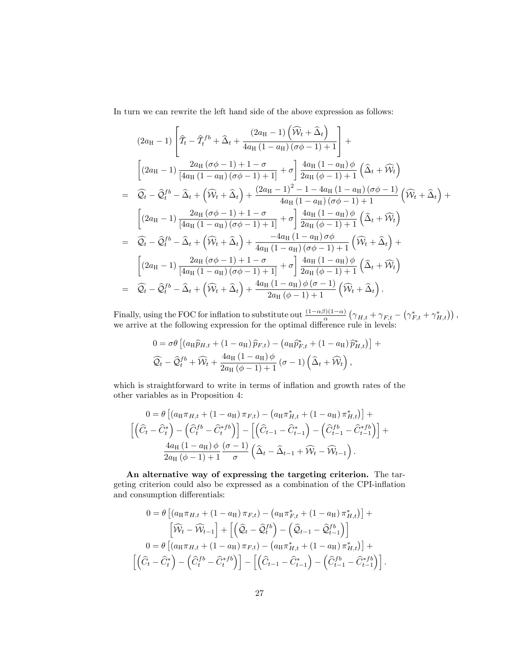In turn we can rewrite the left hand side of the above expression as follows:

$$
(2a_{\mathrm{H}}-1)\left[\widehat{\mathcal{I}}_{t}-\widehat{\mathcal{I}}_{t}^{fb}+\widehat{\Delta}_{t}+\frac{(2a_{\mathrm{H}}-1)\left(\widehat{\mathcal{W}}_{t}+\widehat{\Delta}_{t}\right)}{4a_{\mathrm{H}}\left(1-a_{\mathrm{H}}\right)\left(\sigma\phi-1\right)+1}\right]+\begin{aligned} &\left[(2a_{\mathrm{H}}-1)\left(\frac{2a_{\mathrm{H}}\left(\sigma\phi-1\right)+1-\sigma}{\left[4a_{\mathrm{H}}\left(1-a_{\mathrm{H}}\right)\left(\sigma\phi-1\right)+1\right]}+\sigma\right]\frac{4a_{\mathrm{H}}\left(1-a_{\mathrm{H}}\right)\phi}{2a_{\mathrm{H}}\left(\phi-1\right)+1}\left(\widehat{\Delta}_{t}+\widehat{\mathcal{W}}_{t}\right)\right)\\ &=\widehat{\mathcal{Q}}_{t}-\widehat{\mathcal{Q}}_{t}^{fb}-\widehat{\Delta}_{t}+\left(\widehat{\mathcal{W}}_{t}+\widehat{\Delta}_{t}\right)+\frac{(2a_{\mathrm{H}}-1)^{2}-1-4a_{\mathrm{H}}\left(1-a_{\mathrm{H}}\right)\left(\sigma\phi-1\right)}{4a_{\mathrm{H}}\left(1-a_{\mathrm{H}}\right)\left(\sigma\phi-1\right)+1}\left(\widehat{\mathcal{W}}_{t}+\widehat{\Delta}_{t}\right)+\begin{aligned} &\left[(2a_{\mathrm{H}}-1)\left(\frac{2a_{\mathrm{H}}\left(\sigma\phi-1\right)+1-\sigma}{4a_{\mathrm{H}}\left(1-a_{\mathrm{H}}\right)\left(\sigma\phi-1\right)+1}+\sigma\right]\frac{4a_{\mathrm{H}}\left(1-a_{\mathrm{H}}\right)\phi}{2a_{\mathrm{H}}\left(\phi-1\right)+1}\left(\widehat{\Delta}_{t}+\widehat{\mathcal{W}}_{t}\right)\right)\\ &=\widehat{\mathcal{Q}}_{t}-\widehat{\mathcal{Q}}_{t}^{fb}-\widehat{\Delta}_{t}+\left(\widehat{\mathcal{W}}_{t}+\widehat{\Delta}_{t}\right)+\frac{-4a_{\mathrm{H}}\left(1-a_{\mathrm{H}}\right)\sigma\phi}{4a_{\mathrm{H}}\left(1-a_{\mathrm{H}}\right)\left(\sigma\phi-1\right)+1}\left(\widehat{\mathcal{W}}_{t}+\widehat{\Delta}_{t}\right)+\begin{aligned}
$$

Finally, using the FOC for inflation to substitute out  $\frac{(1-\alpha\beta)(1-\alpha)}{\alpha}(\gamma_{H,t}+\gamma_{F,t}-(\gamma_{F,t}^*+\gamma_{H,t}^*))$ , we arrive at the following expression for the optimal difference rule in levels:

$$
0 = \sigma \theta \left[ \left( a_{\mathrm{H}} \hat{p}_{H,t} + (1 - a_{\mathrm{H}}) \hat{p}_{F,t} \right) - \left( a_{\mathrm{H}} \hat{p}_{F,t}^{*} + (1 - a_{\mathrm{H}}) \hat{p}_{H,t}^{*} \right) \right] + \widehat{Q}_t - \widehat{Q}_t^{fb} + \widehat{\mathcal{W}}_t + \frac{4a_{\mathrm{H}} (1 - a_{\mathrm{H}}) \phi}{2a_{\mathrm{H}} (\phi - 1) + 1} (\sigma - 1) \left( \widehat{\Delta}_t + \widehat{\mathcal{W}}_t \right),
$$

which is straightforward to write in terms of inflation and growth rates of the other variables as in Proposition 4:

$$
0 = \theta \left[ \left( a_{\mathrm{H}} \pi_{H,t} + (1 - a_{\mathrm{H}}) \pi_{F,t} \right) - \left( a_{\mathrm{H}} \pi_{H,t}^{*} + (1 - a_{\mathrm{H}}) \pi_{H,t}^{*} \right) \right] + \left[ \left( \widehat{C}_{t} - \widehat{C}_{t}^{*} \right) - \left( \widehat{C}_{t}^{fb} - \widehat{C}_{t}^{*fb} \right) \right] - \left[ \left( \widehat{C}_{t-1} - \widehat{C}_{t-1}^{*} \right) - \left( \widehat{C}_{t-1}^{fb} - \widehat{C}_{t-1}^{*fb} \right) \right] + \frac{4a_{\mathrm{H}} (1 - a_{\mathrm{H}}) \phi}{2a_{\mathrm{H}} (\phi - 1) + 1} \frac{(\sigma - 1)}{\sigma} \left( \widehat{\Delta}_{t} - \widehat{\Delta}_{t-1} + \widehat{\mathcal{W}}_{t} - \widehat{\mathcal{W}}_{t-1} \right).
$$

An alternative way of expressing the targeting criterion. The targeting criterion could also be expressed as a combination of the CPI-inflation and consumption differentials:

$$
0 = \theta \left[ (a_H \pi_{H,t} + (1 - a_H) \pi_{F,t}) - (a_H \pi_{F,t}^* + (1 - a_H) \pi_{H,t}^*) \right] +
$$
  
\n
$$
\left[ \widehat{W}_t - \widehat{W}_{t-1} \right] + \left[ \left( \widehat{Q}_t - \widehat{Q}_t^{fb} \right) - \left( \widehat{Q}_{t-1} - \widehat{Q}_{t-1}^{fb} \right) \right]
$$
  
\n
$$
0 = \theta \left[ (a_H \pi_{H,t} + (1 - a_H) \pi_{F,t}) - (a_H \pi_{H,t}^* + (1 - a_H) \pi_{H,t}^*) \right] +
$$
  
\n
$$
\left[ \left( \widehat{C}_t - \widehat{C}_t^* \right) - \left( \widehat{C}_t^{fb} - \widehat{C}_t^{*fb} \right) \right] - \left[ \left( \widehat{C}_{t-1} - \widehat{C}_{t-1}^* \right) - \left( \widehat{C}_{t-1}^{fb} - \widehat{C}_t^{*fb} \right) \right].
$$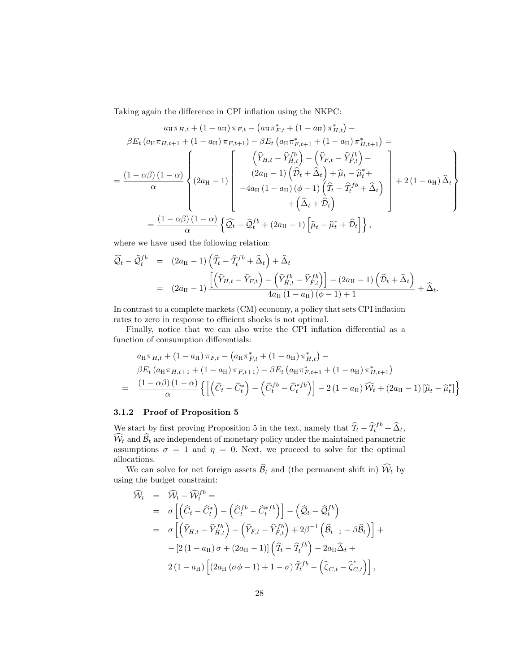Taking again the difference in CPI inflation using the NKPC:

$$
a_{H}\pi_{H,t} + (1 - a_{H})\pi_{F,t} - (a_{H}\pi_{F,t}^{*} + (1 - a_{H})\pi_{H,t}^{*}) -
$$
  
\n
$$
\beta E_{t} (a_{H}\pi_{H,t+1} + (1 - a_{H})\pi_{F,t+1}) - \beta E_{t} (a_{H}\pi_{F,t+1}^{*} + (1 - a_{H})\pi_{H,t+1}^{*}) =
$$
  
\n
$$
= \frac{(1 - \alpha\beta)(1 - \alpha)}{\alpha} \left\{ (2a_{H} - 1) \begin{bmatrix} \hat{Y}_{H,t} - \hat{Y}_{H,t}^{fb} \\ (2a_{H} - 1) \hat{D}_{t} + \hat{\Delta}_{t} + \hat{\mu}_{t} - \hat{\mu}_{t}^{*} + \\ -4a_{H}(1 - a_{H})(\phi - 1) \hat{T}_{t} - \hat{T}_{t}^{fb} + \hat{\Delta}_{t} \\ + (\hat{\Delta}_{t} + \hat{\mathcal{D}}_{t}) \end{bmatrix} + 2(1 - a_{H})\hat{\Delta}_{t} \right\}
$$
  
\n
$$
= \frac{(1 - \alpha\beta)(1 - \alpha)}{\alpha} \left\{ \widehat{Q}_{t} - \widehat{Q}_{t}^{fb} + (2a_{H} - 1) \left[ \widehat{\mu}_{t} - \widehat{\mu}_{t}^{*} + \widehat{\mathcal{D}}_{t} \right] \right\},
$$

where we have used the following relation:

$$
\widehat{\mathcal{Q}}_t - \widehat{\mathcal{Q}}_t^{fb} = (2a_H - 1) \left( \widehat{T}_t - \widehat{T}_t^{fb} + \widehat{\Delta}_t \right) + \widehat{\Delta}_t
$$
\n
$$
= (2a_H - 1) \frac{\left[ \left( \widehat{Y}_{H,t} - \widehat{Y}_{F,t} \right) - \left( \widehat{Y}_{H,t}^{fb} - \widehat{Y}_{F,t}^{fb} \right) \right] - (2a_H - 1) \left( \widehat{\mathcal{D}}_t + \widehat{\Delta}_t \right)}{4a_H \left( 1 - a_H \right) \left( \phi - 1 \right) + 1} + \widehat{\Delta}_t.
$$

In contrast to a complete markets  $(CM)$  economy, a policy that sets  $CPI$  inflation rates to zero in response to efficient shocks is not optimal.

Finally, notice that we can also write the CPI inflation differential as a function of consumption differentials:

$$
a_{\mathrm{H}}\pi_{H,t} + (1 - a_{\mathrm{H}})\pi_{F,t} - (a_{\mathrm{H}}\pi_{F,t}^{*} + (1 - a_{\mathrm{H}})\pi_{H,t}^{*}) -\beta E_{t} (a_{\mathrm{H}}\pi_{H,t+1} + (1 - a_{\mathrm{H}})\pi_{F,t+1}) - \beta E_{t} (a_{\mathrm{H}}\pi_{F,t+1}^{*} + (1 - a_{\mathrm{H}})\pi_{H,t+1}^{*})= \frac{(1 - \alpha\beta)(1 - \alpha)}{\alpha} \left\{ \left[ \left(\widehat{C}_{t} - \widehat{C}_{t}^{*}\right) - \left(\widehat{C}_{t}^{fb} - \widehat{C}_{t}^{*fb}\right) \right] - 2(1 - a_{\mathrm{H}})\widehat{W}_{t} + (2a_{\mathrm{H}} - 1)\left[\widehat{\mu}_{t} - \widehat{\mu}_{t}^{*}\right] \right\}
$$

#### 3.1.2 Proof of Proposition 5

We start by first proving Proposition 5 in the text, namely that  $\hat{\mathcal{T}}_t - \hat{\mathcal{T}}_t^{fb} + \hat{\Delta}_t$ ,  $\widehat{\mathcal{W}}_t$  and  $\widehat{\mathcal{B}}_t$  are independent of monetary policy under the maintained parametric assumptions  $\sigma = 1$  and  $\eta = 0$ . Next, we proceed to solve for the optimal allocations.

We can solve for net foreign assets  $\widehat{\mathcal{B}}_t$  and (the permanent shift in)  $\widehat{\mathcal{W}}_t$  by using the budget constraint:

$$
\widehat{\mathcal{W}}_t = \widehat{\mathcal{W}}_t - \widehat{\mathcal{W}}_t^{fb} =
$$
\n
$$
= \sigma \left[ \left( \widehat{C}_t - \widehat{C}_t^* \right) - \left( \widehat{C}_t^{fb} - \widehat{C}_t^{*fb} \right) \right] - \left( \widehat{\mathcal{Q}}_t - \widehat{\mathcal{Q}}_t^{fb} \right)
$$
\n
$$
= \sigma \left[ \left( \widehat{Y}_{H,t} - \widehat{Y}_{H,t}^{fb} \right) - \left( \widehat{Y}_{F,t} - \widehat{Y}_{F,t}^{fb} \right) + 2\beta^{-1} \left( \widehat{\mathcal{B}}_{t-1} - \beta \widehat{\mathcal{B}}_t \right) \right] +
$$
\n
$$
- \left[ 2 \left( 1 - a_H \right) \sigma + \left( 2a_H - 1 \right) \right] \left( \widehat{T}_t - \widehat{T}_t^{fb} \right) - 2a_H \widehat{\Delta}_t +
$$
\n
$$
2 \left( 1 - a_H \right) \left[ \left( 2a_H \left( \sigma \phi - 1 \right) + 1 - \sigma \right) \widehat{T}_t^{fb} - \left( \widehat{\zeta}_{C,t} - \widehat{\zeta}_{C,t}^* \right) \right],
$$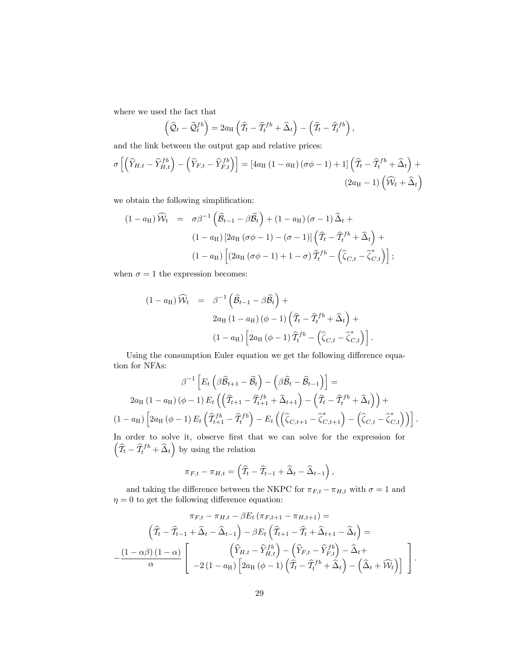where we used the fact that

$$
\left(\widehat{\mathcal{Q}}_t-\widehat{\mathcal{Q}}_t^{fb}\right)=2a_{\mathrm{H}}\left(\widehat{T}_t-\widehat{T}_t^{fb}+\widehat{\Delta}_t\right)-\left(\widehat{T}_t-\widehat{T}_t^{fb}\right),\,
$$

and the link between the output gap and relative prices:

$$
\sigma \left[ \left( \widehat{Y}_{H,t} - \widehat{Y}_{H,t}^{fb} \right) - \left( \widehat{Y}_{F,t} - \widehat{Y}_{F,t}^{fb} \right) \right] = \left[ 4a_H \left( 1 - a_H \right) \left( \sigma \phi - 1 \right) + 1 \right] \left( \widehat{T}_t - \widehat{T}_t^{fb} + \widehat{\Delta}_t \right) + \tag{2a_H - 1} \left( \widehat{\mathcal{W}}_t + \widehat{\Delta}_t \right)
$$

we obtain the following simplification:

$$
(1 - a_{\mathrm{H}}) \widehat{W}_t = \sigma \beta^{-1} \left( \widehat{B}_{t-1} - \beta \widehat{B}_t \right) + (1 - a_{\mathrm{H}}) (\sigma - 1) \widehat{\Delta}_t +
$$
  

$$
(1 - a_{\mathrm{H}}) \left[ 2a_{\mathrm{H}} (\sigma \phi - 1) - (\sigma - 1) \right] \left( \widehat{T}_t - \widehat{T}_t^{fb} + \widehat{\Delta}_t \right) +
$$
  

$$
(1 - a_{\mathrm{H}}) \left[ \left( 2a_{\mathrm{H}} (\sigma \phi - 1) + 1 - \sigma \right) \widehat{T}_t^{fb} - \left( \widehat{\zeta}_{C,t} - \widehat{\zeta}_{C,t}^* \right) \right];
$$

when  $\sigma = 1$  the expression becomes:

$$
(1 - a_{\mathrm{H}}) \widehat{W}_t = \beta^{-1} \left( \widehat{\mathcal{B}}_{t-1} - \beta \widehat{\mathcal{B}}_t \right) +
$$
  

$$
2a_{\mathrm{H}} (1 - a_{\mathrm{H}}) (\phi - 1) \left( \widehat{T}_t - \widehat{T}_t^{fb} + \widehat{\Delta}_t \right) +
$$
  

$$
(1 - a_{\mathrm{H}}) \left[ 2a_{\mathrm{H}} (\phi - 1) \widehat{T}_t^{fb} - \left( \widehat{\zeta}_{C,t} - \widehat{\zeta}_{C,t}^* \right) \right].
$$

Using the consumption Euler equation we get the following difference equation for NFAs:

$$
\beta^{-1}\left[E_t\left(\beta\widehat{B}_{t+1}-\widehat{B}_t\right)-\left(\beta\widehat{B}_t-\widehat{B}_{t-1}\right)\right]=
$$
  

$$
2a_H\left(1-a_H\right)(\phi-1) E_t\left(\left(\widehat{T}_{t+1}-\widehat{T}_{t+1}^{fb}+\widehat{\Delta}_{t+1}\right)-\left(\widehat{T}_t-\widehat{T}_t^{fb}+\widehat{\Delta}_t\right)\right)+
$$

$$
\left(1-a_H\right)\left[2a_H\left(\phi-1\right)E_t\left(\widehat{T}_{t+1}^{fb}-\widehat{T}_t^{fb}\right)-E_t\left(\left(\widehat{\zeta}_{C,t+1}-\widehat{\zeta}_{C,t+1}^*\right)-\left(\widehat{\zeta}_{C,t}-\widehat{\zeta}_{C,t}^*\right)\right)\right].
$$

In order to solve it, observe first that we can solve for the expression for  $\left( \widehat{\mathcal{I}}_{t} - \widehat{\mathcal{I}}_{t}^{fb} + \widehat{\Delta}_{t} \right)$  by using the relation

$$
\pi_{F,t} - \pi_{H,t} = \left(\widehat{\mathcal{I}}_t - \widehat{\mathcal{I}}_{t-1} + \widehat{\Delta}_t - \widehat{\Delta}_{t-1}\right),
$$

and taking the difference between the NKPC for  $\pi_{F,t} - \pi_{H,t}$  with  $\sigma = 1$  and  $\eta = 0$  to get the following difference equation:

$$
\pi_{F,t} - \pi_{H,t} - \beta E_t (\pi_{F,t+1} - \pi_{H,t+1}) =
$$
\n
$$
\left(\widehat{T}_t - \widehat{T}_{t-1} + \widehat{\Delta}_t - \widehat{\Delta}_{t-1}\right) - \beta E_t \left(\widehat{T}_{t+1} - \widehat{T}_t + \widehat{\Delta}_{t+1} - \widehat{\Delta}_t\right) =
$$
\n
$$
-\frac{\left(1 - \alpha\beta\right)\left(1 - \alpha\right)}{\alpha} \left[\begin{array}{c} \left(\widehat{Y}_{H,t} - \widehat{Y}_{H,t}^{\{b\}}\right) - \left(\widehat{Y}_{F,t} - \widehat{Y}_{F,t}^{\{b\}}\right) - \widehat{\Delta}_t + \\ -2\left(1 - a_H\right)\left[2a_H\left(\phi - 1\right)\left(\widehat{T}_t - \widehat{T}_t^{\{b\}} + \widehat{\Delta}_t\right) - \left(\widehat{\Delta}_t + \widehat{W}_t\right)\right] \end{array}\right].
$$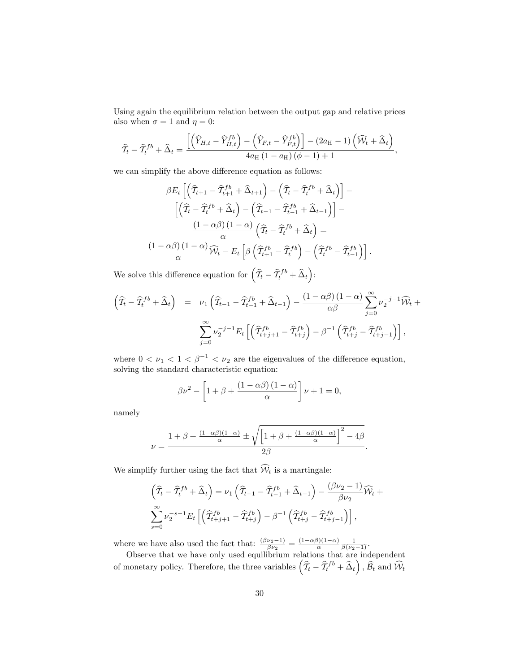Using again the equilibrium relation between the output gap and relative prices also when  $\sigma = 1$  and  $\eta = 0$ :

$$
\widehat{T}_t - \widehat{T}_t^{fb} + \widehat{\Delta}_t = \frac{\left[ \left( \widehat{Y}_{H,t} - \widehat{Y}_{H,t}^{fb} \right) - \left( \widehat{Y}_{F,t} - \widehat{Y}_{F,t}^{fb} \right) \right] - (2a_H - 1) \left( \widehat{\mathcal{W}}_t + \widehat{\Delta}_t \right)}{4a_H \left( 1 - a_H \right) \left( \phi - 1 \right) + 1},
$$

we can simplify the above difference equation as follows:

$$
\beta E_t \left[ \left( \widehat{T}_{t+1} - \widehat{T}_{t+1}^{fb} + \widehat{\Delta}_{t+1} \right) - \left( \widehat{T}_t - \widehat{T}_t^{fb} + \widehat{\Delta}_t \right) \right] - \left[ \left( \widehat{T}_t - \widehat{T}_t^{fb} + \widehat{\Delta}_t \right) - \left( \widehat{T}_{t-1} - \widehat{T}_{t-1}^{fb} + \widehat{\Delta}_{t-1} \right) \right] - \frac{\left( 1 - \alpha \beta \right) \left( 1 - \alpha \right)}{\alpha} \left( \widehat{T}_t - \widehat{T}_t^{fb} + \widehat{\Delta}_t \right) = \frac{\left( 1 - \alpha \beta \right) \left( 1 - \alpha \right)}{\alpha} \widehat{W}_t - E_t \left[ \beta \left( \widehat{T}_{t+1}^{fb} - \widehat{T}_t^{fb} \right) - \left( \widehat{T}_t^{fb} - \widehat{T}_{t-1}^{fb} \right) \right].
$$

We solve this difference equation for  $(\widehat{\mathcal{I}}_t - \widehat{\mathcal{I}}_t^{fb} + \widehat{\Delta}_t)$ :

$$
\left(\widehat{T}_t - \widehat{T}_t^{fb} + \widehat{\Delta}_t\right) = \nu_1 \left(\widehat{T}_{t-1} - \widehat{T}_{t-1}^{fb} + \widehat{\Delta}_{t-1}\right) - \frac{(1 - \alpha\beta)(1 - \alpha)}{\alpha\beta} \sum_{j=0}^{\infty} \nu_2^{-j-1} \widehat{W}_t + \sum_{j=0}^{\infty} \nu_2^{-j-1} E_t \left[\left(\widehat{T}_{t+j+1}^{fb} - \widehat{T}_{t+j}^{fb}\right) - \beta^{-1} \left(\widehat{T}_{t+j}^{fb} - \widehat{T}_{t+j-1}^{fb}\right)\right],
$$

where  $0 < \nu_1 < 1 < \beta^{-1} < \nu_2$  are the eigenvalues of the difference equation, solving the standard characteristic equation:

$$
\beta \nu^2 - \left[1 + \beta + \frac{(1 - \alpha \beta)(1 - \alpha)}{\alpha}\right] \nu + 1 = 0,
$$

namely

$$
\nu = \frac{1 + \beta + \frac{(1 - \alpha\beta)(1 - \alpha)}{\alpha} \pm \sqrt{\left[1 + \beta + \frac{(1 - \alpha\beta)(1 - \alpha)}{\alpha}\right]^2 - 4\beta}}{2\beta}
$$

:

We simplify further using the fact that  $\widehat{W}_t$  is a martingale:

$$
\left(\widehat{\mathcal{I}}_t - \widehat{\mathcal{I}}_t^{fb} + \widehat{\Delta}_t\right) = \nu_1 \left(\widehat{\mathcal{I}}_{t-1} - \widehat{\mathcal{I}}_{t-1}^{fb} + \widehat{\Delta}_{t-1}\right) - \frac{(\beta \nu_2 - 1)}{\beta \nu_2} \widehat{\mathcal{W}}_t +
$$
  

$$
\sum_{s=0}^{\infty} \nu_2^{-s-1} E_t \left[ \left(\widehat{\mathcal{I}}_{t+j+1}^{fb} - \widehat{\mathcal{I}}_{t+j}^{fb}\right) - \beta^{-1} \left(\widehat{\mathcal{I}}_{t+j}^{fb} - \widehat{\mathcal{I}}_{t+j-1}^{fb}\right) \right],
$$

where we have also used the fact that:  $\frac{(\beta \nu_2 - 1)}{\beta \nu_2} = \frac{(1 - \alpha \beta)(1 - \alpha)}{\alpha} \frac{1}{\beta(\nu_2 - 1)}$ .<br>Observe that we have only used equilibrium relations that are independent

of monetary policy. Therefore, the three variables  $(\widehat{\mathcal{T}}_t - \widehat{\mathcal{T}}_t^{fb} + \widehat{\Delta}_t), \widehat{\mathcal{B}}_t$  and  $\widehat{\mathcal{W}}_t$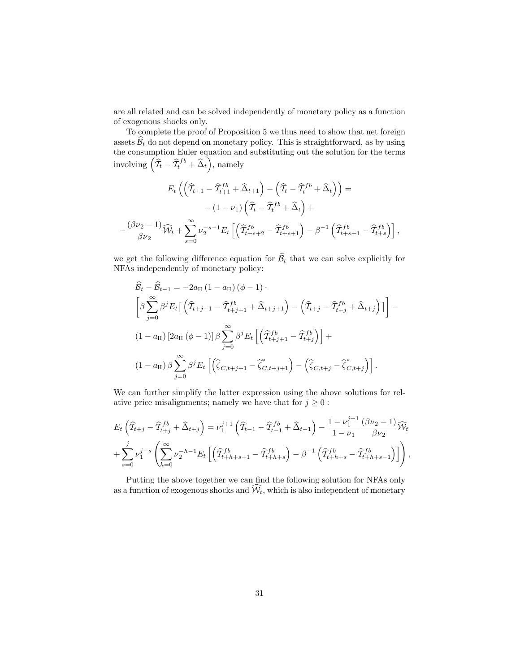are all related and can be solved independently of monetary policy as a function of exogenous shocks only.

To complete the proof of Proposition 5 we thus need to show that net foreign assets  $B_t$  do not depend on monetary policy. This is straightforward, as by using the consumption Euler equation and substituting out the solution for the terms involving  $\left(\widehat{\mathcal{I}}_t - \widehat{\mathcal{I}}_t^{fb} + \widehat{\Delta}_t\right)$ , namely

$$
E_t \left( \left( \widehat{T}_{t+1} - \widehat{T}_{t+1}^{fb} + \widehat{\Delta}_{t+1} \right) - \left( \widehat{T}_t - \widehat{T}_t^{fb} + \widehat{\Delta}_t \right) \right) =
$$
  

$$
- (1 - \nu_1) \left( \widehat{T}_t - \widehat{T}_t^{fb} + \widehat{\Delta}_t \right) +
$$
  

$$
- \frac{(\beta \nu_2 - 1)}{\beta \nu_2} \widehat{\mathcal{W}}_t + \sum_{s=0}^{\infty} \nu_2^{-s-1} E_t \left[ \left( \widehat{T}_{t+s+2}^{fb} - \widehat{T}_{t+s+1}^{fb} \right) - \beta^{-1} \left( \widehat{T}_{t+s+1}^{fb} - \widehat{T}_{t+s}^{fb} \right) \right],
$$

we get the following difference equation for  $\widehat{\mathcal{B}}_t$  that we can solve explicitly for NFAs independently of monetary policy:

$$
\hat{B}_{t} - \hat{B}_{t-1} = -2a_{\text{H}} (1 - a_{\text{H}}) (\phi - 1) \cdot
$$
\n
$$
\left[ \beta \sum_{j=0}^{\infty} \beta^{j} E_{t} \left[ \left( \hat{T}_{t+j+1} - \hat{T}_{t+j+1}^{fb} + \hat{\Delta}_{t+j+1} \right) - \left( \hat{T}_{t+j} - \hat{T}_{t+j}^{fb} + \hat{\Delta}_{t+j} \right) \right] \right] -
$$
\n
$$
(1 - a_{\text{H}}) \left[ 2a_{\text{H}} (\phi - 1) \right] \beta \sum_{j=0}^{\infty} \beta^{j} E_{t} \left[ \left( \hat{T}_{t+j+1}^{fb} - \hat{T}_{t+j}^{fb} \right) \right] +
$$
\n
$$
(1 - a_{\text{H}}) \beta \sum_{j=0}^{\infty} \beta^{j} E_{t} \left[ \left( \hat{\zeta}_{C, t+j+1} - \hat{\zeta}_{C, t+j+1}^{*} \right) - \left( \hat{\zeta}_{C, t+j} - \hat{\zeta}_{C, t+j}^{*} \right) \right].
$$

We can further simplify the latter expression using the above solutions for relative price misalignments; namely we have that for  $j \geq 0$ :

$$
E_t \left( \widehat{T}_{t+j} - \widehat{T}_{t+j}^{fb} + \widehat{\Delta}_{t+j} \right) = \nu_1^{j+1} \left( \widehat{T}_{t-1} - \widehat{T}_{t-1}^{fb} + \widehat{\Delta}_{t-1} \right) - \frac{1 - \nu_1^{j+1}}{1 - \nu_1} \frac{(\beta \nu_2 - 1)}{\beta \nu_2} \widehat{\mathcal{W}}_t
$$
  
+ 
$$
\sum_{s=0}^j \nu_1^{j-s} \left( \sum_{h=0}^\infty \nu_2^{-h-1} E_t \left[ \left( \widehat{T}_{t+h+s+1}^{fb} - \widehat{T}_{t+h+s}^{fb} \right) - \beta^{-1} \left( \widehat{T}_{t+h+s}^{fb} - \widehat{T}_{t+h+s-1}^{fb} \right) \right] \right),
$$

Putting the above together we can find the following solution for NFAs only as a function of exogenous shocks and  $\hat{\mathcal{W}}_t$ , which is also independent of monetary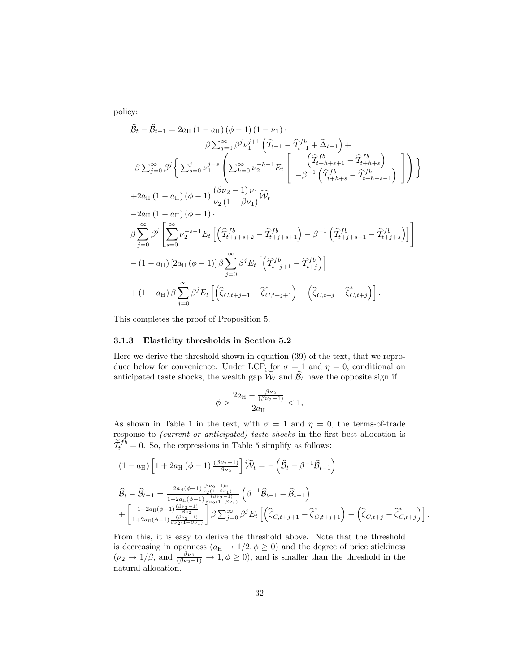policy:

$$
\hat{B}_{t} - \hat{B}_{t-1} = 2a_{H} (1 - a_{H}) (\phi - 1) (1 - \nu_{1})
$$
\n
$$
\beta \sum_{j=0}^{\infty} \beta^{j} \nu_{1}^{j+1} (\hat{T}_{t-1} - \hat{T}_{t-1}^{fb} + \hat{\Delta}_{t-1}) +
$$
\n
$$
\beta \sum_{j=0}^{\infty} \beta^{j} \left\{ \sum_{s=0}^{j} \nu_{1}^{j-s} \left( \sum_{h=0}^{\infty} \nu_{2}^{-h-1} E_{t} \left[ \begin{array}{c} (\hat{T}_{t+h+s+1}^{fb} - \hat{T}_{t+h+s}^{fb}) \\ -\beta^{-1} (\hat{T}_{t+h+s}^{fb} - \hat{T}_{t+h+s-1}^{fb}) \end{array} \right] \right) \right\}
$$
\n
$$
+ 2a_{H} (1 - a_{H}) (\phi - 1) \frac{(\beta \nu_{2} - 1) \nu_{1}}{\nu_{2} (1 - \beta \nu_{1})} \widehat{W}_{t}
$$
\n
$$
- 2a_{H} (1 - a_{H}) (\phi - 1) .
$$
\n
$$
\beta \sum_{j=0}^{\infty} \beta^{j} \left[ \sum_{s=0}^{\infty} \nu_{2}^{-s-1} E_{t} \left[ (\hat{T}_{t+j+s+2}^{fb} - \hat{T}_{t+j+s+1}^{fb}) - \beta^{-1} (\hat{T}_{t+j+s+1}^{fb} - \hat{T}_{t+j+s}^{fb}) \right] \right]
$$
\n
$$
- (1 - a_{H}) [2a_{H} (\phi - 1)] \beta \sum_{j=0}^{\infty} \beta^{j} E_{t} \left[ (\hat{T}_{t+j+1}^{fb} - \hat{T}_{t+j}^{fb}) \right]
$$
\n
$$
+ (1 - a_{H}) \beta \sum_{j=0}^{\infty} \beta^{j} E_{t} \left[ (\hat{\zeta}_{C,t+j+1} - \hat{\zeta}_{C,t+j+1}^{*}) - (\hat{\zeta}_{C,t+j} - \hat{\zeta}_{C,t+j}^{*}) \right].
$$

This completes the proof of Proposition 5.

### 3.1.3 Elasticity thresholds in Section 5.2

Here we derive the threshold shown in equation (39) of the text, that we reproduce below for convenience. Under LCP, for  $\sigma = 1$  and  $\eta = 0$ , conditional on anticipated taste shocks, the wealth gap  $\widetilde{\mathcal{W}}_t$  and  $\widehat{\mathcal{B}}_t$  have the opposite sign if

$$
\phi > \frac{2a_{\rm H} - \frac{\beta \nu_2}{(\beta \nu_2 - 1)}}{2a_{\rm H}} < 1,
$$

As shown in Table 1 in the text, with  $\sigma = 1$  and  $\eta = 0$ , the terms-of-trade response to *(current or anticipated)* taste shocks in the first-best allocation is  $\widetilde{\mathcal{I}}_t^{fb} = 0$ . So, the expressions in Table 5 simplify as follows:

$$
(1 - a_{\mathrm{H}}) \left[ 1 + 2a_{\mathrm{H}} (\phi - 1) \frac{(\beta \nu_2 - 1)}{\beta \nu_2} \right] \widetilde{W}_t = -(\hat{\mathcal{B}}_t - \beta^{-1} \hat{\mathcal{B}}_{t-1})
$$
  

$$
\hat{\mathcal{B}}_t - \hat{\mathcal{B}}_{t-1} = \frac{2a_{\mathrm{H}} (\phi - 1) \frac{(\beta \nu_2 - 1) \nu_1}{\nu_2 (1 - \beta \nu_1)}}{1 + 2a_{\mathrm{H}} (\phi - 1) \frac{(\beta \nu_2 - 1)}{\beta \nu_2 (1 - \beta \nu_1)}} \left( \beta^{-1} \hat{\mathcal{B}}_{t-1} - \hat{\mathcal{B}}_{t-1} \right)
$$

$$
+ \left[ \frac{1 + 2a_{\mathrm{H}} (\phi - 1) \frac{(\beta \nu_2 - 1)}{\beta \nu_2}}{1 + 2a_{\mathrm{H}} (\phi - 1) \frac{(\beta \nu_2 - 1)}{\beta \nu_2 (1 - \beta \nu_1)}} \right] \beta \sum_{j=0}^{\infty} \beta^j E_t \left[ \left( \hat{\zeta}_{C, t+j+1} - \hat{\zeta}_{C, t+j+1}^* \right) - \left( \hat{\zeta}_{C, t+j} - \hat{\zeta}_{C, t+j}^* \right) \right].
$$

From this, it is easy to derive the threshold above. Note that the threshold is decreasing in openness  $(a_H \rightarrow 1/2, \phi \ge 0)$  and the degree of price stickiness  $(\nu_2 \rightarrow 1/\beta$ , and  $\frac{\beta \nu_2}{(\beta \nu_2 - 1)} \rightarrow 1, \phi \ge 0)$ , and is smaller than the threshold in the natural allocation.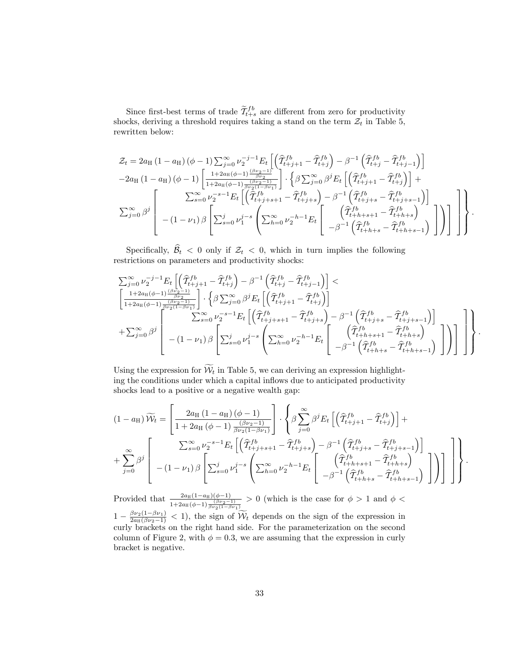Since first-best terms of trade  $\widetilde{\mathcal{I}}_{t+s}^{fb}$  are different from zero for productivity shocks, deriving a threshold requires taking a stand on the term  $\mathcal{Z}_t$  in Table 5, rewritten below:

$$
\mathcal{Z}_{t} = 2a_{\mathrm{H}} (1 - a_{\mathrm{H}}) (\phi - 1) \sum_{j=0}^{\infty} \nu_{2}^{-j-1} E_{t} \left[ \left( \widehat{T}_{t+j+1}^{fb} - \widehat{T}_{t+j}^{fb} \right) - \beta^{-1} \left( \widehat{T}_{t+j}^{fb} - \widehat{T}_{t+j-1}^{fb} \right) \right] \n-2a_{\mathrm{H}} (1 - a_{\mathrm{H}}) (\phi - 1) \left[ \frac{1 + 2a_{\mathrm{H}} (\phi - 1) \frac{(\beta \nu_{2} - 1)}{\beta \nu_{2}}}{1 + 2a_{\mathrm{H}} (\phi - 1) \frac{(\beta \nu_{2} - 1)}{\beta \nu_{2}} \right] \cdot \left\{ \beta \sum_{j=0}^{\infty} \beta^{j} E_{t} \left[ \left( \widehat{T}_{t+j+1}^{fb} - \widehat{T}_{t+j}^{fb} \right) \right] + \sum_{s=0}^{\infty} \nu_{2}^{-s-1} E_{t} \left[ \left( \widehat{T}_{t+j+s+1}^{fb} - \widehat{T}_{t+j+s}^{fb} \right) - \beta^{-1} \left( \widehat{T}_{t+j+s}^{fb} - \widehat{T}_{t+j+s-1}^{fb} \right) \right] \right] \n\sum_{j=0}^{\infty} \beta^{j} \left[ -(1 - \nu_{1}) \beta \left[ \sum_{s=0}^{j} \nu_{1}^{j-s} \left( \sum_{h=0}^{\infty} \nu_{2}^{-h-1} E_{t} \left[ \left( \widehat{T}_{t+h+s+1}^{fb} - \widehat{T}_{t+h+s}^{fb} \right) \right] \right) \right] \right] \right].
$$

Specifically,  $\widehat{\mathcal{B}}_t < 0$  only if  $\mathcal{Z}_t < 0$ , which in turn implies the following restrictions on parameters and productivity shocks:

P1 <sup>j</sup>=0 j1 <sup>2</sup> E<sup>t</sup> hTbf b <sup>t</sup>+j+1 <sup>T</sup>bf b t+j 1 Tbf b <sup>t</sup>+<sup>j</sup> <sup>T</sup>bf b t+j1 i <sup>&</sup>lt; 1+2aH(1) (21) 2 1+2aH(1) (21) 2(11) n P1 <sup>j</sup>=0  <sup>j</sup>E<sup>t</sup> hTbf b <sup>t</sup>+j+1 <sup>T</sup>bf b t+j i + P1 <sup>j</sup>=0  j 2 6 6 6 4 P<sup>1</sup> <sup>s</sup>=0 s1 <sup>2</sup> E<sup>t</sup> hTbf b <sup>t</sup>+j+s+1 <sup>T</sup>bf b t+j+s 1 Tbf b <sup>t</sup>+j+<sup>s</sup> <sup>T</sup>bf b t+j+s1 i (1 1)  2 4 P<sup>j</sup> <sup>s</sup>=0 js 1 0 @ P<sup>1</sup> <sup>h</sup>=0 h1 <sup>2</sup> E<sup>t</sup> 2 4 Tbf b <sup>t</sup>+h+s+1 <sup>T</sup>bf b t+h+s 1 Tbf b <sup>t</sup>+h+<sup>s</sup> <sup>T</sup>bf b t+h+s1 3 5 1 A 3 5 3 7 7 7 5 9 >>>= >>>; :

Using the expression for  $\widetilde{\mathcal{W}}_t$  in Table 5, we can deriving an expression highlighting the conditions under which a capital inflows due to anticipated productivity shocks lead to a positive or a negative wealth gap:

$$
(1 - a_{\rm H})\widetilde{W}_t = \left[\frac{2a_{\rm H}(1 - a_{\rm H})\left(\phi - 1\right)}{1 + 2a_{\rm H}\left(\phi - 1\right)\frac{\left(\beta \nu_2 - 1\right)}{\beta \nu_2 (1 - \beta \nu_1)}}\right] \cdot \left\{\beta \sum_{j=0}^{\infty} \beta^j E_t \left[\left(\widehat{T}_{t+j+1}^{fb} - \widehat{T}_{t+j}^{fb}\right)\right] + \sum_{j=0}^{\infty} \beta^j \left[\frac{\sum_{s=0}^{\infty} \nu_2^{-s-1} E_t \left[\left(\widehat{T}_{t+j+s+1}^{fb} - \widehat{T}_{t+j+s}^{fb}\right) - \beta^{-1} \left(\widehat{T}_{t+j+s}^{fb} - \widehat{T}_{t+j+s-1}^{fb}\right)\right]}{-(1 - \nu_1)\beta \left[\sum_{s=0}^j \nu_1^{j-s} \left(\sum_{h=0}^{\infty} \nu_2^{-h-1} E_t \left[\begin{array}{c} \left(\widehat{T}_{t+h+s+1}^{fb} - \widehat{T}_{t+h+s}^{fb}\right) \\ -\beta^{-1} \left(\widehat{T}_{t+h+s}^{fb} - \widehat{T}_{t+h+s-1}^{fb}\right) \end{array}\right]\right)\right]\right\}.
$$

Provided that  $\frac{2a_H(1-a_H)(\phi-1)}{1+2a_H(\phi-1)\frac{(\beta\nu_2-1)}{\beta\nu_2(1-\beta\nu_1)}}$  $> 0$  (which is the case for  $\phi > 1$  and  $\phi <$  $1 - \frac{\beta \nu_2 (1 - \beta \nu_1)}{2a_H(\beta \nu_2 - 1)} < 1$ , the sign of  $\widetilde{\mathcal{W}}_t$  depends on the sign of the expression in curly brackets on the right hand side. For the parameterization on the second column of Figure 2, with  $\phi = 0.3$ , we are assuming that the expression in curly bracket is negative.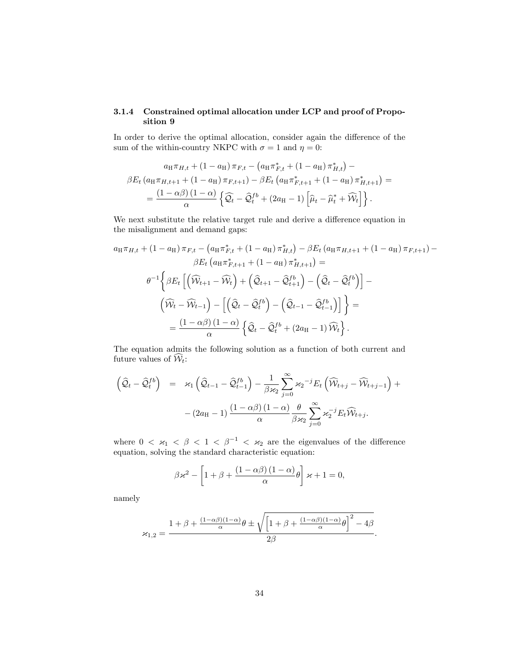### 3.1.4 Constrained optimal allocation under LCP and proof of Proposition 9

In order to derive the optimal allocation, consider again the difference of the sum of the within-country NKPC with  $\sigma = 1$  and  $\eta = 0$ :

$$
a_{\text{H}}\pi_{H,t} + (1 - a_{\text{H}})\pi_{F,t} - (a_{\text{H}}\pi_{F,t}^* + (1 - a_{\text{H}})\pi_{H,t}^*) -
$$
  

$$
\beta E_t (a_{\text{H}}\pi_{H,t+1} + (1 - a_{\text{H}})\pi_{F,t+1}) - \beta E_t (a_{\text{H}}\pi_{F,t+1}^* + (1 - a_{\text{H}})\pi_{H,t+1}^*) =
$$
  

$$
= \frac{(1 - \alpha\beta)(1 - \alpha)}{\alpha} \left\{ \widehat{Q}_t - \widehat{Q}_t^{fb} + (2a_{\text{H}} - 1) \left[ \widehat{\mu}_t - \widehat{\mu}_t^* + \widehat{\mathcal{W}}_t \right] \right\}.
$$

We next substitute the relative target rule and derive a difference equation in the misalignment and demand gaps:

$$
a_{\mathrm{H}}\pi_{H,t} + (1 - a_{\mathrm{H}})\pi_{F,t} - (a_{\mathrm{H}}\pi_{F,t}^{*} + (1 - a_{\mathrm{H}})\pi_{H,t}^{*}) - \beta E_{t} (a_{\mathrm{H}}\pi_{H,t+1} + (1 - a_{\mathrm{H}})\pi_{F,t+1}) -
$$

$$
\beta E_{t} (a_{\mathrm{H}}\pi_{F,t+1}^{*} + (1 - a_{\mathrm{H}})\pi_{H,t+1}^{*}) =
$$

$$
\theta^{-1} \left\{ \beta E_{t} \left[ \left( \widehat{W}_{t+1} - \widehat{W}_{t} \right) + \left( \widehat{Q}_{t+1} - \widehat{Q}_{t+1}^{fb} \right) - \left( \widehat{Q}_{t} - \widehat{Q}_{t}^{fb} \right) \right] - \right.
$$

$$
\left( \widehat{W}_{t} - \widehat{W}_{t-1} \right) - \left[ \left( \widehat{Q}_{t} - \widehat{Q}_{t}^{fb} \right) - \left( \widehat{Q}_{t-1} - \widehat{Q}_{t-1}^{fb} \right) \right] \right\} =
$$

$$
= \frac{(1 - \alpha\beta)(1 - \alpha)}{\alpha} \left\{ \widehat{Q}_{t} - \widehat{Q}_{t}^{fb} + (2a_{\mathrm{H}} - 1)\widehat{W}_{t} \right\}.
$$

The equation admits the following solution as a function of both current and future values of  $\widehat{\mathcal{W}}_t$ :

$$
\left(\widehat{\mathcal{Q}}_t - \widehat{\mathcal{Q}}_t^{fb}\right) = \varkappa_1 \left(\widehat{\mathcal{Q}}_{t-1} - \widehat{\mathcal{Q}}_{t-1}^{fb}\right) - \frac{1}{\beta \varkappa_2} \sum_{j=0}^{\infty} \varkappa_2^{-j} E_t \left(\widehat{\mathcal{W}}_{t+j} - \widehat{\mathcal{W}}_{t+j-1}\right) + - (2a_H - 1) \frac{(1 - \alpha \beta) (1 - \alpha)}{\alpha} \frac{\theta}{\beta \varkappa_2} \sum_{j=0}^{\infty} \varkappa_2^{-j} E_t \widehat{\mathcal{W}}_{t+j}.
$$

where  $0 < \varkappa_1 < \beta < 1 < \beta^{-1} < \varkappa_2$  are the eigenvalues of the difference equation, solving the standard characteristic equation:

$$
\beta \varkappa^2 - \left[1 + \beta + \frac{(1 - \alpha \beta)(1 - \alpha)}{\alpha} \theta\right] \varkappa + 1 = 0,
$$

namely

$$
\varkappa_{1,2}=\dfrac{1+\beta+\frac{(1-\alpha\beta)(1-\alpha)}{\alpha}\theta\pm\sqrt{\left[1+\beta+\frac{(1-\alpha\beta)(1-\alpha)}{\alpha}\theta\right]^2-4\beta}}{2\beta}.
$$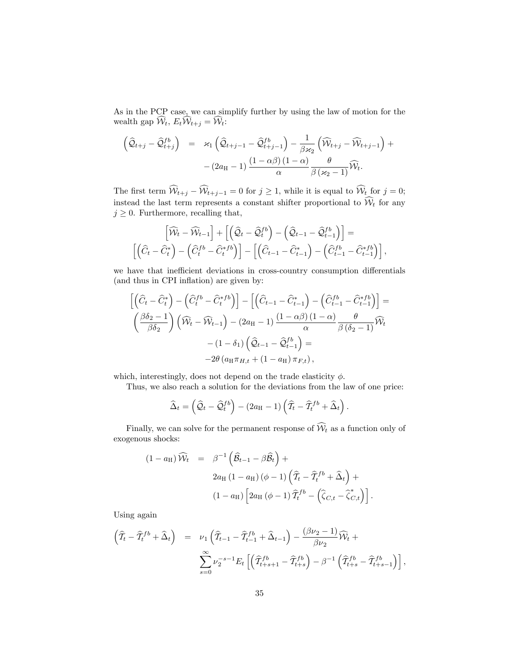As in the PCP case, we can simplify further by using the law of motion for the wealth gap  $\widehat{\mathcal{W}}_t, E_t \widehat{\mathcal{W}}_{t+j} = \widehat{\mathcal{W}}_t$ :

$$
\begin{array}{rcl}\n\left(\widehat{\mathcal{Q}}_{t+j}-\widehat{\mathcal{Q}}_{t+j}^{fb}\right)&=& \varkappa_1\left(\widehat{\mathcal{Q}}_{t+j-1}-\widehat{\mathcal{Q}}_{t+j-1}^{fb}\right)-\frac{1}{\beta\kappa_2}\left(\widehat{\mathcal{W}}_{t+j}-\widehat{\mathcal{W}}_{t+j-1}\right)+\\
&- \left(2a_{\mathrm{H}}-1\right)\frac{\left(1-\alpha\beta\right)\left(1-\alpha\right)}{\alpha}\frac{\theta}{\beta\left(\kappa_2-1\right)}\widehat{\mathcal{W}}_t.\n\end{array}
$$

The first term  $W_{t+j} - W_{t+j-1} = 0$  for  $j \ge 1$ , while it is equal to  $W_t$  for  $j = 0$ ; instead the last term represents a constant shifter proportional to  $W_t$  for any  $j \geq 0$ . Furthermore, recalling that,

$$
\left[\widehat{\mathcal{W}}_t - \widehat{\mathcal{W}}_{t-1}\right] + \left[\left(\widehat{\mathcal{Q}}_t - \widehat{\mathcal{Q}}_t^{fb}\right) - \left(\widehat{\mathcal{Q}}_{t-1} - \widehat{\mathcal{Q}}_{t-1}^{fb}\right)\right] = \left[\left(\widehat{C}_t - \widehat{C}_t^*\right) - \left(\widehat{C}_t^{fb} - \widehat{C}_t^{*fb}\right)\right] - \left[\left(\widehat{C}_{t-1} - \widehat{C}_{t-1}^*\right) - \left(\widehat{C}_{t-1}^{fb} - \widehat{C}_{t-1}^{*fb}\right)\right],
$$

we have that inefficient deviations in cross-country consumption differentials (and thus in CPI inflation) are given by:

$$
\begin{aligned}\n\left[ \left( \widehat{C}_t - \widehat{C}_t^* \right) - \left( \widehat{C}_t^{fb} - \widehat{C}_t^{*fb} \right) \right] - \left[ \left( \widehat{C}_{t-1} - \widehat{C}_{t-1}^* \right) - \left( \widehat{C}_{t-1}^{fb} - \widehat{C}_{t-1}^{*fb} \right) \right] &= \\
\left( \frac{\beta \delta_2 - 1}{\beta \delta_2} \right) \left( \widehat{W}_t - \widehat{W}_{t-1} \right) - (2a_H - 1) \frac{(1 - \alpha \beta)(1 - \alpha)}{\alpha} \frac{\theta}{\beta (\delta_2 - 1)} \widehat{W}_t \\
&\quad - (1 - \delta_1) \left( \widehat{Q}_{t-1} - \widehat{Q}_{t-1}^{fb} \right) = \\
&\quad - 2\theta \left( a_H \pi_{H,t} + (1 - a_H) \pi_{F,t} \right),\n\end{aligned}
$$

which, interestingly, does not depend on the trade elasticity  $\phi$ .

Thus, we also reach a solution for the deviations from the law of one price:

$$
\widehat{\Delta}_t = \left(\widehat{\mathcal{Q}}_t - \widehat{\mathcal{Q}}_t^{fb}\right) - (2a_H - 1)\left(\widehat{\mathcal{T}}_t - \widehat{\mathcal{T}}_t^{fb} + \widehat{\Delta}_t\right).
$$

Finally, we can solve for the permanent response of  $\widehat{\mathcal{W}}_t$  as a function only of exogenous shocks:

$$
(1 - a_{\mathrm{H}}) \widehat{W}_t = \beta^{-1} \left( \widehat{\mathcal{B}}_{t-1} - \beta \widehat{\mathcal{B}}_t \right) +
$$
  

$$
2a_{\mathrm{H}} (1 - a_{\mathrm{H}}) (\phi - 1) \left( \widehat{T}_t - \widehat{T}_t^{fb} + \widehat{\Delta}_t \right) +
$$
  

$$
(1 - a_{\mathrm{H}}) \left[ 2a_{\mathrm{H}} (\phi - 1) \widehat{T}_t^{fb} - \left( \widehat{\zeta}_{C,t} - \widehat{\zeta}_{C,t}^* \right) \right].
$$

Using again

$$
\begin{array}{rcl}\n\left(\widehat{T}_t - \widehat{T}_t^{fb} + \widehat{\Delta}_t\right) & = & \nu_1 \left(\widehat{T}_{t-1} - \widehat{T}_{t-1}^{fb} + \widehat{\Delta}_{t-1}\right) - \frac{(\beta \nu_2 - 1)}{\beta \nu_2} \widehat{\mathcal{W}}_t + \\
& & \sum_{s=0}^{\infty} \nu_2^{-s-1} E_t \left[ \left(\widehat{T}_{t+s+1}^{fb} - \widehat{T}_{t+s}^{fb}\right) - \beta^{-1} \left(\widehat{T}_{t+s}^{fb} - \widehat{T}_{t+s-1}^{fb}\right) \right],\n\end{array}
$$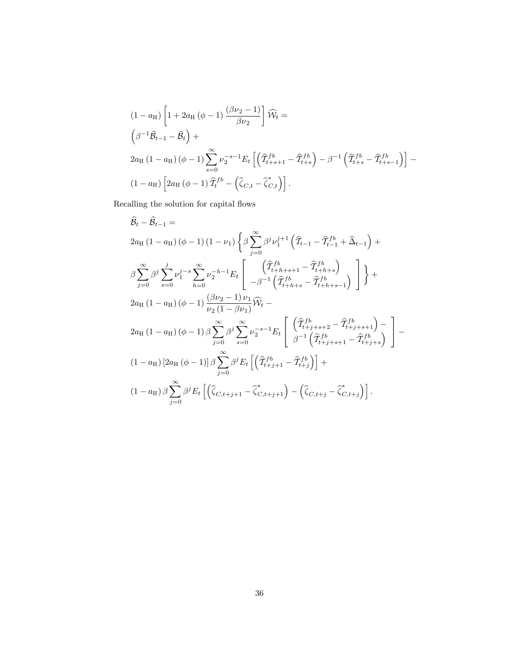$$
(1 - a_H) \left[ 1 + 2a_H (\phi - 1) \frac{(\beta \nu_2 - 1)}{\beta \nu_2} \right] \widehat{W}_t =
$$
\n
$$
\left( \beta^{-1} \widehat{B}_{t-1} - \widehat{B}_t \right) +
$$
\n
$$
2a_H (1 - a_H) (\phi - 1) \sum_{s=0}^{\infty} \nu_2^{-s-1} E_t \left[ \left( \widehat{T}_{t+s+1}^{fb} - \widehat{T}_{t+s}^{fb} \right) - \beta^{-1} \left( \widehat{T}_{t+s}^{fb} - \widehat{T}_{t+s-1}^{fb} \right) \right] -
$$
\n
$$
(1 - a_H) \left[ 2a_H (\phi - 1) \widehat{T}_t^{fb} - \left( \widehat{\zeta}_{C,t} - \widehat{\zeta}_{C,t}^{*} \right) \right].
$$

Recalling the solution for capital flows

$$
\hat{B}_{t} - \hat{B}_{t-1} =
$$
\n
$$
2a_{\text{H}} (1 - a_{\text{H}}) (\phi - 1) (1 - \nu_{1}) \left\{ \beta \sum_{j=0}^{\infty} \beta^{j} \nu_{1}^{j+1} \left( \hat{T}_{t-1} - \hat{T}_{t-1}^{fb} + \hat{\Delta}_{t-1} \right) + \beta \sum_{j=0}^{\infty} \beta^{j} \sum_{s=0}^{j} \nu_{1}^{j-s} \sum_{h=0}^{\infty} \nu_{2}^{-h-1} E_{t} \left[ \begin{array}{c} \left( \hat{T}_{t+h+s+1}^{fb} - \hat{T}_{t+h+s}^{fb} \right) \\ -\beta^{-1} \left( \hat{T}_{t+h+s}^{fb} - \hat{T}_{t+h+s-1}^{fb} \right) \end{array} \right] \right\} +
$$
\n
$$
2a_{\text{H}} (1 - a_{\text{H}}) (\phi - 1) \frac{(\beta \nu_{2} - 1) \nu_{1}}{\nu_{2} (1 - \beta \nu_{1})} \widehat{W}_{t} -
$$
\n
$$
2a_{\text{H}} (1 - a_{\text{H}}) (\phi - 1) \beta \sum_{j=0}^{\infty} \beta^{j} \sum_{s=0}^{\infty} \nu_{2}^{-s-1} E_{t} \left[ \begin{array}{c} \left( \hat{T}_{t+h+s+2}^{fb} - \hat{T}_{t+j+s+1}^{fb} \right) - \beta^{j-1} \left( \hat{T}_{t+j+s+1}^{fb} - \hat{T}_{t+j+s+1}^{fb} \right) \end{array} \right] -
$$
\n
$$
(1 - a_{\text{H}}) \left[ 2a_{\text{H}} (\phi - 1) \right] \beta \sum_{j=0}^{\infty} \beta^{j} E_{t} \left[ \left( \hat{T}_{t+j+1}^{fb} - \hat{T}_{t+j}^{fb} \right) \right] +
$$
\n
$$
(1 - a_{\text{H}}) \beta \sum_{j=0}^{\infty} \beta^{j} E_{t} \left[ \left( \hat{\zeta}_{C,t+j+1} - \hat{\zeta}_{C,t+j+1}^{*} \right) - \left( \hat{\zeta}_{C,t+j} - \hat{\zeta}_{C,t+j}^{*} \right) \right].
$$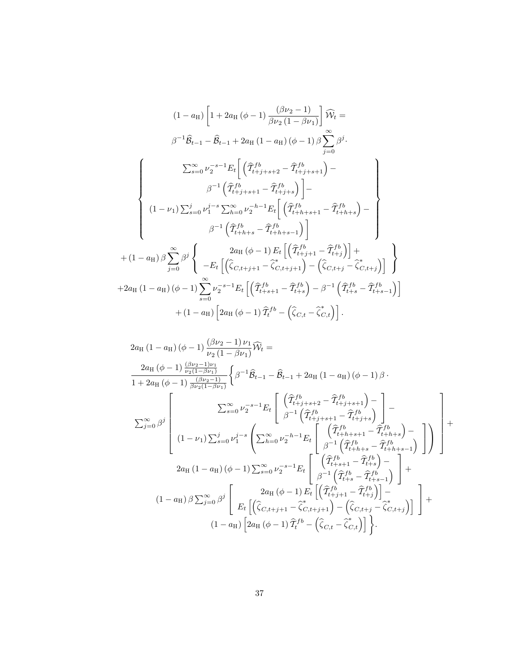$$
(1 - a_{H}) \left[ 1 + 2a_{H} (\phi - 1) \frac{(\beta \nu_{2} - 1)}{\beta \nu_{2} (1 - \beta \nu_{1})} \right] \widehat{W}_{t} =
$$
\n
$$
\beta^{-1} \widehat{B}_{t-1} - \widehat{B}_{t-1} + 2a_{H} (1 - a_{H}) (\phi - 1) \beta \sum_{j=0}^{\infty} \beta^{j}.
$$
\n
$$
\sum_{s=0}^{\infty} \nu_{2}^{-s-1} E_{t} \left[ \left( \widehat{T}_{t+j+s+2}^{fb} - \widehat{T}_{t+j+s+1}^{fb} \right) - \beta^{-1} \left( \widehat{T}_{t+j+s+1}^{fb} - \widehat{T}_{t+j+s}^{fb} \right) \right] -
$$
\n
$$
(1 - \nu_{1}) \sum_{s=0}^{j} \nu_{1}^{j-s} \sum_{h=0}^{\infty} \nu_{2}^{-h-1} E_{t} \left[ \left( \widehat{T}_{t+h+s+1}^{fb} - \widehat{T}_{t+h+s}^{fb} \right) - \beta^{-1} \left( \widehat{T}_{t+h+s}^{fb} - \widehat{T}_{t+h+s-1}^{fb} \right) \right] +
$$
\n
$$
+ (1 - a_{H}) \beta \sum_{j=0}^{\infty} \beta^{j} \left\{ \begin{array}{c} 2a_{H} (\phi - 1) E_{t} \left[ \left( \widehat{T}_{t+j+1}^{fb} - \widehat{T}_{t+j}^{fb} \right) \right] + \beta a_{H} (1 - a_{H}) (\phi - 1) \sum_{s=0}^{\infty} \nu_{2}^{-s-1} E_{t} \left[ \left( \widehat{T}_{t+s+1}^{fb} - \widehat{T}_{t+s}^{fb} \right) - \beta^{-1} \left( \widehat{T}_{t+s}^{fb} - \widehat{T}_{t+s-1}^{fb} \right) \right] \\ + 2a_{H} (1 - a_{H}) \left[ 2a_{H} (\phi - 1) \widehat{T}_{t}^{fb} - \left( \widehat{\zeta}_{C,t} - \widehat{\zeta}_{C,t}^{*} \right) \right]. \end{array}
$$

$$
2a_{\rm H} (1 - a_{\rm H}) (\phi - 1) \frac{(\beta \nu_2 - 1) \nu_1}{\nu_2 (1 - \beta \nu_1)} \widehat{W}_t =
$$
\n
$$
\frac{2a_{\rm H} (\phi - 1) \frac{(\beta \nu_2 - 1) \nu_1}{\nu_2 (1 - \beta \nu_1)}}{1 + 2a_{\rm H} (\phi - 1) \frac{(\beta \nu_2 - 1)}{\beta \nu_2 (1 - \beta \nu_1)}} \left\{ \beta^{-1} \widehat{B}_{t-1} - \widehat{B}_{t-1} + 2a_{\rm H} (1 - a_{\rm H}) (\phi - 1) \beta \right\}.
$$
\n
$$
\sum_{s=0}^{\infty} \nu_2^{-s-1} E_t \left[ \frac{(\widehat{T}_{t+j+s+2}^{\,fb} - \widehat{T}_{t+j+s+1}^{\,fb}) - (-1)^s}{\beta^{-1} (\widehat{T}_{t+j+s+1}^{\,fb} - \widehat{T}_{t+j+s+1}^{\,fb})} \right] -
$$
\n
$$
2a_{\rm H} (1 - \nu_1) \sum_{s=0}^j \nu_1^{j-s} \left( \sum_{h=0}^{\infty} \nu_2^{-h-1} E_t \left[ \frac{(\widehat{T}_{t+k+s+1}^{\,fb} - \widehat{T}_{t+k+s}^{\,fb}) - (\widehat{T}_{t+k+s-1})}{\beta^{-1} (\widehat{T}_{t+k+s}^{\,fb} - \widehat{T}_{t+k+s-1}^{\,fb})} \right] \right) +
$$
\n
$$
2a_{\rm H} (1 - a_{\rm H}) (\phi - 1) \sum_{s=0}^{\infty} \nu_2^{-s-1} E_t \left[ \frac{(\widehat{T}_{t+k+s+1}^{\,fb} - \widehat{T}_{t+k}^{\,fb}) - (\widehat{T}_{t+k+s+1}^{\,fb}) - (\widehat{T}_{t+k+s+1})}{\beta^{-1} (\widehat{T}_{t+s}^{\,fb} - \widehat{T}_{t+s}^{\,fb})} \right] +
$$
\n
$$
(1 - a_{\rm H}) \beta \sum_{j=0}^{\infty} \beta^j \left[ E_t \left[ (\widehat{\zeta}_{C,t+j+1} - \widehat{\zeta}_{C,t+j+1}^{\,fb}) - (\widehat{\zeta}_{C,t+j} - \widehat{\z
$$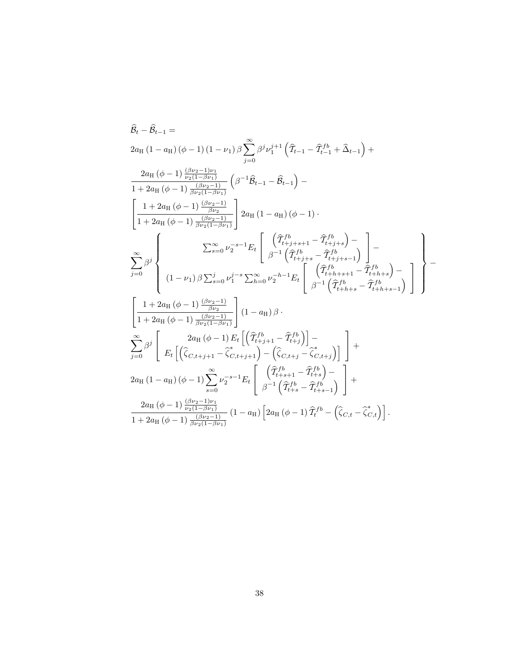$$
\hat{B}_{t} - \hat{B}_{t-1} =
$$
\n
$$
2a_{\text{H}} (1 - a_{\text{H}}) (\phi - 1) (1 - \nu_{1}) \beta \sum_{j=0}^{\infty} \beta^{j} \nu_{1}^{j+1} (\hat{T}_{t-1} - \hat{T}_{t-1}^{fb} + \hat{\Delta}_{t-1}) +
$$
\n
$$
\frac{2a_{\text{H}} (\phi - 1) \frac{(\beta \nu_{2} - 1)\nu_{1}}{\nu_{2}(1 - \beta \nu_{1})}}{1 + 2a_{\text{H}} (\phi - 1) \frac{(\beta \nu_{2} - 1)}{\beta \nu_{2}(1 - \beta \nu_{1})}} (\beta^{-1} \hat{B}_{t-1} - \hat{B}_{t-1}) -
$$
\n
$$
\left[ \frac{1 + 2a_{\text{H}} (\phi - 1) \frac{(\beta \nu_{2} - 1)}{\beta \nu_{2}(1 - \beta \nu_{1})}}{1 + 2a_{\text{H}} (\phi - 1) \frac{(\beta \nu_{2} - 1)}{\beta \nu_{2}(1 - \beta \nu_{1})}} \right] 2a_{\text{H}} (1 - a_{\text{H}}) (\phi - 1) .
$$
\n
$$
\sum_{j=0}^{\infty} \beta^{j} \left\{ \sum_{s=0}^{\infty} \nu_{2}^{-s-1} E_{t} \left[ \frac{(\hat{T}_{t+j+s+1}^{fb} - \hat{T}_{t+j+s}^{fb}) - \hat{T}_{t+j+s+1}^{fb}}{1 + \hat{T}_{t+j+s+1}^{fb}} - \hat{T}_{t+j+s+1}^{fb} \right] -
$$
\n
$$
\left[ (1 - \nu_{1}) \beta \sum_{s=0}^{j} \nu_{1}^{j-s} \sum_{h=0}^{\infty} \nu_{2}^{-h-1} E_{t} \left[ \frac{(\hat{T}_{t+j+s+1}^{fb} - \hat{T}_{t+j+s+1}^{fb})}{\beta^{-1} (\hat{T}_{t+k+s}^{fb} - \hat{T}_{t+k+s-1}^{fb})} \right] \right] -
$$
\n
$$
\left[ \frac{1 + 2a_{\text{H}} (\phi - 1) \frac{(\beta \nu_{2} - 1)}{\beta \nu_{2}}}{1 + 2a_{\text{H}} (\phi - 1) \frac{(\beta \nu_{2} - 1)}{\beta \nu_{
$$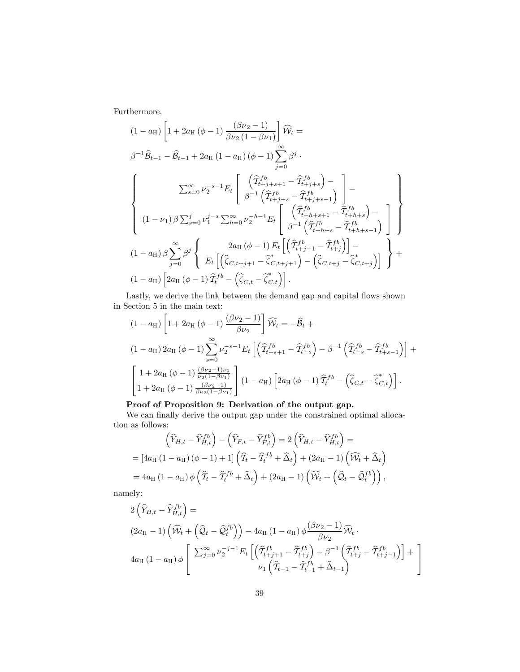Furthermore,

$$
(1 - a_{H}) \left[ 1 + 2a_{H} (\phi - 1) \frac{(\beta \nu_{2} - 1)}{\beta \nu_{2} (1 - \beta \nu_{1})} \right] \widehat{W}_{t} =
$$
\n
$$
\beta^{-1} \widehat{B}_{t-1} - \widehat{B}_{t-1} + 2a_{H} (1 - a_{H}) (\phi - 1) \sum_{j=0}^{\infty} \beta^{j}.
$$
\n
$$
\sum_{s=0}^{\infty} \nu_{2}^{-s-1} E_{t} \left[ \begin{array}{c} (\widehat{T}_{t+j+s+1}^{fb} - \widehat{T}_{t+j+s}^{fb}) - \\ \beta^{-1} (\widehat{T}_{t+j+s}^{fb} - \widehat{T}_{t+j+s-1}^{fb}) \\ \beta^{-1} (\widehat{T}_{t+j+s}^{fb} - \widehat{T}_{t+j+s-1}^{fb}) \end{array} \right] -
$$
\n
$$
(1 - \nu_{1}) \beta \sum_{s=0}^{j} \nu_{1}^{j-s} \sum_{h=0}^{\infty} \nu_{2}^{-h-1} E_{t} \left[ \begin{array}{c} (\widehat{T}_{t+h+s+1}^{fb} - \widehat{T}_{t+h+s}^{fb}) - \\ \beta^{-1} (\widehat{T}_{t+h+s}^{fb} - \widehat{T}_{t+h+s-1}^{fb}) \\ \beta^{-1} (\widehat{T}_{t+h+s}^{fb} - \widehat{T}_{t+h+s-1}^{fb}) \end{array} \right] \right\}
$$
\n
$$
(1 - a_{H}) \beta \sum_{j=0}^{\infty} \beta^{j} \left\{ E_{t} \left[ (\widehat{\zeta}_{C,t+j+1} - \widehat{\zeta}_{C,t+j+1}^{cf}) - (\widehat{\zeta}_{C,t+j} - \widehat{\zeta}_{C,t+j}^{cf}) \right] \right\} +
$$
\n
$$
(1 - a_{H}) \left[ 2a_{H} (\phi - 1) \widehat{T}_{t}^{fb} - (\widehat{\zeta}_{C,t} - \widehat{\zeta}_{C,t}) \right].
$$

Lastly, we derive the link between the demand gap and capital flows shown in Section 5 in the main text:

$$
(1 - a_{\rm H}) \left[ 1 + 2a_{\rm H} (\phi - 1) \frac{(\beta \nu_2 - 1)}{\beta \nu_2} \right] \widehat{W}_t = -\widehat{\mathcal{B}}_t +
$$
  
\n
$$
(1 - a_{\rm H}) 2a_{\rm H} (\phi - 1) \sum_{s=0}^{\infty} \nu_2^{-s-1} E_t \left[ \left( \widehat{T}_{t+s+1}^{fb} - \widehat{T}_{t+s}^{fb} \right) - \beta^{-1} \left( \widehat{T}_{t+s}^{fb} - \widehat{T}_{t+s-1}^{fb} \right) \right] +
$$
  
\n
$$
\left[ \frac{1 + 2a_{\rm H} (\phi - 1) \frac{(\beta \nu_2 - 1)\nu_1}{\nu_2 (1 - \beta \nu_1)}}{1 + 2a_{\rm H} (\phi - 1) \frac{(\beta \nu_2 - 1)}{\beta \nu_2 (1 - \beta \nu_1)}} \right] (1 - a_{\rm H}) \left[ 2a_{\rm H} (\phi - 1) \widehat{T}_t^{fb} - \left( \widehat{\zeta}_{C,t} - \widehat{\zeta}_{C,t}^* \right) \right].
$$

### Proof of Proposition 9: Derivation of the output gap.

We can finally derive the output gap under the constrained optimal allocation as follows:

$$
\left(\widehat{Y}_{H,t} - \widehat{Y}_{H,t}^{fb}\right) - \left(\widehat{Y}_{F,t} - \widehat{Y}_{F,t}^{fb}\right) = 2\left(\widehat{Y}_{H,t} - \widehat{Y}_{H,t}^{fb}\right) =
$$
\n
$$
= \left[4a_H\left(1 - a_H\right)\left(\phi - 1\right) + 1\right]\left(\widehat{T}_t - \widehat{T}_t^{fb} + \widehat{\Delta}_t\right) + \left(2a_H - 1\right)\left(\widehat{W}_t + \widehat{\Delta}_t\right)
$$
\n
$$
= 4a_H\left(1 - a_H\right)\phi\left(\widehat{T}_t - \widehat{T}_t^{fb} + \widehat{\Delta}_t\right) + \left(2a_H - 1\right)\left(\widehat{W}_t + \left(\widehat{\mathcal{Q}}_t - \widehat{\mathcal{Q}}_t^{fb}\right)\right),
$$

namely:

$$
2\left(\widehat{Y}_{H,t} - \widehat{Y}_{H,t}^{fb}\right) =
$$
\n
$$
(2a_{\mathrm{H}} - 1)\left(\widehat{\mathcal{W}}_{t} + \left(\widehat{\mathcal{Q}}_{t} - \widehat{\mathcal{Q}}_{t}^{fb}\right)\right) - 4a_{\mathrm{H}}\left(1 - a_{\mathrm{H}}\right)\phi\frac{\left(\beta\nu_{2} - 1\right)}{\beta\nu_{2}}\widehat{\mathcal{W}}_{t}.
$$
\n
$$
4a_{\mathrm{H}}\left(1 - a_{\mathrm{H}}\right)\phi\left[\sum_{j=0}^{\infty}\nu_{2}^{-j-1}E_{t}\left[\left(\widehat{T}_{t+j+1}^{fb} - \widehat{T}_{t+j}^{fb}\right) - \beta^{-1}\left(\widehat{T}_{t+j}^{fb} - \widehat{T}_{t+j-1}^{fb}\right)\right] + \mu_{1}\left(\widehat{T}_{t-1} - \widehat{T}_{t-1}^{fb} + \widehat{\Delta}_{t-1}\right)\right]
$$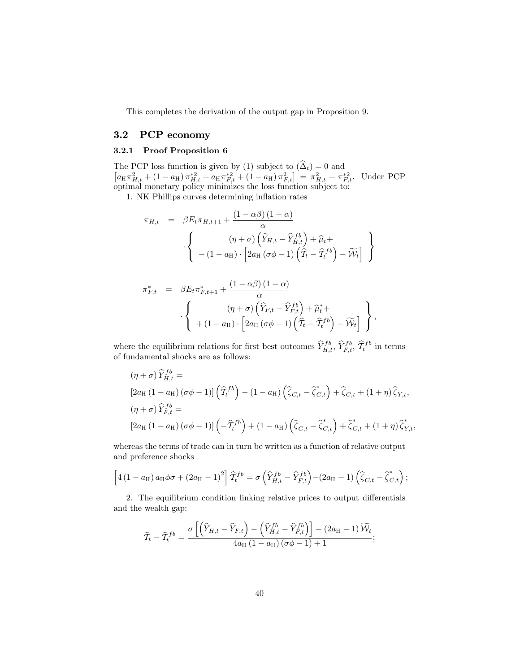This completes the derivation of the output gap in Proposition 9.

## 3.2 PCP economy

### 3.2.1 Proof Proposition 6

The PCP loss function is given by (1) subject to  $(\Delta_t) = 0$  and<br>  $[a_{\text{H}} \pi_{H,t}^2 + (1 - a_{\text{H}}) \pi_{H,t}^{*2} + a_{\text{H}} \pi_{F,t}^{*2} + (1 - a_{\text{H}}) \pi_{F,t}^2] = \pi_{H,t}^2 + \pi_{F,t}^{*2}$ . Under PCP optimal monetary policy minimizes the loss function subject to:

1. NK Phillips curves determining inflation rates

$$
\pi_{H,t} = \beta E_t \pi_{H,t+1} + \frac{(1 - \alpha \beta) (1 - \alpha)}{\alpha}
$$

$$
\cdot \left\{ \begin{array}{c} (\eta + \sigma) \left( \widehat{Y}_{H,t} - \widehat{Y}_{H,t}^{fb} \right) + \widehat{\mu}_t + \\ - (1 - a_H) \cdot \left[ 2a_H \left( \sigma \phi - 1 \right) \left( \widehat{T}_t - \widehat{T}_t^{fb} \right) - \widetilde{W}_t \right] \end{array} \right\}
$$

$$
\pi_{F,t}^{*} = \beta E_t \pi_{F,t+1}^{*} + \frac{(1 - \alpha \beta) (1 - \alpha)}{\alpha} \cdot \left\{ \begin{array}{c} (\eta + \sigma) \left( \widehat{Y}_{F,t} - \widehat{Y}_{F,t}^{fb} \right) + \widehat{\mu}_t^{*} + \\ + (1 - a_H) \cdot \left[ 2a_H \left( \sigma \phi - 1 \right) \left( \widehat{T}_t - \widehat{T}_t^{fb} \right) - \widetilde{\mathcal{W}}_t \right] \end{array} \right\},
$$

where the equilibrium relations for first best outcomes  $\hat{Y}_{H,t}^{fb}, \hat{Y}_{F,t}^{fb}, \hat{\mathcal{T}}_t^{fb}$  in terms of fundamental shocks are as follows:

$$
(\eta + \sigma) \widehat{Y}_{H,t}^{fb} =
$$
  
\n
$$
[2a_H (1 - a_H) (\sigma \phi - 1)] (\widehat{T}_t^{fb}) - (1 - a_H) (\widehat{\zeta}_{C,t} - \widehat{\zeta}_{C,t}^*) + \widehat{\zeta}_{C,t} + (1 + \eta) \widehat{\zeta}_{Y,t},
$$
  
\n
$$
(\eta + \sigma) \widehat{Y}_{F,t}^{fb} =
$$
  
\n
$$
[2a_H (1 - a_H) (\sigma \phi - 1)] (-\widehat{T}_t^{fb}) + (1 - a_H) (\widehat{\zeta}_{C,t} - \widehat{\zeta}_{C,t}^*) + \widehat{\zeta}_{C,t}^* + (1 + \eta) \widehat{\zeta}_{Y,t}^*,
$$

whereas the terms of trade can in turn be written as a function of relative output and preference shocks

$$
\[4(1-a_{\rm H})a_{\rm H}\phi\sigma+(2a_{\rm H}-1)^2\]\widehat{\mathcal{T}}_t^{fb}=\sigma\left(\widehat{Y}_{H,t}^{fb}-\widehat{Y}_{F,t}^{fb}\right)-(2a_{\rm H}-1)\left(\widehat{\zeta}_{C,t}-\widehat{\zeta}_{C,t}^*\right);
$$

2. The equilibrium condition linking relative prices to output differentials and the wealth gap:

$$
\widehat{T}_t - \widehat{T}_t^{fb} = \frac{\sigma \left[ \left( \widehat{Y}_{H,t} - \widehat{Y}_{F,t} \right) - \left( \widehat{Y}_{H,t}^{fb} - \widehat{Y}_{F,t}^{fb} \right) \right] - (2a_H - 1) \widetilde{W}_t}{4a_H (1 - a_H) (\sigma \phi - 1) + 1};
$$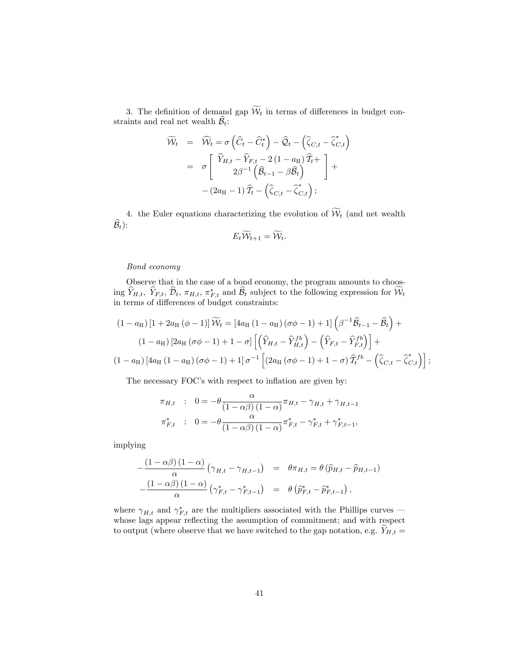3. The definition of demand gap  $\widetilde{\mathcal{W}}_t$  in terms of differences in budget constraints and real net wealth  $\widehat{\mathcal{B}}_t$ :

$$
\widetilde{\mathcal{W}}_t = \widehat{\mathcal{W}}_t = \sigma \left( \widehat{C}_t - \widehat{C}_t^* \right) - \widehat{\mathcal{Q}}_t - \left( \widehat{\zeta}_{C,t} - \widehat{\zeta}_{C,t}^* \right) \n= \sigma \left[ \begin{array}{c} \widehat{Y}_{H,t} - \widehat{Y}_{F,t} - 2(1 - a_H) \widehat{T}_t + \\ 2\beta^{-1} \left( \widehat{\mathcal{B}}_{t-1} - \beta \widehat{\mathcal{B}}_t \right) \end{array} \right] + \n- (2a_H - 1) \widehat{T}_t - \left( \widehat{\zeta}_{C,t} - \widehat{\zeta}_{C,t}^* \right);
$$

4. the Euler equations characterizing the evolution of  $\widetilde{\mathcal{W}}_t$  (and net wealth  $\widehat{\mathcal{B}}_t$ :

$$
E_t \mathcal{W}_{t+1} = \mathcal{W}_t.
$$

#### Bond economy

Observe that in the case of a bond economy, the program amounts to choosing  $Y_{H,t}$ ,  $Y_{F,t}$ ,  $\mathcal{D}_t$ ,  $\pi_{H,t}$ ,  $\pi_{F,t}^*$  and  $\mathcal{B}_t$  subject to the following expression for  $\mathcal{W}_t$ in terms of differences of budget constraints:

$$
(1 - a_{\mathrm{H}}) [1 + 2a_{\mathrm{H}} (\phi - 1)] \widetilde{W}_t = [4a_{\mathrm{H}} (1 - a_{\mathrm{H}}) (\sigma \phi - 1) + 1] \left( \beta^{-1} \widehat{\mathcal{B}}_{t-1} - \widehat{\mathcal{B}}_t \right) +
$$
  

$$
(1 - a_{\mathrm{H}}) [2a_{\mathrm{H}} (\sigma \phi - 1) + 1 - \sigma] \left[ \left( \widehat{Y}_{H,t} - \widehat{Y}_{H,t}^{fb} \right) - \left( \widehat{Y}_{F,t} - \widehat{Y}_{F,t}^{fb} \right) \right] +
$$
  

$$
(1 - a_{\mathrm{H}}) [4a_{\mathrm{H}} (1 - a_{\mathrm{H}}) (\sigma \phi - 1) + 1] \sigma^{-1} \left[ (2a_{\mathrm{H}} (\sigma \phi - 1) + 1 - \sigma) \widehat{T}_t^{fb} - \left( \widehat{\zeta}_{C,t} - \widehat{\zeta}_{C,t}^{*} \right) \right];
$$

The necessary FOC's with respect to inflation are given by:

$$
\pi_{H,t} \quad : \quad 0 = -\theta \frac{\alpha}{(1 - \alpha \beta)(1 - \alpha)} \pi_{H,t} - \gamma_{H,t} + \gamma_{H,t-1}
$$
\n
$$
\pi_{F,t}^* \quad : \quad 0 = -\theta \frac{\alpha}{(1 - \alpha \beta)(1 - \alpha)} \pi_{F,t}^* - \gamma_{F,t}^* + \gamma_{F,t-1}^*,
$$

implying

$$
-\frac{(1-\alpha\beta)(1-\alpha)}{\alpha}(\gamma_{H,t}-\gamma_{H,t-1}) = \theta\pi_{H,t} = \theta(\widehat{p}_{H,t}-\widehat{p}_{H,t-1})
$$

$$
-\frac{(1-\alpha\beta)(1-\alpha)}{\alpha}(\gamma_{F,t}^*-\gamma_{F,t-1}^*) = \theta(\widehat{p}_{F,t}^*-\widehat{p}_{F,t-1}^*),
$$

where  $\gamma_{H,t}$  and  $\gamma_{F,t}^*$  are the multipliers associated with the Phillips curves – whose lags appear reflecting the assumption of commitment; and with respect to output (where observe that we have switched to the gap notation, e.g.  $Y_{H,t} =$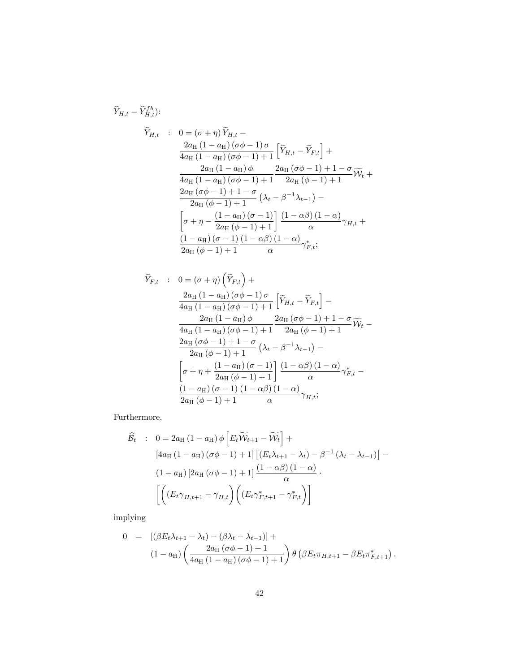$$
\hat{Y}_{H,t} - \hat{Y}_{H,t}^{fb}
$$
\n
$$
\hat{Y}_{H,t} : 0 = (\sigma + \eta) \tilde{Y}_{H,t} -
$$
\n
$$
\frac{2a_H (1 - a_H)(\sigma\phi - 1)\sigma}{4a_H (1 - a_H)(\sigma\phi - 1) + 1} \left[ \tilde{Y}_{H,t} - \tilde{Y}_{F,t} \right] +
$$
\n
$$
\frac{2a_H (1 - a_H)\phi}{4a_H (1 - a_H)(\sigma\phi - 1) + 1} \frac{2a_H (\sigma\phi - 1) + 1 - \sigma}{2a_H (\phi - 1) + 1} \tilde{W}_t +
$$
\n
$$
\frac{2a_H (\sigma\phi - 1) + 1 - \sigma}{2a_H (\phi - 1) + 1} (\lambda_t - \beta^{-1} \lambda_{t-1}) -
$$
\n
$$
\left[ \sigma + \eta - \frac{(1 - a_H)(\sigma - 1)}{2a_H (\phi - 1) + 1} \right] \frac{(1 - \alpha\beta)(1 - \alpha)}{\alpha} \gamma_{H,t} +
$$
\n
$$
\frac{(1 - a_H)(\sigma - 1)}{2a_H (\phi - 1) + 1} \frac{(1 - \alpha\beta)(1 - \alpha)}{\alpha} \gamma_{F,t}^*,
$$

$$
\hat{Y}_{F,t} : 0 = (\sigma + \eta) \left( \tilde{Y}_{F,t} \right) + \n\frac{2a_{\text{H}} (1 - a_{\text{H}}) (\sigma \phi - 1) \sigma}{4a_{\text{H}} (1 - a_{\text{H}}) (\sigma \phi - 1) + 1} \left[ \tilde{Y}_{H,t} - \tilde{Y}_{F,t} \right] - \n\frac{2a_{\text{H}} (1 - a_{\text{H}}) \phi}{4a_{\text{H}} (1 - a_{\text{H}}) (\sigma \phi - 1) + 1} \frac{2a_{\text{H}} (\sigma \phi - 1) + 1 - \sigma}{2a_{\text{H}} (\phi - 1) + 1} \tilde{W}_t - \n\frac{2a_{\text{H}} (\sigma \phi - 1) + 1 - \sigma}{2a_{\text{H}} (\phi - 1) + 1} (\lambda_t - \beta^{-1} \lambda_{t-1}) - \n\left[ \sigma + \eta + \frac{(1 - a_{\text{H}}) (\sigma - 1)}{2a_{\text{H}} (\phi - 1) + 1} \right] \frac{(1 - \alpha \beta) (1 - \alpha)}{\alpha} \gamma_{F,t}^* - \n\frac{(1 - a_{\text{H}}) (\sigma - 1) (1 - \alpha \beta) (1 - \alpha)}{2a_{\text{H}} (\phi - 1) + 1} \gamma_{H,t};
$$

Furthermore,

$$
\hat{\mathcal{B}}_{t} : 0 = 2a_{\mathrm{H}} (1 - a_{\mathrm{H}}) \phi \left[ E_{t} \widetilde{\mathcal{W}}_{t+1} - \widetilde{\mathcal{W}}_{t} \right] +
$$
\n
$$
[4a_{\mathrm{H}} (1 - a_{\mathrm{H}}) (\sigma \phi - 1) + 1] \left[ (E_{t} \lambda_{t+1} - \lambda_{t}) - \beta^{-1} (\lambda_{t} - \lambda_{t-1}) \right] -
$$
\n
$$
(1 - a_{\mathrm{H}}) \left[ 2a_{\mathrm{H}} (\sigma \phi - 1) + 1 \right] \frac{(1 - \alpha \beta)(1 - \alpha)}{\alpha}.
$$
\n
$$
\left[ \left( (E_{t} \gamma_{H,t+1} - \gamma_{H,t}) \left( (E_{t} \gamma_{F,t+1}^{*} - \gamma_{F,t}^{*}) \right) \right]
$$

implying

$$
0 = [(\beta E_t \lambda_{t+1} - \lambda_t) - (\beta \lambda_t - \lambda_{t-1})] +
$$
  

$$
(1 - a_H) \left( \frac{2a_H (\sigma \phi - 1) + 1}{4a_H (1 - a_H) (\sigma \phi - 1) + 1} \right) \theta \left( \beta E_t \pi_{H, t+1} - \beta E_t \pi_{F, t+1}^* \right).
$$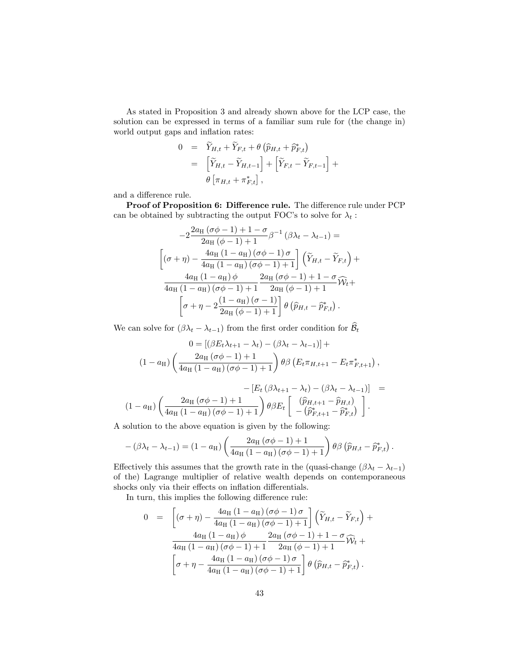As stated in Proposition 3 and already shown above for the LCP case, the solution can be expressed in terms of a familiar sum rule for (the change in) world output gaps and inflation rates:

$$
0 = \widetilde{Y}_{H,t} + \widetilde{Y}_{F,t} + \theta \left( \widehat{p}_{H,t} + \widehat{p}_{F,t}^* \right)
$$
  
= 
$$
\left[ \widetilde{Y}_{H,t} - \widetilde{Y}_{H,t-1} \right] + \left[ \widetilde{Y}_{F,t} - \widetilde{Y}_{F,t-1} \right] + \theta \left[ \pi_{H,t} + \pi_{F,t}^* \right],
$$

and a difference rule.

Proof of Proposition 6: Difference rule. The difference rule under PCP can be obtained by subtracting the output FOC's to solve for  $\lambda_t$ :

$$
-2\frac{2a_{\text{H}}(\sigma\phi-1)+1-\sigma}{2a_{\text{H}}(\phi-1)+1}\beta^{-1}(\beta\lambda_{t}-\lambda_{t-1}) =
$$

$$
[(\sigma+\eta)-\frac{4a_{\text{H}}(1-a_{\text{H}})(\sigma\phi-1)\sigma}{4a_{\text{H}}(1-a_{\text{H}})(\sigma\phi-1)+1}](\tilde{Y}_{H,t}-\tilde{Y}_{F,t}) +
$$

$$
\frac{4a_{\text{H}}(1-a_{\text{H}})\phi}{4a_{\text{H}}(1-a_{\text{H}})(\sigma\phi-1)+1}\frac{2a_{\text{H}}(\sigma\phi-1)+1-\sigma}{2a_{\text{H}}(\phi-1)+1}\widehat{W}_{t} +
$$

$$
[\sigma+\eta-2\frac{(1-a_{\text{H}})(\sigma-1)}{2a_{\text{H}}(\phi-1)+1}]\theta(\widehat{p}_{H,t}-\widehat{p}_{F,t}^{*}).
$$

We can solve for  $(\beta \lambda_t - \lambda_{t-1})$  from the first order condition for  $\widehat{\mathcal{B}}_t$ 

$$
0 = [(\beta E_t \lambda_{t+1} - \lambda_t) - (\beta \lambda_t - \lambda_{t-1})] +
$$
  
(1 - a<sub>H</sub>)  $\left(\frac{2a_H(\sigma \phi - 1) + 1}{4a_H(1 - a_H)(\sigma \phi - 1) + 1}\right) \theta \beta \left(E_t \pi_{H, t+1} - E_t \pi_{F, t+1}^*\right),$ 

$$
-[E_t (\beta \lambda_{t+1} - \lambda_t) - (\beta \lambda_t - \lambda_{t-1})] =
$$
  

$$
(1 - a_H) \left( \frac{2a_H (\sigma \phi - 1) + 1}{4a_H (1 - a_H) (\sigma \phi - 1) + 1} \right) \theta \beta E_t \left[ \begin{array}{c} (\widehat{p}_{H,t+1} - \widehat{p}_{H,t}) \\ - (\widehat{p}_{F,t+1}^* - \widehat{p}_{F,t}^*) \end{array} \right].
$$

A solution to the above equation is given by the following:

$$
-(\beta\lambda_t - \lambda_{t-1}) = (1 - a_H) \left( \frac{2a_H (\sigma\phi - 1) + 1}{4a_H (1 - a_H) (\sigma\phi - 1) + 1} \right) \theta \beta \left( \widehat{p}_{H,t} - \widehat{p}_{F,t}^* \right).
$$

Effectively this assumes that the growth rate in the (quasi-change  $(\beta \lambda_t - \lambda_{t-1})$ ) of the) Lagrange multiplier of relative wealth depends on contemporaneous shocks only via their effects on inflation differentials.

In turn, this implies the following difference rule:

$$
0 = \left[ (\sigma + \eta) - \frac{4a_{\text{H}} (1 - a_{\text{H}}) (\sigma \phi - 1) \sigma}{4a_{\text{H}} (1 - a_{\text{H}}) (\sigma \phi - 1) + 1} \right] \left( \widetilde{Y}_{H,t} - \widetilde{Y}_{F,t} \right) +
$$
  

$$
\frac{4a_{\text{H}} (1 - a_{\text{H}}) \phi}{4a_{\text{H}} (1 - a_{\text{H}}) (\sigma \phi - 1) + 1} \frac{2a_{\text{H}} (\sigma \phi - 1) + 1 - \sigma}{2a_{\text{H}} (\phi - 1) + 1} \widetilde{W}_t +
$$
  

$$
\left[ \sigma + \eta - \frac{4a_{\text{H}} (1 - a_{\text{H}}) (\sigma \phi - 1) \sigma}{4a_{\text{H}} (1 - a_{\text{H}}) (\sigma \phi - 1) + 1} \right] \theta \left( \widehat{p}_{H,t} - \widehat{p}_{F,t}^* \right).
$$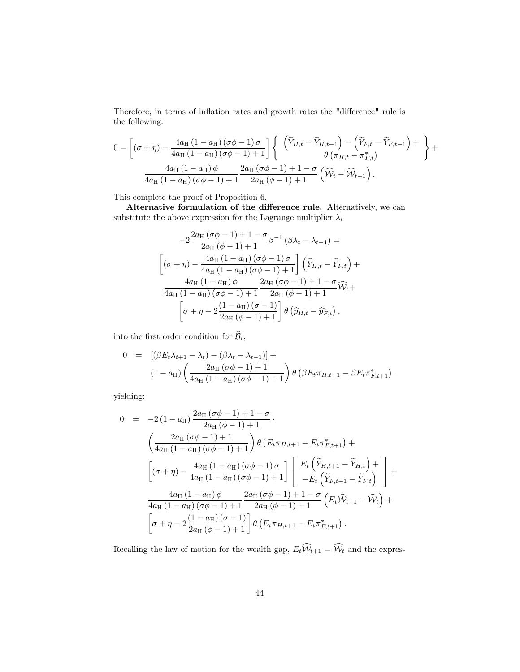Therefore, in terms of inflation rates and growth rates the "difference" rule is the following:

$$
0 = \left[ (\sigma + \eta) - \frac{4a_H (1 - a_H)(\sigma \phi - 1) \sigma}{4a_H (1 - a_H)(\sigma \phi - 1) + 1} \right] \left\{ \begin{array}{c} \left( \widetilde{Y}_{H,t} - \widetilde{Y}_{H,t-1} \right) - \left( \widetilde{Y}_{F,t} - \widetilde{Y}_{F,t-1} \right) + \\ \theta \left( \pi_{H,t} - \pi_{F,t}^* \right) \end{array} \right\} + \frac{4a_H (1 - a_H) \phi}{4a_H (1 - a_H)(\sigma \phi - 1) + 1} \frac{2a_H (\sigma \phi - 1) + 1 - \sigma}{2a_H (\phi - 1) + 1} \left( \widetilde{W}_t - \widetilde{W}_{t-1} \right).
$$

This complete the proof of Proposition 6.

Alternative formulation of the difference rule. Alternatively, we can substitute the above expression for the Lagrange multiplier  $\lambda_t$ 

$$
-2\frac{2a_{\text{H}}(\sigma\phi-1)+1-\sigma}{2a_{\text{H}}(\phi-1)+1}\beta^{-1}(\beta\lambda_{t}-\lambda_{t-1}) =
$$

$$
[(\sigma+\eta)-\frac{4a_{\text{H}}(1-a_{\text{H}})(\sigma\phi-1)\sigma}{4a_{\text{H}}(1-a_{\text{H}})(\sigma\phi-1)+1}](\widetilde{Y}_{H,t}-\widetilde{Y}_{F,t}) +
$$

$$
\frac{4a_{\text{H}}(1-a_{\text{H}})\phi}{4a_{\text{H}}(1-a_{\text{H}})(\sigma\phi-1)+1}\frac{2a_{\text{H}}(\sigma\phi-1)+1-\sigma}{2a_{\text{H}}(\phi-1)+1}\widehat{W}_{t} +
$$

$$
[\sigma+\eta-2\frac{(1-a_{\text{H}})(\sigma-1)}{2a_{\text{H}}(\phi-1)+1}]\theta(\widehat{p}_{H,t}-\widehat{p}_{F,t}^{*}),
$$

into the first order condition for  $\widehat{\mathcal{B}}_t,$ 

$$
0 = [(\beta E_t \lambda_{t+1} - \lambda_t) - (\beta \lambda_t - \lambda_{t-1})] +
$$
  

$$
(1 - a_H) \left( \frac{2a_H (\sigma \phi - 1) + 1}{4a_H (1 - a_H) (\sigma \phi - 1) + 1} \right) \theta \left( \beta E_t \pi_{H, t+1} - \beta E_t \pi_{F, t+1}^* \right).
$$

yielding:

$$
0 = -2(1 - a_{\rm H}) \frac{2a_{\rm H} (\sigma \phi - 1) + 1 - \sigma}{2a_{\rm H} (\phi - 1) + 1}.
$$
  
\n
$$
\left(\frac{2a_{\rm H} (\sigma \phi - 1) + 1}{4a_{\rm H} (1 - a_{\rm H}) (\sigma \phi - 1) + 1}\right) \theta \left(E_{t} \pi_{H, t+1} - E_{t} \pi_{F, t+1}^{*}\right) +
$$
  
\n
$$
\left[ (\sigma + \eta) - \frac{4a_{\rm H} (1 - a_{\rm H}) (\sigma \phi - 1) \sigma}{4a_{\rm H} (1 - a_{\rm H}) (\sigma \phi - 1) + 1} \right] \left[ \begin{array}{c} E_{t} \left(\tilde{Y}_{H, t+1} - \tilde{Y}_{H, t}\right) + \\ -E_{t} \left(\tilde{Y}_{F, t+1} - \tilde{Y}_{F, t}\right) \\ -E_{t} \left(\tilde{Y}_{F, t+1} - \tilde{Y}_{F, t}\right) \end{array} \right] +
$$
  
\n
$$
\frac{4a_{\rm H} (1 - a_{\rm H}) (\sigma \phi - 1) + 1}{4a_{\rm H} (1 - a_{\rm H}) (\sigma \phi - 1) + 1} \frac{2a_{\rm H} (\sigma \phi - 1) + 1 - \sigma}{2a_{\rm H} (\phi - 1) + 1} \left(E_{t} \hat{W}_{t+1} - \hat{W}_{t}\right) +
$$
  
\n
$$
\left[ \sigma + \eta - 2 \frac{(1 - a_{\rm H}) (\sigma - 1)}{2a_{\rm H} (\phi - 1) + 1} \right] \theta \left(E_{t} \pi_{H, t+1} - E_{t} \pi_{F, t+1}^{*}\right).
$$

Recalling the law of motion for the wealth gap,  $E_t\widehat{\mathcal{W}}_{t+1} = \widehat{\mathcal{W}}_t$  and the expres-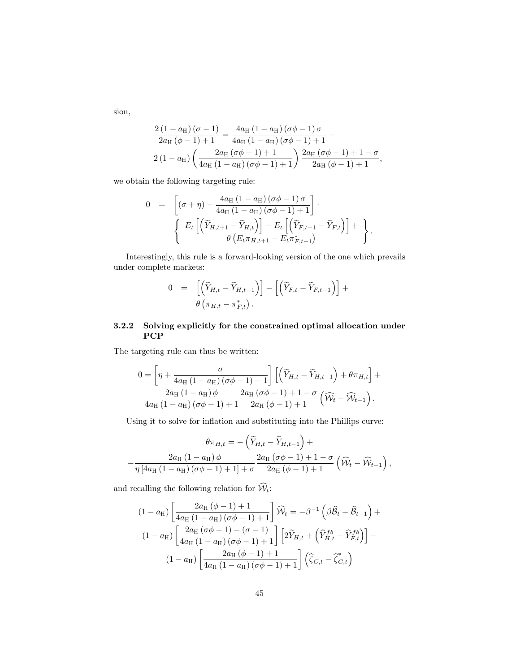sion,

$$
\frac{2(1-a_{\rm H})(\sigma-1)}{2a_{\rm H}(\phi-1)+1} = \frac{4a_{\rm H}(1-a_{\rm H})(\sigma\phi-1)\,\sigma}{4a_{\rm H}(1-a_{\rm H})(\sigma\phi-1)+1} -
$$

$$
2(1-a_{\rm H})\left(\frac{2a_{\rm H}(\sigma\phi-1)+1}{4a_{\rm H}(1-a_{\rm H})(\sigma\phi-1)+1}\right)\frac{2a_{\rm H}(\sigma\phi-1)+1-\sigma}{2a_{\rm H}(\phi-1)+1},
$$

we obtain the following targeting rule:

$$
0 = \left[ (\sigma + \eta) - \frac{4a_H (1 - a_H) (\sigma \phi - 1) \sigma}{4a_H (1 - a_H) (\sigma \phi - 1) + 1} \right].
$$
  

$$
\left\{ E_t \left[ \left( \widetilde{Y}_{H,t+1} - \widetilde{Y}_{H,t} \right) \right] - E_t \left[ \left( \widetilde{Y}_{F,t+1} - \widetilde{Y}_{F,t} \right) \right] + \right\}.
$$

$$
\theta \left( E_t \pi_{H,t+1} - E_t \pi_{F,t+1}^* \right)
$$

Interestingly, this rule is a forward-looking version of the one which prevails under complete markets:

$$
0 = \left[ \left( \widetilde{Y}_{H,t} - \widetilde{Y}_{H,t-1} \right) \right] - \left[ \left( \widetilde{Y}_{F,t} - \widetilde{Y}_{F,t-1} \right) \right] + \newline \theta \left( \pi_{H,t} - \pi_{F,t}^* \right).
$$

### 3.2.2 Solving explicitly for the constrained optimal allocation under PCP

The targeting rule can thus be written:

$$
0 = \left[\eta + \frac{\sigma}{4a_{\mathrm{H}}\left(1 - a_{\mathrm{H}}\right)\left(\sigma\phi - 1\right) + 1}\right] \left[\left(\widetilde{Y}_{H,t} - \widetilde{Y}_{H,t-1}\right) + \theta\pi_{H,t}\right] + \frac{2a_{\mathrm{H}}\left(1 - a_{\mathrm{H}}\right)\phi}{4a_{\mathrm{H}}\left(1 - a_{\mathrm{H}}\right)\left(\sigma\phi - 1\right) + 1} \frac{2a_{\mathrm{H}}\left(\sigma\phi - 1\right) + 1 - \sigma}{2a_{\mathrm{H}}\left(\phi - 1\right) + 1}\left(\widehat{\mathcal{W}}_t - \widehat{\mathcal{W}}_{t-1}\right).
$$

Using it to solve for inflation and substituting into the Phillips curve:

$$
\theta \pi_{H,t} = -\left(\widetilde{Y}_{H,t} - \widetilde{Y}_{H,t-1}\right) + \n- \frac{2a_{\mathrm{H}}\left(1 - a_{\mathrm{H}}\right)\phi}{\eta\left[4a_{\mathrm{H}}\left(1 - a_{\mathrm{H}}\right)\left(\sigma\phi - 1\right) + 1\right] + \sigma} \frac{2a_{\mathrm{H}}\left(\sigma\phi - 1\right) + 1 - \sigma}{2a_{\mathrm{H}}\left(\phi - 1\right) + 1}\left(\widehat{\mathcal{W}}_t - \widehat{\mathcal{W}}_{t-1}\right),
$$

and recalling the following relation for  $\widehat{\mathcal{W}}_t$ :

$$
(1 - a_H) \left[ \frac{2a_H (\phi - 1) + 1}{4a_H (1 - a_H) (\sigma \phi - 1) + 1} \right] \widehat{W}_t = -\beta^{-1} (\beta \widehat{B}_t - \widehat{B}_{t-1}) +
$$
  

$$
(1 - a_H) \left[ \frac{2a_H (\sigma \phi - 1) - (\sigma - 1)}{4a_H (1 - a_H) (\sigma \phi - 1) + 1} \right] \left[ 2\widetilde{Y}_{H,t} + \left( \widehat{Y}_{H,t}^{fb} - \widehat{Y}_{F,t}^{fb} \right) \right] -
$$
  

$$
(1 - a_H) \left[ \frac{2a_H (\phi - 1) + 1}{4a_H (1 - a_H) (\sigma \phi - 1) + 1} \right] (\widehat{\zeta}_{C,t} - \widehat{\zeta}_{C,t}^*)
$$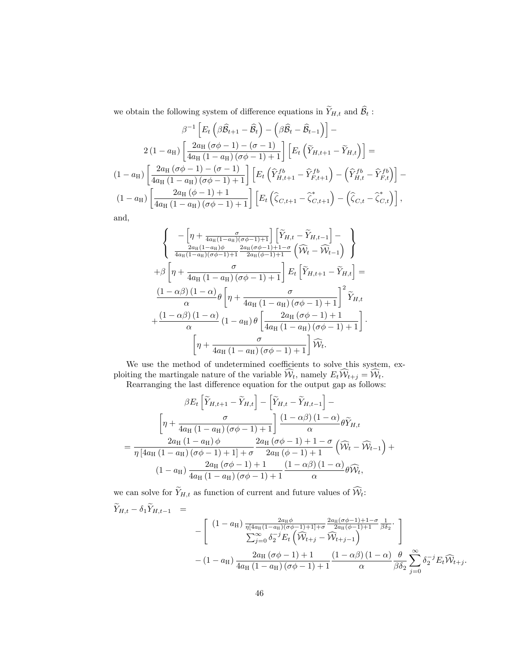we obtain the following system of difference equations in  $\widetilde{Y}_{H,t}$  and  $\widehat{\mathcal{B}}_t$  :

$$
\beta^{-1}\left[E_t\left(\beta\hat{B}_{t+1}-\hat{B}_t\right)-\left(\beta\hat{B}_t-\hat{B}_{t-1}\right)\right]-
$$
  
\n
$$
2\left(1-a_H\right)\left[\frac{2a_H\left(\sigma\phi-1\right)-\left(\sigma-1\right)}{4a_H\left(1-a_H\right)\left(\sigma\phi-1\right)+1}\right]\left[E_t\left(\tilde{Y}_{H,t+1}-\tilde{Y}_{H,t}\right)\right]=
$$
  
\n
$$
\left(1-a_H\right)\left[\frac{2a_H\left(\sigma\phi-1\right)-\left(\sigma-1\right)}{4a_H\left(1-a_H\right)\left(\sigma\phi-1\right)+1}\right]\left[E_t\left(\hat{Y}_{H,t+1}^{fb}-\hat{Y}_{F,t+1}^{fb}\right)-\left(\hat{Y}_{H,t}^{fb}-\hat{Y}_{F,t}^{fb}\right)\right]-
$$
  
\n
$$
\left(1-a_H\right)\left[\frac{2a_H\left(\phi-1\right)+1}{4a_H\left(1-a_H\right)\left(\sigma\phi-1\right)+1}\right]\left[E_t\left(\hat{\zeta}_{C,t+1}-\hat{\zeta}_{C,t+1}^*\right)-\left(\hat{\zeta}_{C,t}-\hat{\zeta}_{C,t}^*\right)\right],
$$

and,

$$
\begin{cases}\n-\left[\eta + \frac{\sigma}{4a_H(1-a_H)(\sigma\phi-1)+1}\right] \left[\tilde{Y}_{H,t} - \tilde{Y}_{H,t-1}\right] - \\
\frac{2a_H(1-a_H)\phi}{4a_H(1-a_H)(\sigma\phi-1)+1} \frac{2a_H(\sigma\phi-1)+1-\sigma}{2a_H(\phi-1)+1} \left(\widehat{W}_t - \widehat{W}_{t-1}\right)\n\end{cases}
$$
\n
$$
+\beta \left[\eta + \frac{\sigma}{4a_H(1-a_H)(\sigma\phi-1)+1}\right] E_t \left[\tilde{Y}_{H,t+1} - \tilde{Y}_{H,t}\right] = \frac{(1-\alpha\beta)(1-\alpha)}{\alpha} \theta \left[\eta + \frac{\sigma}{4a_H(1-a_H)(\sigma\phi-1)+1}\right]^2 \widetilde{Y}_{H,t}
$$
\n
$$
+\frac{(1-\alpha\beta)(1-\alpha)}{\alpha} (1-a_H)\theta \left[\frac{2a_H(\sigma\phi-1)+1}{4a_H(1-a_H)(\sigma\phi-1)+1}\right].
$$
\n
$$
\left[\eta + \frac{\sigma}{4a_H(1-a_H)(\sigma\phi-1)+1}\right] \widehat{W}_t.
$$

We use the method of undetermined coefficients to solve this system, exploiting the martingale nature of the variable  $W_t$ , namely  $E_t W_{t+j} = W_t$ . Rearranging the last difference equation for the output gap as follows:

$$
\beta E_t \left[ \widetilde{Y}_{H,t+1} - \widetilde{Y}_{H,t} \right] - \left[ \widetilde{Y}_{H,t} - \widetilde{Y}_{H,t-1} \right] - \left[ \eta + \frac{\sigma}{4a_H (1 - a_H) (\sigma \phi - 1) + 1} \right] \frac{(1 - \alpha \beta) (1 - \alpha)}{\alpha} \theta \widetilde{Y}_{H,t}
$$

$$
= \frac{2a_H (1 - a_H) \phi}{\eta \left[ 4a_H (1 - a_H) (\sigma \phi - 1) + 1 \right] + \sigma} \frac{2a_H (\sigma \phi - 1) + 1 - \sigma}{2a_H (\phi - 1) + 1} \left( \widehat{W}_t - \widehat{W}_{t-1} \right) + \left( 1 - a_H \right) \frac{2a_H (\sigma \phi - 1) + 1}{4a_H (1 - a_H) (\sigma \phi - 1) + 1} \frac{(1 - \alpha \beta) (1 - \alpha)}{\alpha} \theta \widehat{W}_t,
$$

we can solve for  $\widetilde{Y}_{H,t}$  as function of current and future values of  $\widehat{W}_t$ :<br> $\widetilde{Y}_{H,t} - \delta_1 \widetilde{Y}_{H,t-1} =$ 

$$
Y_{H,t} - \delta_1 Y_{H,t-1} = - \left[ \begin{array}{cc} (1 - a_H) \frac{2 a_H \phi}{\eta [4 a_H (1 - a_H)(\sigma \phi - 1) + 1] + \sigma} \frac{2 a_H (\sigma \phi - 1) + 1 - \sigma}{2 a_H (\phi - 1) + 1} \frac{1}{\beta \delta_2} \\ \sum_{j=0}^{\infty} \delta_2^{-j} E_t \left( \widehat{W}_{t+j} - \widehat{W}_{t+j-1} \right) \end{array} \right] - (1 - a_H) \frac{2 a_H (\sigma \phi - 1) + 1}{4 a_H (1 - a_H) (\sigma \phi - 1) + 1} \frac{(1 - \alpha \beta) (1 - \alpha)}{\alpha} \frac{\theta}{\beta \delta_2} \sum_{j=0}^{\infty} \delta_2^{-j} E_t \widehat{W}_{t+j}.
$$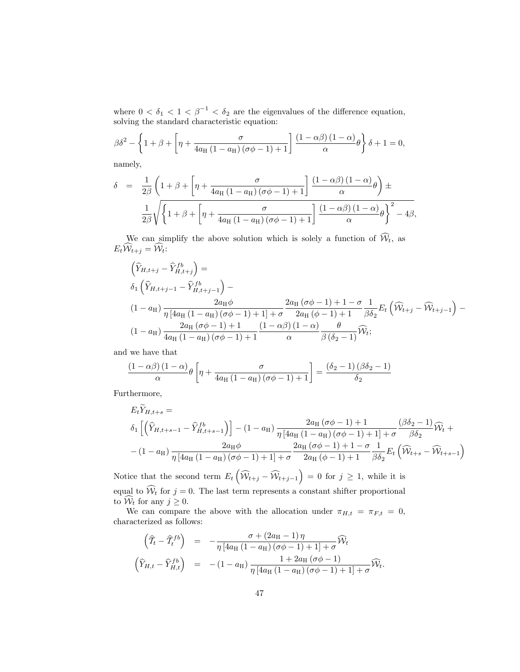where  $0 < \delta_1 < 1 < \beta^{-1} < \delta_2$  are the eigenvalues of the difference equation, solving the standard characteristic equation:

$$
\beta \delta^2 - \left\{ 1 + \beta + \left[ \eta + \frac{\sigma}{4a_H \left( 1 - a_H \right) \left( \sigma \phi - 1 \right) + 1} \right] \frac{\left( 1 - \alpha \beta \right) \left( 1 - \alpha \right)}{\alpha} \theta \right\} \delta + 1 = 0,
$$

namely,

$$
\delta = \frac{1}{2\beta} \left( 1 + \beta + \left[ \eta + \frac{\sigma}{4a_H \left( 1 - a_H \right) \left( \sigma \phi - 1 \right) + 1} \right] \frac{\left( 1 - \alpha \beta \right) \left( 1 - \alpha \right)}{\alpha} \theta \right) \pm
$$

$$
\frac{1}{2\beta} \sqrt{\left\{ 1 + \beta + \left[ \eta + \frac{\sigma}{4a_H \left( 1 - a_H \right) \left( \sigma \phi - 1 \right) + 1} \right] \frac{\left( 1 - \alpha \beta \right) \left( 1 - \alpha \right)}{\alpha} \theta \right\}^2 - 4\beta,
$$

We can simplify the above solution which is solely a function of  $W_t$ , as  $E_t \mathcal{W}_{t+j} = \mathcal{W}_t$ :

$$
\begin{aligned}\n\left(\widehat{Y}_{H,t+j} - \widehat{Y}_{H,t+j}^{fb}\right) &= \\
\delta_1 \left(\widehat{Y}_{H,t+j-1} - \widehat{Y}_{H,t+j-1}^{fb}\right) - \\
\left(1 - a_H\right) \frac{2a_H \phi}{\eta \left[4a_H \left(1 - a_H\right) \left(\sigma \phi - 1\right) + 1\right] + \sigma} \frac{2a_H \left(\sigma \phi - 1\right) + 1 - \sigma}{2a_H \left(\phi - 1\right) + 1} \frac{1}{\beta \delta_2} E_t \left(\widehat{W}_{t+j} - \widehat{W}_{t+j-1}\right) - \\
\left(1 - a_H\right) \frac{2a_H \left(\sigma \phi - 1\right) + 1}{4a_H \left(1 - a_H\right) \left(\sigma \phi - 1\right) + 1} \frac{\left(1 - \alpha \beta\right) \left(1 - \alpha\right)}{\alpha} \frac{\theta}{\beta \left(\delta_2 - 1\right)} \widehat{W}_t;\n\end{aligned}
$$

and we have that

$$
\frac{(1-\alpha\beta)(1-\alpha)}{\alpha}\theta\left[\eta+\frac{\sigma}{4a_{\mathrm{H}}\left(1-a_{\mathrm{H}}\right)\left(\sigma\phi-1\right)+1}\right]=\frac{\left(\delta_2-1\right)\left(\beta\delta_2-1\right)}{\delta_2}
$$

Furthermore,

$$
E_t \tilde{Y}_{H,t+s} =
$$
\n
$$
\delta_1 \left[ \left( \hat{Y}_{H,t+s-1} - \hat{Y}_{H,t+s-1}^{fb} \right) \right] - (1 - a_H) \frac{2 a_H (\sigma \phi - 1) + 1}{\eta \left[ 4 a_H (1 - a_H) (\sigma \phi - 1) + 1 \right] + \sigma} \frac{(\beta \delta_2 - 1)}{\beta \delta_2} \hat{W}_t +
$$
\n
$$
- (1 - a_H) \frac{2 a_H \phi}{\eta \left[ 4 a_H (1 - a_H) (\sigma \phi - 1) + 1 \right] + \sigma} \frac{2 a_H (\sigma \phi - 1) + 1 - \sigma}{2 a_H (\phi - 1) + 1} \frac{1}{\beta \delta_2} E_t \left( \hat{W}_{t+s} - \hat{W}_{t+s-1} \right)
$$

Notice that the second term  $E_t$   $\left($  $W_{t+j} - W_{t+j-1}$  $= 0$  for  $j \geq 1$ , while it is equal to  $\widehat{W}_t$  for  $j = 0$ . The last term represents a constant shifter proportional to  $\widehat{\mathcal{W}}_t$  for any  $j \geq 0$ .

We can compare the above with the allocation under  $\pi_{H,t} = \pi_{F,t} = 0$ , characterized as follows:

$$
\begin{array}{rcl}\n\left(\widehat{T}_t - \widehat{T}_t^{fb}\right) & = & -\frac{\sigma + (2a_H - 1)\,\eta}{\eta\left[4a_H\left(1 - a_H\right)\left(\sigma\phi - 1\right) + 1\right] + \sigma}\widehat{\mathcal{W}}_t \\
\left(\widehat{Y}_{H,t} - \widehat{Y}_{H,t}^{fb}\right) & = & -(1 - a_H)\frac{1 + 2a_H\left(\sigma\phi - 1\right)}{\eta\left[4a_H\left(1 - a_H\right)\left(\sigma\phi - 1\right) + 1\right] + \sigma}\widehat{\mathcal{W}}_t.\n\end{array}
$$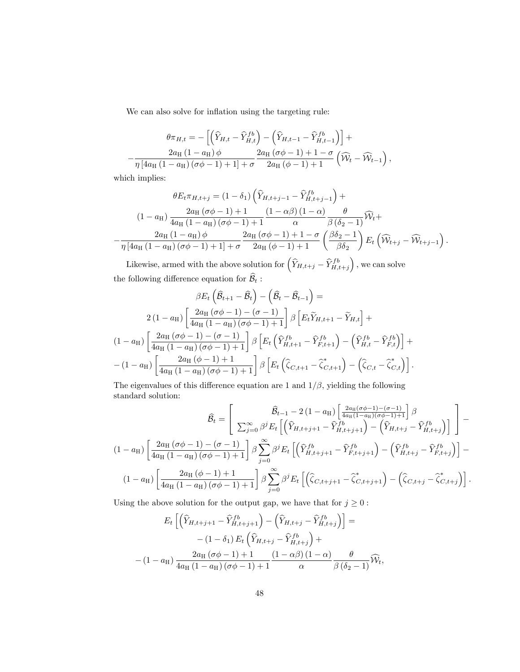We can also solve for inflation using the targeting rule:

$$
\theta \pi_{H,t} = -\left[ \left( \widehat{Y}_{H,t} - \widehat{Y}_{H,t}^{fb} \right) - \left( \widehat{Y}_{H,t-1} - \widehat{Y}_{H,t-1}^{fb} \right) \right] + \n- \frac{2a_{\text{H}} (1 - a_{\text{H}}) \phi}{\eta \left[ 4a_{\text{H}} (1 - a_{\text{H}}) (\sigma \phi - 1) + 1 \right] + \sigma} \frac{2a_{\text{H}} (\sigma \phi - 1) + 1 - \sigma}{2a_{\text{H}} (\phi - 1) + 1} \left( \widehat{\mathcal{W}}_t - \widehat{\mathcal{W}}_{t-1} \right),
$$

which implies:

$$
\theta E_t \pi_{H,t+j} = (1 - \delta_1) \left( \widehat{Y}_{H,t+j-1} - \widehat{Y}_{H,t+j-1}^{fb} \right) +
$$
  
\n
$$
(1 - a_H) \frac{2 a_H (\sigma \phi - 1) + 1}{4 a_H (1 - a_H) (\sigma \phi - 1) + 1} \frac{(1 - \alpha \beta) (1 - \alpha)}{\alpha} \frac{\theta}{\beta (\delta_2 - 1)} \widehat{W}_t +
$$
  
\n
$$
- \frac{2 a_H (1 - a_H) \phi}{\eta [4 a_H (1 - a_H) (\sigma \phi - 1) + 1] + \sigma} \frac{2 a_H (\sigma \phi - 1) + 1 - \sigma}{2 a_H (\phi - 1) + 1} \left( \frac{\beta \delta_2 - 1}{\beta \delta_2} \right) E_t \left( \widehat{W}_{t+j} - \widehat{W}_{t+j-1} \right).
$$

Likewise, armed with the above solution for  $(\hat{Y}_{H,t+j} - \hat{Y}_{H,t+j}^{fb})$ , we can solve the following difference equation for  $B_t$ :

$$
\beta E_t \left( \hat{B}_{t+1} - \hat{B}_t \right) - \left( \hat{B}_t - \hat{B}_{t-1} \right) =
$$
  
\n
$$
2 (1 - a_H) \left[ \frac{2a_H (\sigma \phi - 1) - (\sigma - 1)}{4a_H (1 - a_H) (\sigma \phi - 1) + 1} \right] \beta \left[ E_t \tilde{Y}_{H,t+1} - \tilde{Y}_{H,t} \right] +
$$
  
\n
$$
(1 - a_H) \left[ \frac{2a_H (\sigma \phi - 1) - (\sigma - 1)}{4a_H (1 - a_H) (\sigma \phi - 1) + 1} \right] \beta \left[ E_t \left( \hat{Y}_{H,t+1}^{fb} - \hat{Y}_{F,t+1}^{fb} \right) - \left( \hat{Y}_{H,t}^{fb} - \hat{Y}_{F,t}^{fb} \right) \right] +
$$
  
\n
$$
- (1 - a_H) \left[ \frac{2a_H (\phi - 1) + 1}{4a_H (1 - a_H) (\sigma \phi - 1) + 1} \right] \beta \left[ E_t \left( \hat{\zeta}_{C,t+1} - \hat{\zeta}_{C,t+1}^* \right) - \left( \hat{\zeta}_{C,t} - \hat{\zeta}_{C,t}^* \right) \right].
$$

The eigenvalues of this difference equation are 1 and  $1/\beta$ , yielding the following standard solution:

$$
\widehat{B}_t = \begin{bmatrix}\n\widehat{B}_{t-1} - 2(1 - a_H) \left[ \frac{2a_H(\sigma \phi - 1) - (\sigma - 1)}{4a_H(1 - a_H)(\sigma \phi - 1) + 1} \right] \beta \\
\sum_{j=0}^{\infty} \beta^j E_t \left[ \left( \widehat{Y}_{H, t+j+1} - \widehat{Y}_{H, t+j+1}^{fb} \right) - \left( \widehat{Y}_{H, t+j} - \widehat{Y}_{H, t+j}^{fb} \right) \right] \end{bmatrix} - (1 - a_H) \begin{bmatrix}\n2a_H(\sigma \phi - 1) - (\sigma - 1) \\
4a_H(1 - a_H)(\sigma \phi - 1) + 1\n\end{bmatrix} \beta \sum_{j=0}^{\infty} \beta^j E_t \left[ \left( \widehat{Y}_{H, t+j+1}^{fb} - \widehat{Y}_{F, t+j+1}^{fb} \right) - \left( \widehat{Y}_{H, t+j}^{fb} - \widehat{Y}_{F, t+j}^{fb} \right) \right] - (1 - a_H) \begin{bmatrix}\n2a_H(\phi - 1) + 1 \\
4a_H(1 - a_H)(\sigma \phi - 1) + 1\n\end{bmatrix} \beta \sum_{j=0}^{\infty} \beta^j E_t \left[ \left( \widehat{\zeta}_{C, t+j+1} - \widehat{\zeta}_{C, t+j+1}^{*} \right) - \left( \widehat{\zeta}_{C, t+j} - \widehat{\zeta}_{C, t+j}^{*} \right) \right].
$$

Using the above solution for the output gap, we have that for  $j\geq 0$  :

$$
E_t \left[ \left( \hat{Y}_{H,t+j+1} - \hat{Y}_{H,t+j+1}^{fb} \right) - \left( \hat{Y}_{H,t+j} - \hat{Y}_{H,t+j}^{fb} \right) \right] =
$$
  
-(1 - \delta\_1) E\_t \left( \hat{Y}\_{H,t+j} - \hat{Y}\_{H,t+j}^{fb} \right) +  
-(1 - a\_H) \frac{2a\_H (\sigma \phi - 1) + 1}{4a\_H (1 - a\_H) (\sigma \phi - 1) + 1} \frac{(1 - \alpha \beta) (1 - \alpha)}{\alpha} \frac{\theta}{\beta (\delta\_2 - 1)} \widehat{W}\_t,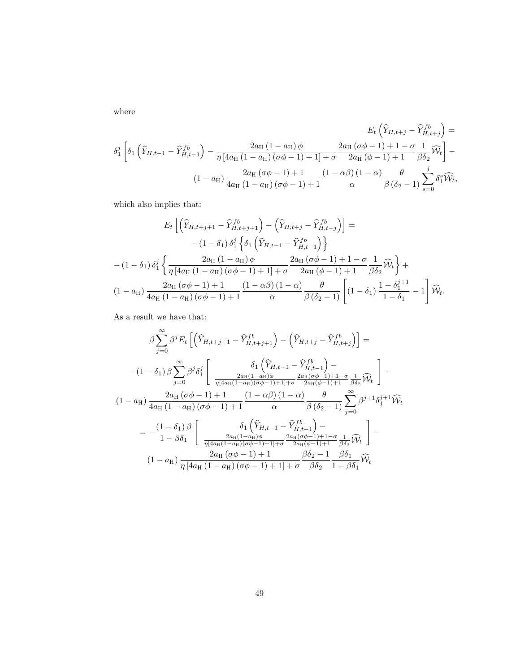where

$$
E_{t}\left(\widehat{Y}_{H,t+j} - \widehat{Y}_{H,t+j}^{fb}\right) =
$$

$$
\delta_{1}^{j}\left[\delta_{1}\left(\widehat{Y}_{H,t-1} - \widehat{Y}_{H,t-1}^{fb}\right) - \frac{2a_{\mathrm{H}}\left(1 - a_{\mathrm{H}}\right)\phi}{\eta\left[4a_{\mathrm{H}}\left(1 - a_{\mathrm{H}}\right)\left(\sigma\phi - 1\right) + 1\right] + \sigma} \frac{2a_{\mathrm{H}}\left(\sigma\phi - 1\right) + 1 - \sigma}{2a_{\mathrm{H}}\left(\phi - 1\right) + 1} \frac{1}{\beta\delta_{2}}\widehat{W}_{t}\right] -
$$

$$
(1 - a_{\mathrm{H}})\frac{2a_{\mathrm{H}}\left(\sigma\phi - 1\right) + 1}{4a_{\mathrm{H}}\left(1 - a_{\mathrm{H}}\right)\left(\sigma\phi - 1\right) + 1} \frac{(1 - \alpha\beta)\left(1 - \alpha\right)}{\alpha} \frac{\theta}{\beta\left(\delta_{2} - 1\right)}\sum_{s=0}^{j} \delta_{1}^{s}\widehat{W}_{t},
$$

which also implies that:

$$
E_t \left[ \left( \widehat{Y}_{H,t+j+1} - \widehat{Y}_{H,t+j+1}^{fb} \right) - \left( \widehat{Y}_{H,t+j} - \widehat{Y}_{H,t+j}^{fb} \right) \right] =
$$
  

$$
- (1 - \delta_1) \delta_1^j \left\{ \delta_1 \left( \widehat{Y}_{H,t-1} - \widehat{Y}_{H,t-1}^{fb} \right) \right\}
$$
  

$$
- (1 - \delta_1) \delta_1^j \left\{ \frac{2a_H (1 - a_H) \phi}{\eta \left[ 4a_H (1 - a_H) (\sigma \phi - 1) + 1 \right] + \sigma} \frac{2a_H (\sigma \phi - 1) + 1 - \sigma}{2a_H (\phi - 1) + 1} \frac{1}{\beta \delta_2} \widehat{W}_t \right\} +
$$
  

$$
(1 - a_H) \frac{2a_H (\sigma \phi - 1) + 1}{4a_H (1 - a_H) (\sigma \phi - 1) + 1} \frac{(1 - \alpha \beta) (1 - \alpha)}{\alpha} \frac{\theta}{\beta (\delta_2 - 1)} \left[ (1 - \delta_1) \frac{1 - \delta_1^{j+1}}{1 - \delta_1} - 1 \right] \widehat{W}_t.
$$

As a result we have that:

$$
\beta \sum_{j=0}^{\infty} \beta^{j} E_{t} \left[ \left( \hat{Y}_{H,t+j+1} - \hat{Y}_{H,t+j+1}^{fb} \right) - \left( \hat{Y}_{H,t+j} - \hat{Y}_{H,t+j}^{fb} \right) \right] =
$$
  
-(1- $\delta_{1}$ )  $\beta \sum_{j=0}^{\infty} \beta^{j} \delta_{1}^{j} \left[ \frac{\delta_{1} \left( \hat{Y}_{H,t-1} - \hat{Y}_{H,t-1}^{fb} \right) - \frac{2a_{H}((\sigma\phi-1)+1-\sigma}{\eta[A_{H}(1-a_{H})(\sigma\phi-1)+1]+\sigma} \frac{2a_{H}(\sigma\phi-1)+1-\sigma}{2a_{H}(\phi-1)+1} \frac{1}{\beta\delta_{2}} \hat{W}_{t} \right] -$   
(1- $a_{H}$ )  $\frac{2a_{H}(\sigma\phi-1)+1}{4a_{H}(1-a_{H})(\sigma\phi-1)+1} \frac{(1-\alpha\beta)(1-\alpha)}{\alpha} \frac{\theta}{\beta(\delta_{2}-1)} \sum_{j=0}^{\infty} \beta^{j+1} \delta_{1}^{j+1} \hat{W}_{t}$   

$$
= -\frac{(1-\delta_{1})\beta}{1-\beta\delta_{1}} \left[ \frac{\delta_{1} \left( \hat{Y}_{H,t-1} - \hat{Y}_{H,t-1}^{fb} \right) - \frac{2a_{H}(1-a_{H})\phi}{\eta[A_{H}(1-a_{H})(\sigma\phi-1)+1]+\sigma} \frac{2a_{H}(\sigma\phi-1)+1-\sigma}{2a_{H}(\phi-1)+1} \frac{1}{\beta\delta_{2}} \hat{W}_{t} \right] -
$$
  
(1- $a_{H}$ )  $\frac{2a_{H}(\sigma\phi-1)+1}{\eta[A_{H}(1-a_{H})(\sigma\phi-1)+1]+\sigma} \frac{\beta\delta_{2}-1}{\beta\delta_{2}} \frac{\beta\delta_{1}}{1-\beta\delta_{1}} \hat{W}_{t}$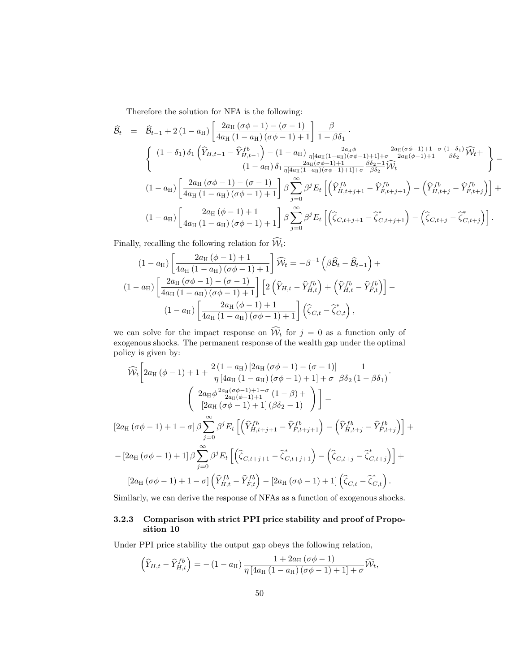Therefore the solution for NFA is the following:

$$
\hat{B}_{t} = \hat{B}_{t-1} + 2(1 - a_{\mathrm{H}}) \left[ \frac{2a_{\mathrm{H}}(\sigma\phi - 1) - (\sigma - 1)}{4a_{\mathrm{H}}(1 - a_{\mathrm{H}})(\sigma\phi - 1) + 1} \right] \frac{\beta}{1 - \beta\delta_{1}}.
$$
\n
$$
\begin{Bmatrix}\n(1 - \delta_{1})\delta_{1} \left( \hat{Y}_{H,t-1} - \hat{Y}_{H,t-1}^{fb} \right) - (1 - a_{\mathrm{H}}) \frac{2a_{\mathrm{H}}\phi}{\eta_{\lfloor 4a_{\mathrm{H}}(1 - a_{\mathrm{H}})(\sigma\phi - 1) + 1} + \sigma} \frac{2a_{\mathrm{H}}(\sigma\phi - 1) + 1 - \sigma}{2a_{\mathrm{H}}(\phi - 1) + 1} \frac{(1 - \delta_{1})}{\beta\delta_{2}} \hat{W}_{t} + \\
(1 - a_{\mathrm{H}}) \delta_{1} \frac{2a_{\mathrm{H}}(\sigma\phi - 1) + 1}{\eta_{\lfloor 4a_{\mathrm{H}}(1 - a_{\mathrm{H}})(\sigma\phi - 1) + 1} + \sigma} \frac{\beta\delta_{2} - 1}{\beta\delta_{2}} \hat{W}_{t} + \n\end{Bmatrix} - (1 - a_{\mathrm{H}}) \left[ \frac{2a_{\mathrm{H}}(\sigma\phi - 1) - (\sigma - 1)}{4a_{\mathrm{H}}(1 - a_{\mathrm{H}})(\sigma\phi - 1) + 1} \right] \beta \sum_{j=0}^{\infty} \beta^{j} E_{t} \left[ \left( \hat{Y}_{H,t+j+1}^{fb} - \hat{Y}_{F,t+j+1}^{fb} \right) - \left( \hat{Y}_{H,t+j}^{fb} - \hat{Y}_{F,t+j}^{fb} \right) \right] + (1 - a_{\mathrm{H}}) \left[ \frac{2a_{\mathrm{H}}(\phi - 1) + 1}{4a_{\mathrm{H}}(1 - a_{\mathrm{H}})(\sigma\phi - 1) + 1} \right] \beta \sum_{j=0}^{\infty} \beta^{j} E_{t} \left[ \left( \hat{\zeta}_{C,t+j+1} - \hat{\zeta}_{C,t+j+1}^{*} \right) - \left( \hat{\zeta}_{C,t+j} - \hat{\zeta}_{C,t+j}^{*} \right) \right].
$$

Finally, recalling the following relation for  $\widehat{\mathcal{W}}_t$ :

$$
(1 - a_H) \left[ \frac{2a_H (\phi - 1) + 1}{4a_H (1 - a_H) (\sigma \phi - 1) + 1} \right] \widehat{W}_t = -\beta^{-1} (\beta \widehat{B}_t - \widehat{B}_{t-1}) +
$$
  

$$
(1 - a_H) \left[ \frac{2a_H (\sigma \phi - 1) - (\sigma - 1)}{4a_H (1 - a_H) (\sigma \phi - 1) + 1} \right] \left[ 2 \left( \widehat{Y}_{H,t} - \widehat{Y}_{H,t}^{fb} \right) + \left( \widehat{Y}_{H,t}^{fb} - \widehat{Y}_{F,t}^{fb} \right) \right] -
$$
  

$$
(1 - a_H) \left[ \frac{2a_H (\phi - 1) + 1}{4a_H (1 - a_H) (\sigma \phi - 1) + 1} \right] \left( \widehat{\zeta}_{C,t} - \widehat{\zeta}_{C,t}^* \right),
$$

we can solve for the impact response on  $W_t$  for  $j = 0$  as a function only of exogenous shocks. The permanent response of the wealth gap under the optimal policy is given by:

$$
\widehat{\mathcal{W}}_{t}\left[2a_{\mathrm{H}}\left(\phi-1\right)+1+\frac{2\left(1-a_{\mathrm{H}}\right)\left[2a_{\mathrm{H}}\left(\sigma\phi-1\right)-\left(\sigma-1\right)\right]}{\eta\left[4a_{\mathrm{H}}\left(1-a_{\mathrm{H}}\right)\left(\sigma\phi-1\right)+1\right]+\sigma}\frac{1}{\beta\delta_{2}\left(1-\beta\delta_{1}\right)}\right]
$$
\n
$$
\begin{pmatrix}\n2a_{\mathrm{H}}\phi\frac{2a_{\mathrm{H}}\left(\sigma\phi-1\right)+1-\sigma}{2a_{\mathrm{H}}\left(\phi-1\right)+1}\left(1-\beta\right)+1 \\
\left[2a_{\mathrm{H}}\left(\sigma\phi-1\right)+1\right]\left(\beta\delta_{2}-1\right)\n\end{pmatrix}\right]=
$$
\n
$$
\left[2a_{\mathrm{H}}\left(\sigma\phi-1\right)+1-\sigma\right]\beta\sum_{j=0}^{\infty}\beta^{j}E_{t}\left[\left(\widehat{Y}_{H,t+j+1}^{fb}-\widehat{Y}_{F,t+j+1}^{fb}\right)-\left(\widehat{Y}_{H,t+j}^{fb}-\widehat{Y}_{F,t+j}^{fb}\right)\right]+\n-\left[2a_{\mathrm{H}}\left(\sigma\phi-1\right)+1\right]\beta\sum_{j=0}^{\infty}\beta^{j}E_{t}\left[\left(\widehat{\zeta}_{C,t+j+1}-\widehat{\zeta}_{C,t+j+1}^{*}\right)-\left(\widehat{\zeta}_{C,t+j}-\widehat{\zeta}_{C,t+j}^{*}\right)\right]+\n\right]
$$
\n
$$
\left[2a_{\mathrm{H}}\left(\sigma\phi-1\right)+1-\sigma\right]\left(\widehat{Y}_{H,t}^{fb}-\widehat{Y}_{F,t}^{fb}\right)-\left[2a_{\mathrm{H}}\left(\sigma\phi-1\right)+1\right]\left(\widehat{\zeta}_{C,t}-\widehat{\zeta}_{C,t}^{*}\right).
$$

Similarly, we can derive the response of NFAs as a function of exogenous shocks.

## 3.2.3 Comparison with strict PPI price stability and proof of Proposition 10

Under PPI price stability the output gap obeys the following relation,

$$
\left(\widehat{Y}_{H,t} - \widehat{Y}_{H,t}^{fb}\right) = -(1 - a_H) \frac{1 + 2a_H(\sigma\phi - 1)}{\eta \left[4a_H(1 - a_H)(\sigma\phi - 1) + 1\right] + \sigma} \widehat{\mathcal{W}}_t,
$$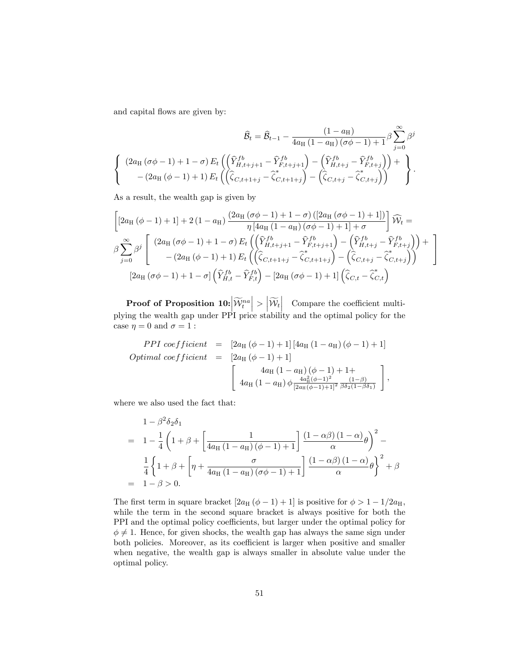and capital flows are given by:

$$
\hat{B}_t = \hat{B}_{t-1} - \frac{(1 - a_{\rm H})}{4a_{\rm H} (1 - a_{\rm H}) (\sigma \phi - 1) + 1} \beta \sum_{j=0}^{\infty} \beta^j
$$

$$
\begin{Bmatrix}\n(2a_{\rm H} (\sigma \phi - 1) + 1 - \sigma) E_t \left( \left( \hat{Y}_{H,t+j+1}^{fb} - \hat{Y}_{F,t+j+1}^{fb} \right) - \left( \hat{Y}_{H,t+j}^{fb} - \hat{Y}_{F,t+j}^{fb} \right) \right) + \\
-(2a_{\rm H} (\phi - 1) + 1) E_t \left( \left( \hat{\zeta}_{C,t+1+j} - \hat{\zeta}_{C,t+1+j}^{c} \right) - \left( \hat{\zeta}_{C,t+j} - \hat{\zeta}_{C,t+j}^{c} \right) \right)\n\end{Bmatrix}.
$$

As a result, the wealth gap is given by

$$
\begin{bmatrix}\n[2a_{\mathrm{H}}(\phi-1)+1] + 2(1-a_{\mathrm{H}})\frac{(2a_{\mathrm{H}}(\sigma\phi-1)+1-\sigma)([2a_{\mathrm{H}}(\sigma\phi-1)+1])}{\eta[4a_{\mathrm{H}}(1-a_{\mathrm{H}})(\sigma\phi-1)+1]+\sigma}\n\end{bmatrix}\n\widehat{W}_{t} = \\
\beta \sum_{j=0}^{\infty} \beta^{j} \begin{bmatrix}\n(2a_{\mathrm{H}}(\sigma\phi-1)+1-\sigma) E_{t}\left(\left(\widehat{Y}_{H,t+j+1}^{fb}-\widehat{Y}_{F,t+j+1}^{fb}\right)-\left(\widehat{Y}_{H,t+j}^{fb}-\widehat{Y}_{F,t+j}^{fb}\right)\right)+\\
-(2a_{\mathrm{H}}(\phi-1)+1) E_{t}\left(\left(\widehat{\zeta}_{C,t+1+j}-\widehat{\zeta}_{C,t+1+j}^{b}\right)-\left(\widehat{\zeta}_{C,t+j}-\widehat{\zeta}_{C,t+j}^{b}\right)\right)\n\end{bmatrix}\n\begin{bmatrix}\n2a_{\mathrm{H}}(\sigma\phi-1)+1-\sigma\left(\widehat{Y}_{H,t}^{fb}-\widehat{Y}_{F,t}^{fb}\right)-[2a_{\mathrm{H}}(\sigma\phi-1)+1]\left(\widehat{\zeta}_{C,t}-\widehat{\zeta}_{C,t}\right)\n\end{bmatrix}
$$

 $\textbf{Proof of Proposition 10:} \begin{equation} \left| \widetilde{\mathcal{W}}_t^{na} \right| > \left| \widetilde{\mathcal{W}}_t^{na} \right| \end{equation}$    Compare the coe¢ cient multiplying the wealth gap under PPI price stability and the optimal policy for the case  $\eta = 0$  and  $\sigma = 1$ :

$$
PPI\ coefficient = [2a_{\text{H}} (\phi - 1) + 1] [4a_{\text{H}} (1 - a_{\text{H}}) (\phi - 1) + 1]
$$
  
\n
$$
Optimal\ coefficient = [2a_{\text{H}} (\phi - 1) + 1]
$$
  
\n
$$
4a_{\text{H}} (1 - a_{\text{H}}) (\phi - 1) + 1 +
$$
  
\n
$$
4a_{\text{H}} (1 - a_{\text{H}}) \phi \frac{4a_{\text{H}}^2 (\phi - 1)^2}{[2a_{\text{H}} (\phi - 1) + 1]^2} \frac{(1 - \beta)}{\beta \delta_2 (1 - \beta \delta_1)}
$$

where we also used the fact that:

$$
1 - \beta^2 \delta_2 \delta_1
$$
  
= 
$$
1 - \frac{1}{4} \left( 1 + \beta + \left[ \frac{1}{4a_H (1 - a_H)(\phi - 1) + 1} \right] \frac{(1 - \alpha \beta)(1 - \alpha)}{\alpha} \theta \right)^2 -
$$
  

$$
\frac{1}{4} \left\{ 1 + \beta + \left[ \eta + \frac{\sigma}{4a_H (1 - a_H)(\sigma \phi - 1) + 1} \right] \frac{(1 - \alpha \beta)(1 - \alpha)}{\alpha} \theta \right\}^2 + \beta
$$
  
= 
$$
1 - \beta > 0.
$$

The first term in square bracket  $[2a_H (\phi - 1) + 1]$  is positive for  $\phi > 1 - 1/2a_H$ , while the term in the second square bracket is always positive for both the PPI and the optimal policy coefficients, but larger under the optimal policy for  $\phi \neq 1$ . Hence, for given shocks, the wealth gap has always the same sign under both policies. Moreover, as its coefficient is larger when positive and smaller when negative, the wealth gap is always smaller in absolute value under the optimal policy.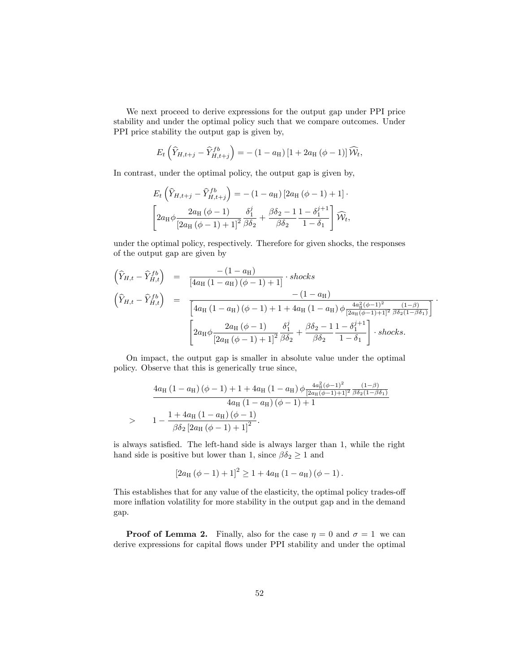We next proceed to derive expressions for the output gap under PPI price stability and under the optimal policy such that we compare outcomes. Under PPI price stability the output gap is given by,

$$
E_t\left(\widehat{Y}_{H,t+j} - \widehat{Y}_{H,t+j}^{fb}\right) = -(1 - a_H)[1 + 2a_H(\phi - 1)]\widehat{\mathcal{W}}_t,
$$

In contrast, under the optimal policy, the output gap is given by,

$$
E_t\left(\widehat{Y}_{H,t+j} - \widehat{Y}_{H,t+j}^{fb}\right) = -(1 - a_H) \left[2a_H\left(\phi - 1\right) + 1\right] \cdot \left[2a_H\phi \frac{2a_H\left(\phi - 1\right)}{\left[2a_H\left(\phi - 1\right) + 1\right]^2} \frac{\delta_1^j}{\beta \delta_2} + \frac{\beta \delta_2 - 1}{\beta \delta_2} \frac{1 - \delta_1^{j+1}}{1 - \delta_1} \right] \widehat{\mathcal{W}}_t,
$$

under the optimal policy, respectively. Therefore for given shocks, the responses of the output gap are given by

$$
\begin{aligned}\n\left(\hat{Y}_{H,t} - \hat{Y}_{H,t}^{fb}\right) &= \frac{-(1 - a_{\rm H})}{[4a_{\rm H}(1 - a_{\rm H})(\phi - 1) + 1]} \cdot \text{shocks} \\
\left(\hat{Y}_{H,t} - \hat{Y}_{H,t}^{fb}\right) &= \frac{-(1 - a_{\rm H})}{[4a_{\rm H}(1 - a_{\rm H})(\phi - 1) + 1 + 4a_{\rm H}(1 - a_{\rm H})\phi \frac{4a_{\rm H}^2(\phi - 1)^2}{[2a_{\rm H}(\phi - 1) + 1]^2} \frac{(1 - \beta)}{\beta \delta_2 (1 - \beta \delta_1)}]} \\
&\left[2a_{\rm H}\phi \frac{2a_{\rm H}(\phi - 1)}{[2a_{\rm H}(\phi - 1) + 1]^2} \frac{\delta_1^j}{\beta \delta_2} + \frac{\beta \delta_2 - 1}{\beta \delta_2} \frac{1 - \delta_1^{j+1}}{1 - \delta_1}\right] \cdot \text{shocks}.\n\end{aligned}
$$

On impact, the output gap is smaller in absolute value under the optimal policy. Observe that this is generically true since,

$$
\frac{4a_{\rm H} (1 - a_{\rm H}) (\phi - 1) + 1 + 4a_{\rm H} (1 - a_{\rm H}) \phi \frac{4a_{\rm H}^2 (\phi - 1)^2}{[2a_{\rm H} (\phi - 1) + 1]^2} \frac{(1 - \beta)}{\beta \delta_2 (1 - \beta \delta_1)}}{4a_{\rm H} (1 - a_{\rm H}) (\phi - 1) + 1}
$$
\n
$$
> 1 - \frac{1 + 4a_{\rm H} (1 - a_{\rm H}) (\phi - 1)}{\beta \delta_2 [2a_{\rm H} (\phi - 1) + 1]^2}.
$$

is always satisfied. The left-hand side is always larger than 1, while the right hand side is positive but lower than 1, since  $\beta \delta_2 \geq 1$  and

$$
[2a_{\rm H} (\phi - 1) + 1]^2 \ge 1 + 4a_{\rm H} (1 - a_{\rm H}) (\phi - 1).
$$

This establishes that for any value of the elasticity, the optimal policy trades-off more inflation volatility for more stability in the output gap and in the demand gap.

**Proof of Lemma 2.** Finally, also for the case  $\eta = 0$  and  $\sigma = 1$  we can derive expressions for capital flows under PPI stability and under the optimal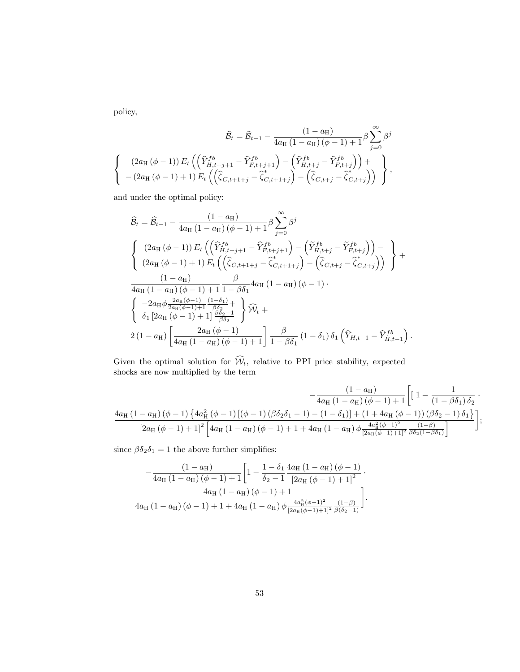policy,

$$
\widehat{\mathcal{B}}_t = \widehat{\mathcal{B}}_{t-1} - \frac{(1 - a_{\mathrm{H}})}{4a_{\mathrm{H}}(1 - a_{\mathrm{H}})(\phi - 1) + 1} \beta \sum_{j=0}^{\infty} \beta^j
$$
\n
$$
\begin{cases}\n(2a_{\mathrm{H}}(\phi - 1)) E_t \left( \left( \widehat{Y}_{H,t+j+1}^{fb} - \widehat{Y}_{F,t+j+1}^{fb} \right) - \left( \widehat{Y}_{H,t+j}^{fb} - \widehat{Y}_{F,t+j}^{fb} \right) \right) + \\
-(2a_{\mathrm{H}}(\phi - 1) + 1) E_t \left( \left( \widehat{\zeta}_{C,t+1+j} - \widehat{\zeta}_{C,t+1+j}^{*} \right) - \left( \widehat{\zeta}_{C,t+j} - \widehat{\zeta}_{C,t+j}^{*} \right) \right)\n\end{cases},
$$

and under the optimal policy:

$$
\hat{B}_{t} = \hat{B}_{t-1} - \frac{(1 - a_{\mathrm{H}})}{4a_{\mathrm{H}} (1 - a_{\mathrm{H}}) (\phi - 1) + 1} \beta \sum_{j=0}^{\infty} \beta^{j}
$$
\n
$$
\begin{cases}\n(2a_{\mathrm{H}} (\phi - 1)) E_{t} \left( \left( \hat{Y}_{H,t+j+1}^{fb} - \hat{Y}_{F,t+j+1}^{fb} \right) - \left( \tilde{Y}_{H,t+j}^{fb} - \tilde{Y}_{F,t+j}^{fb} \right) \right) - \\
(2a_{\mathrm{H}} (\phi - 1) + 1) E_{t} \left( \left( \hat{\zeta}_{C,t+1+j} - \hat{\zeta}_{C,t+1+j}^{*} \right) - \left( \hat{\zeta}_{C,t+j} - \hat{\zeta}_{C,t+j}^{*} \right) \right) \right) + \\
\frac{(1 - a_{\mathrm{H}})}{4a_{\mathrm{H}} (1 - a_{\mathrm{H}}) (\phi - 1) + 1} \frac{\beta}{1 - \beta \delta_{1}} 4a_{\mathrm{H}} (1 - a_{\mathrm{H}}) (\phi - 1) .\n\end{cases}
$$
\n
$$
\begin{cases}\n-2a_{\mathrm{H}} \phi \frac{2a_{\mathrm{H}} (\phi - 1)}{2a_{\mathrm{H}} (\phi - 1) + 1} \frac{(1 - \delta_{1})}{\beta \delta_{2}} + \\
\delta_{1} [2a_{\mathrm{H}} (\phi - 1) + 1] \frac{\beta \delta_{2} - 1}{\beta \delta_{2}} \end{cases} \hat{W}_{t} +
$$
\n
$$
2(1 - a_{\mathrm{H}}) \left[ \frac{2a_{\mathrm{H}} (\phi - 1)}{4a_{\mathrm{H}} (1 - a_{\mathrm{H}}) (\phi - 1) + 1} \right] \frac{\beta}{1 - \beta \delta_{1}} (1 - \delta_{1}) \delta_{1} \left( \hat{Y}_{H,t-1} - \hat{Y}_{H,t-1}^{fb} \right).
$$

Given the optimal solution for  $W_t$ , relative to PPI price stability, expected shocks are now multiplied by the term

$$
-\frac{\left(1-a_{\mathrm{H}}\right)}{4 a_{\mathrm{H}} \left(1-a_{\mathrm{H}}\right) \left(\phi-1\right) +1} \Bigg[\left(1-\frac{1}{\left(1-\beta \delta_{1}\right) \delta_{2}}\right. \\ \left.\left.\frac{4 a_{\mathrm{H}} \left(1-a_{\mathrm{H}}\right) \left(\phi-1\right) \left\{4 a_{\mathrm{H}}^{2} \left(\phi-1\right) \left[\left(\phi-1\right) \left(\beta \delta_{2} \delta_{1}-1\right)-\left(1-\delta_{1}\right)\right]+\left(1+4 a_{\mathrm{H}} \left(\phi-1\right)\right) \left(\beta \delta_{2}-1\right) \delta_{1}\right\}}{\left[2 a_{\mathrm{H}} \left(\phi-1\right)+1\right]^{2} \left[4 a_{\mathrm{H}} \left(1-a_{\mathrm{H}}\right) \left(\phi-1\right)+1+4 a_{\mathrm{H}} \left(1-a_{\mathrm{H}}\right) \phi \frac{4 a_{\mathrm{H}}^{2} \left(\phi-1\right)^{2}}{\left[2 a_{\mathrm{H}} \left(\phi-1\right)+1\right]^{2}} \frac{\left(1-\beta\right)}{\left(\beta \delta_{2}\left(1-\beta \delta_{1}\right)}\right]}\right];
$$

since  $\beta \delta_2 \delta_1 = 1$  the above further simplifies:

$$
-\frac{\left(1-a_{\text{H}}\right)}{4a_{\text{H}}\left(1-a_{\text{H}}\right)\left(\phi-1\right)+1}\left[1-\frac{1-\delta_{1}}{\delta_{2}-1}\frac{4a_{\text{H}}\left(1-a_{\text{H}}\right)\left(\phi-1\right)}{\left[2a_{\text{H}}\left(\phi-1\right)+1\right]^{2}}\right].}{4a_{\text{H}}\left(1-a_{\text{H}}\right)\left(\phi-1\right)+1+\left(1-a_{\text{H}}\right)\left(\phi-1\right)+1}
$$

$$
4a_{\text{H}}\left(1-a_{\text{H}}\right)\left(\phi-1\right)+1+4a_{\text{H}}\left(1-a_{\text{H}}\right)\phi\frac{4a_{\text{H}}^{2}\left(\phi-1\right)^{2}}{\left[2a_{\text{H}}\left(\phi-1\right)+1\right]^{2}}\frac{\left(1-\beta\right)}{\beta\left(\delta_{2}-1\right)}}\right].
$$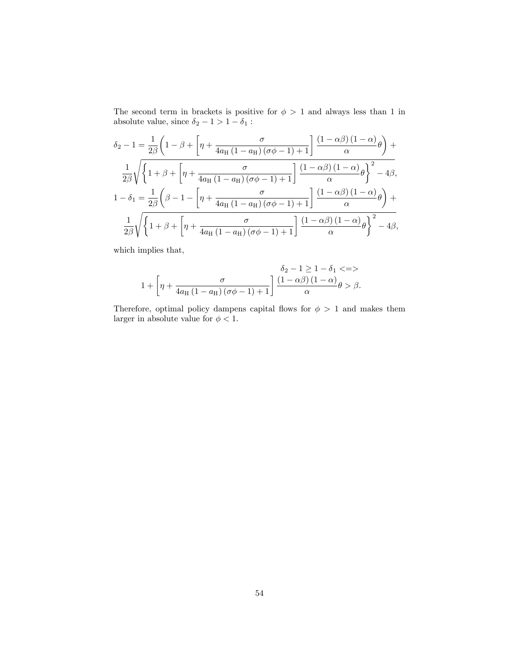The second term in brackets is positive for  $\phi > 1$  and always less than 1 in absolute value, since  $\delta_2 - 1 > 1 - \delta_1$  :

$$
\delta_2 - 1 = \frac{1}{2\beta} \left( 1 - \beta + \left[ \eta + \frac{\sigma}{4a_H \left( 1 - a_H \right) \left( \sigma \phi - 1 \right) + 1} \right] \frac{\left( 1 - \alpha \beta \right) \left( 1 - \alpha \right)}{\alpha} \theta \right) +
$$
  

$$
\frac{1}{2\beta} \sqrt{\left\{ 1 + \beta + \left[ \eta + \frac{\sigma}{4a_H \left( 1 - a_H \right) \left( \sigma \phi - 1 \right) + 1} \right] \frac{\left( 1 - \alpha \beta \right) \left( 1 - \alpha \right)}{\alpha} \theta \right\}^2 - 4\beta},
$$
  

$$
1 - \delta_1 = \frac{1}{2\beta} \left( \beta - 1 - \left[ \eta + \frac{\sigma}{4a_H \left( 1 - a_H \right) \left( \sigma \phi - 1 \right) + 1} \right] \frac{\left( 1 - \alpha \beta \right) \left( 1 - \alpha \right)}{\alpha} \theta \right) +
$$
  

$$
\frac{1}{2\beta} \sqrt{\left\{ 1 + \beta + \left[ \eta + \frac{\sigma}{4a_H \left( 1 - a_H \right) \left( \sigma \phi - 1 \right) + 1} \right] \frac{\left( 1 - \alpha \beta \right) \left( 1 - \alpha \right)}{\alpha} \theta \right\}^2 - 4\beta},
$$

which implies that,

$$
1 + \left[\eta + \frac{\sigma}{4a_{\mathrm{H}}\left(1 - a_{\mathrm{H}}\right)\left(\sigma\phi - 1\right) + 1}\right] \frac{\delta_2 - 1 \ge 1 - \delta_1 \langle = \rangle}{\alpha} \theta > \beta.
$$

Therefore, optimal policy dampens capital flows for  $\phi > 1$  and makes them larger in absolute value for  $\phi < 1$ .